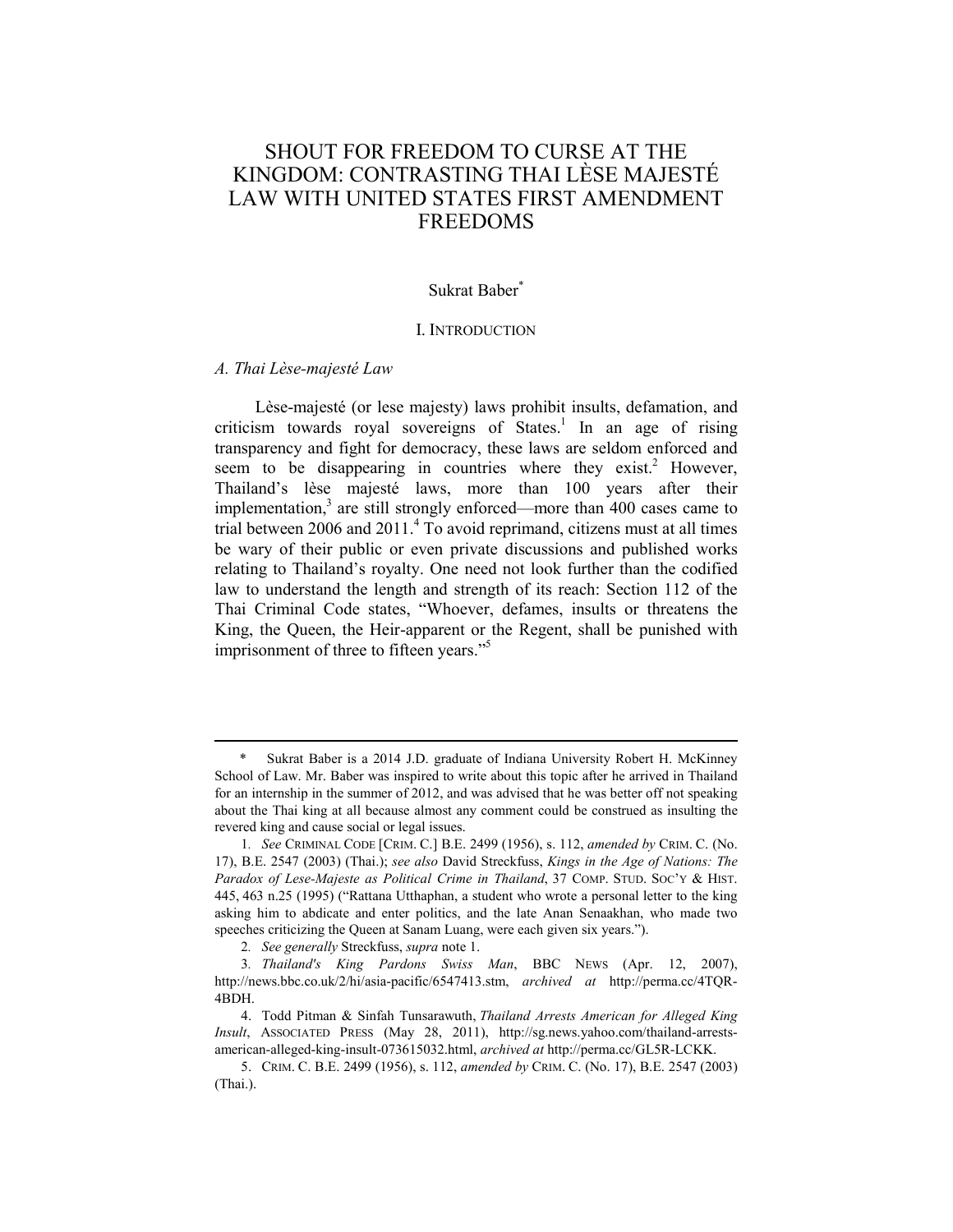# SHOUT FOR FREEDOM TO CURSE AT THE KINGDOM: CONTRASTING THAI LÈSE MAJESTÉ LAW WITH UNITED STATES FIRST AMENDMENT FREEDOMS

# Sukrat Baber<sup>\*</sup>

#### I. INTRODUCTION

### *A. Thai Lèse-majesté Law*

1

Lèse-majesté (or lese majesty) laws prohibit insults, defamation, and criticism towards royal sovereigns of States.<sup>1</sup> In an age of rising transparency and fight for democracy, these laws are seldom enforced and seem to be disappearing in countries where they exist.<sup>2</sup> However, Thailand's lèse majesté laws, more than 100 years after their implementation, $3$  are still strongly enforced—more than 400 cases came to trial between 2006 and 2011.<sup>4</sup> To avoid reprimand, citizens must at all times be wary of their public or even private discussions and published works relating to Thailand's royalty. One need not look further than the codified law to understand the length and strength of its reach: Section 112 of the Thai Criminal Code states, "Whoever, defames, insults or threatens the King, the Queen, the Heir-apparent or the Regent, shall be punished with imprisonment of three to fifteen years."<sup>5</sup>

Sukrat Baber is a 2014 J.D. graduate of Indiana University Robert H. McKinney School of Law. Mr. Baber was inspired to write about this topic after he arrived in Thailand for an internship in the summer of 2012, and was advised that he was better off not speaking about the Thai king at all because almost any comment could be construed as insulting the revered king and cause social or legal issues.

<sup>1</sup>*. See* CRIMINAL CODE [CRIM. C.] B.E. 2499 (1956), s. 112, *amended by* CRIM. C. (No. 17), B.E. 2547 (2003) (Thai.); *see also* David Streckfuss, *Kings in the Age of Nations: The Paradox of Lese-Majeste as Political Crime in Thailand*, 37 COMP. STUD. SOC'Y & HIST. 445, 463 n.25 (1995) ("Rattana Utthaphan, a student who wrote a personal letter to the king asking him to abdicate and enter politics, and the late Anan Senaakhan, who made two speeches criticizing the Queen at Sanam Luang, were each given six years.").

<sup>2</sup>*. See generally* Streckfuss, *supra* note 1.

<sup>3</sup>*. Thailand's King Pardons Swiss Man*, BBC NEWS (Apr. 12, 2007), http://news.bbc.co.uk/2/hi/asia-pacific/6547413.stm, *archived at* http://perma.cc/4TQR-4BDH.

 <sup>4.</sup> Todd Pitman & Sinfah Tunsarawuth, *Thailand Arrests American for Alleged King Insult*, ASSOCIATED PRESS (May 28, 2011), http://sg.news.yahoo.com/thailand-arrestsamerican-alleged-king-insult-073615032.html, *archived at* http://perma.cc/GL5R-LCKK.

 <sup>5.</sup> CRIM. C. B.E. 2499 (1956), s. 112, *amended by* CRIM. C. (No. 17), B.E. 2547 (2003) (Thai.).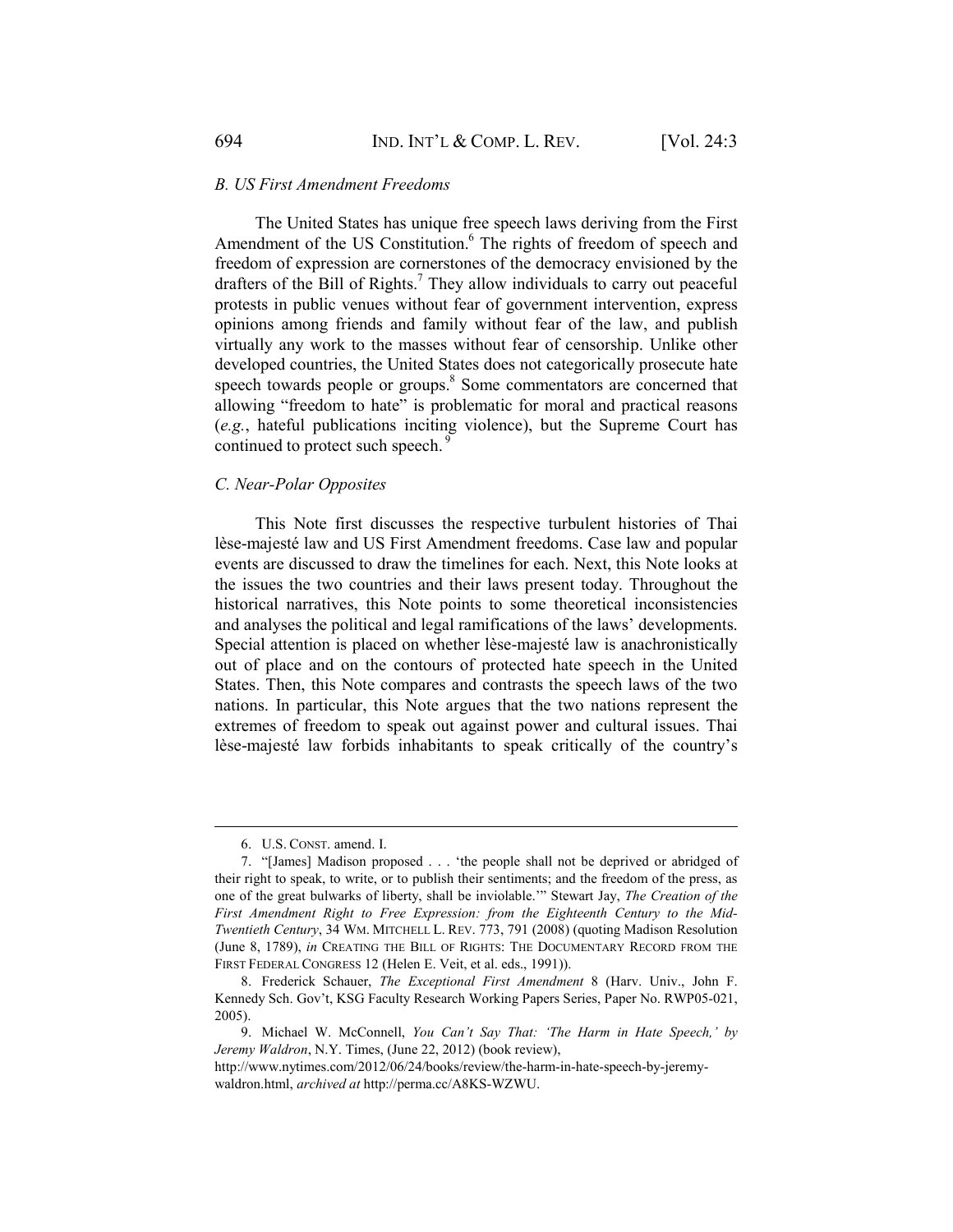#### *B. US First Amendment Freedoms*

The United States has unique free speech laws deriving from the First Amendment of the US Constitution.<sup>6</sup> The rights of freedom of speech and freedom of expression are cornerstones of the democracy envisioned by the drafters of the Bill of Rights.<sup>7</sup> They allow individuals to carry out peaceful protests in public venues without fear of government intervention, express opinions among friends and family without fear of the law, and publish virtually any work to the masses without fear of censorship. Unlike other developed countries, the United States does not categorically prosecute hate speech towards people or groups.<sup>8</sup> Some commentators are concerned that allowing "freedom to hate" is problematic for moral and practical reasons (*e.g.*, hateful publications inciting violence), but the Supreme Court has continued to protect such speech.<sup>9</sup>

### *C. Near-Polar Opposites*

This Note first discusses the respective turbulent histories of Thai lèse-majesté law and US First Amendment freedoms. Case law and popular events are discussed to draw the timelines for each. Next, this Note looks at the issues the two countries and their laws present today. Throughout the historical narratives, this Note points to some theoretical inconsistencies and analyses the political and legal ramifications of the laws' developments. Special attention is placed on whether lèse-majesté law is anachronistically out of place and on the contours of protected hate speech in the United States. Then, this Note compares and contrasts the speech laws of the two nations. In particular, this Note argues that the two nations represent the extremes of freedom to speak out against power and cultural issues. Thai lèse-majesté law forbids inhabitants to speak critically of the country's

 <sup>6.</sup> U.S. CONST. amend. I.

 <sup>7. &</sup>quot;[James] Madison proposed . . . 'the people shall not be deprived or abridged of their right to speak, to write, or to publish their sentiments; and the freedom of the press, as one of the great bulwarks of liberty, shall be inviolable.'" Stewart Jay, *The Creation of the First Amendment Right to Free Expression: from the Eighteenth Century to the Mid-Twentieth Century*, 34 WM. MITCHELL L. REV. 773, 791 (2008) (quoting Madison Resolution (June 8, 1789), *in* CREATING THE BILL OF RIGHTS: THE DOCUMENTARY RECORD FROM THE FIRST FEDERAL CONGRESS 12 (Helen E. Veit, et al. eds., 1991)).

 <sup>8.</sup> Frederick Schauer, *The Exceptional First Amendment* 8 (Harv. Univ., John F. Kennedy Sch. Gov't, KSG Faculty Research Working Papers Series, Paper No. RWP05-021, 2005).

 <sup>9.</sup> Michael W. McConnell, *You Can't Say That: 'The Harm in Hate Speech,' by Jeremy Waldron*, N.Y. Times, (June 22, 2012) (book review),

http://www.nytimes.com/2012/06/24/books/review/the-harm-in-hate-speech-by-jeremywaldron.html, *archived at* http://perma.cc/A8KS-WZWU.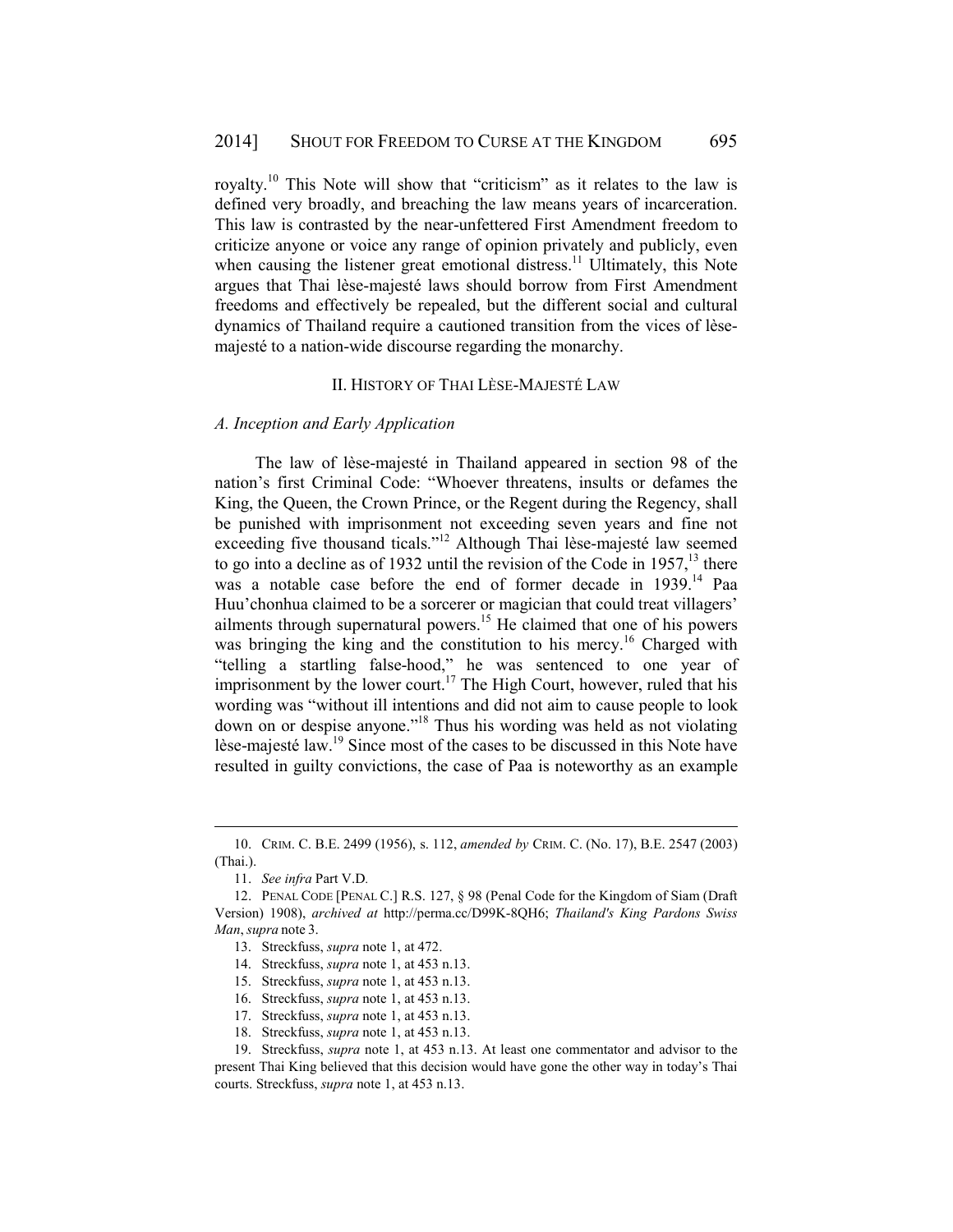royalty.10 This Note will show that "criticism" as it relates to the law is defined very broadly, and breaching the law means years of incarceration. This law is contrasted by the near-unfettered First Amendment freedom to criticize anyone or voice any range of opinion privately and publicly, even when causing the listener great emotional distress.<sup>11</sup> Ultimately, this Note argues that Thai lèse-majesté laws should borrow from First Amendment freedoms and effectively be repealed, but the different social and cultural dynamics of Thailand require a cautioned transition from the vices of lèsemajesté to a nation-wide discourse regarding the monarchy.

### II. HISTORY OF THAI LÈSE-MAJESTÉ LAW

### *A. Inception and Early Application*

The law of lèse-majesté in Thailand appeared in section 98 of the nation's first Criminal Code: "Whoever threatens, insults or defames the King, the Queen, the Crown Prince, or the Regent during the Regency, shall be punished with imprisonment not exceeding seven years and fine not exceeding five thousand ticals."12 Although Thai lèse-majesté law seemed to go into a decline as of 1932 until the revision of the Code in  $1957$ ,<sup>13</sup> there was a notable case before the end of former decade in 1939.<sup>14</sup> Paa Huu'chonhua claimed to be a sorcerer or magician that could treat villagers' ailments through supernatural powers.<sup>15</sup> He claimed that one of his powers was bringing the king and the constitution to his mercy.<sup>16</sup> Charged with "telling a startling false-hood," he was sentenced to one year of imprisonment by the lower court.<sup>17</sup> The High Court, however, ruled that his wording was "without ill intentions and did not aim to cause people to look down on or despise anyone."18 Thus his wording was held as not violating lèse-majesté law.<sup>19</sup> Since most of the cases to be discussed in this Note have resulted in guilty convictions, the case of Paa is noteworthy as an example

 <sup>10.</sup> CRIM. C. B.E. 2499 (1956), s. 112, *amended by* CRIM. C. (No. 17), B.E. 2547 (2003) (Thai.).

 <sup>11.</sup> *See infra* Part V.D*.*

 <sup>12.</sup> PENAL CODE [PENAL C.] R.S. 127, § 98 (Penal Code for the Kingdom of Siam (Draft Version) 1908), *archived at* http://perma.cc/D99K-8QH6; *Thailand's King Pardons Swiss Man*, *supra* note 3.

 <sup>13.</sup> Streckfuss, *supra* note 1, at 472.

 <sup>14.</sup> Streckfuss, *supra* note 1, at 453 n.13.

 <sup>15.</sup> Streckfuss, *supra* note 1, at 453 n.13.

 <sup>16.</sup> Streckfuss, *supra* note 1, at 453 n.13.

 <sup>17.</sup> Streckfuss, *supra* note 1, at 453 n.13.

 <sup>18.</sup> Streckfuss, *supra* note 1, at 453 n.13.

 <sup>19.</sup> Streckfuss, *supra* note 1, at 453 n.13. At least one commentator and advisor to the present Thai King believed that this decision would have gone the other way in today's Thai courts. Streckfuss, *supra* note 1, at 453 n.13.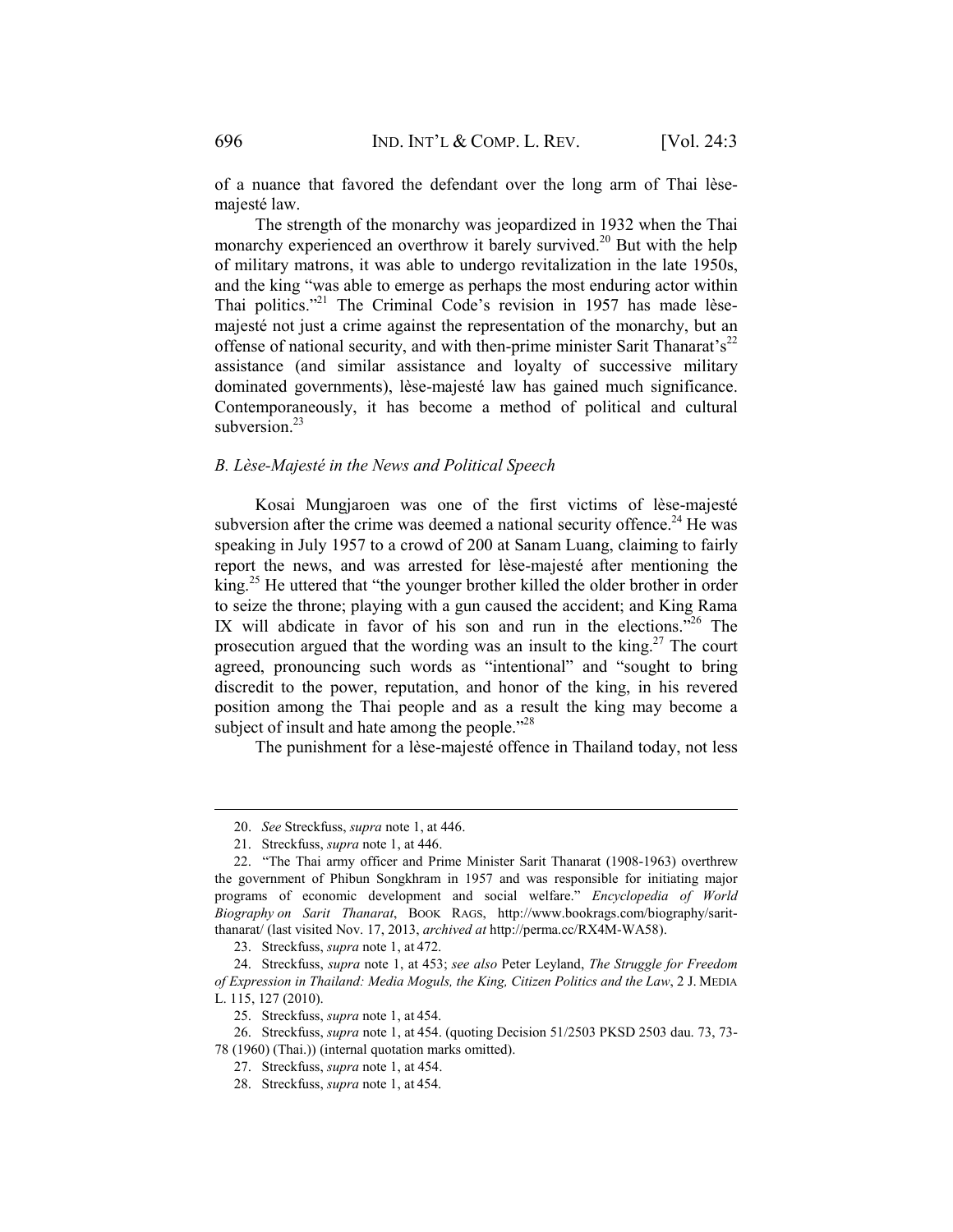of a nuance that favored the defendant over the long arm of Thai lèsemajesté law.

The strength of the monarchy was jeopardized in 1932 when the Thai monarchy experienced an overthrow it barely survived.<sup>20</sup> But with the help of military matrons, it was able to undergo revitalization in the late 1950s, and the king "was able to emerge as perhaps the most enduring actor within Thai politics."<sup>21</sup> The Criminal Code's revision in 1957 has made lèsemajesté not just a crime against the representation of the monarchy, but an offense of national security, and with then-prime minister Sarit Thanarat's<sup>22</sup> assistance (and similar assistance and loyalty of successive military dominated governments), lèse-majesté law has gained much significance. Contemporaneously, it has become a method of political and cultural subversion. $^{23}$ 

# *B. Lèse-Majesté in the News and Political Speech*

Kosai Mungjaroen was one of the first victims of lèse-majesté subversion after the crime was deemed a national security offence.<sup>24</sup> He was speaking in July 1957 to a crowd of 200 at Sanam Luang, claiming to fairly report the news, and was arrested for lèse-majesté after mentioning the king.25 He uttered that "the younger brother killed the older brother in order to seize the throne; playing with a gun caused the accident; and King Rama IX will abdicate in favor of his son and run in the elections.<sup>726</sup> The prosecution argued that the wording was an insult to the king.<sup>27</sup> The court agreed, pronouncing such words as "intentional" and "sought to bring discredit to the power, reputation, and honor of the king, in his revered position among the Thai people and as a result the king may become a subject of insult and hate among the people."<sup>28</sup>

The punishment for a lèse-majesté offence in Thailand today, not less

 <sup>20.</sup> *See* Streckfuss, *supra* note 1, at 446.

 <sup>21.</sup> Streckfuss, *supra* note 1, at 446.

 <sup>22. &</sup>quot;The Thai army officer and Prime Minister Sarit Thanarat (1908-1963) overthrew the government of Phibun Songkhram in 1957 and was responsible for initiating major programs of economic development and social welfare." *Encyclopedia of World Biography on Sarit Thanarat*, BOOK RAGS, http://www.bookrags.com/biography/saritthanarat/ (last visited Nov. 17, 2013, *archived at* http://perma.cc/RX4M-WA58).

 <sup>23.</sup> Streckfuss, *supra* note 1, at 472.

 <sup>24.</sup> Streckfuss, *supra* note 1, at 453; *see also* Peter Leyland, *The Struggle for Freedom of Expression in Thailand: Media Moguls, the King, Citizen Politics and the Law*, 2 J. MEDIA L. 115, 127 (2010).

 <sup>25.</sup> Streckfuss, *supra* note 1, at 454.

 <sup>26.</sup> Streckfuss, *supra* note 1, at 454. (quoting Decision 51/2503 PKSD 2503 dau. 73, 73- 78 (1960) (Thai.)) (internal quotation marks omitted).

 <sup>27.</sup> Streckfuss, *supra* note 1, at 454.

 <sup>28.</sup> Streckfuss, *supra* note 1, at 454.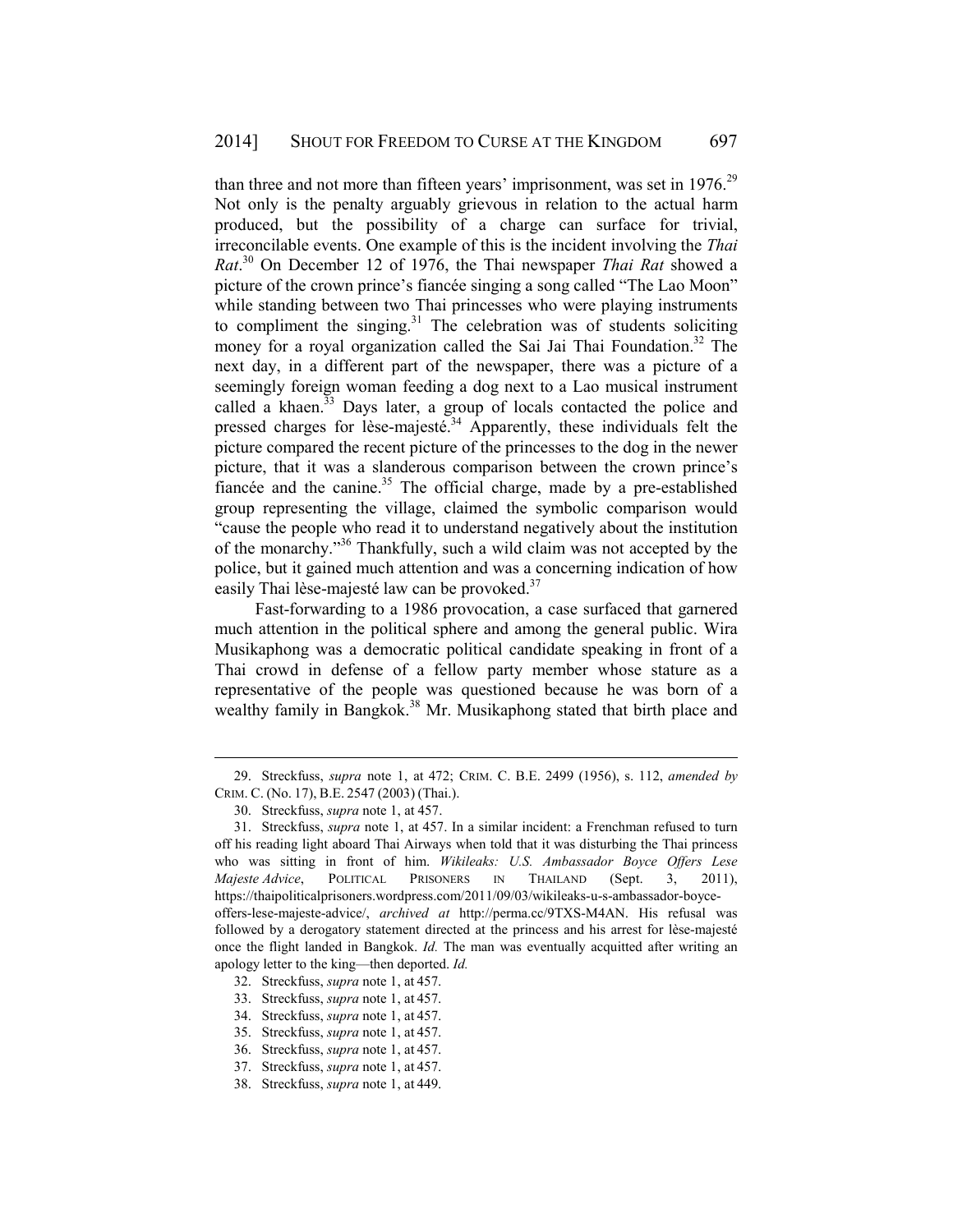than three and not more than fifteen years' imprisonment, was set in 1976.<sup>29</sup> Not only is the penalty arguably grievous in relation to the actual harm produced, but the possibility of a charge can surface for trivial, irreconcilable events. One example of this is the incident involving the *Thai Rat*. 30 On December 12 of 1976, the Thai newspaper *Thai Rat* showed a picture of the crown prince's fiancée singing a song called "The Lao Moon" while standing between two Thai princesses who were playing instruments to compliment the singing. $31$  The celebration was of students soliciting money for a royal organization called the Sai Jai Thai Foundation.<sup>32</sup> The next day, in a different part of the newspaper, there was a picture of a seemingly foreign woman feeding a dog next to a Lao musical instrument called a khaen. $33$  Days later, a group of locals contacted the police and pressed charges for lèse-majesté.<sup>34</sup> Apparently, these individuals felt the picture compared the recent picture of the princesses to the dog in the newer picture, that it was a slanderous comparison between the crown prince's fiancée and the canine.<sup>35</sup> The official charge, made by a pre-established group representing the village, claimed the symbolic comparison would "cause the people who read it to understand negatively about the institution of the monarchy."36 Thankfully, such a wild claim was not accepted by the police, but it gained much attention and was a concerning indication of how easily Thai lèse-majesté law can be provoked.<sup>37</sup>

Fast-forwarding to a 1986 provocation, a case surfaced that garnered much attention in the political sphere and among the general public. Wira Musikaphong was a democratic political candidate speaking in front of a Thai crowd in defense of a fellow party member whose stature as a representative of the people was questioned because he was born of a wealthy family in Bangkok.<sup>38</sup> Mr. Musikaphong stated that birth place and

 <sup>29.</sup> Streckfuss, *supra* note 1, at 472; CRIM. C. B.E. 2499 (1956), s. 112, *amended by* CRIM. C. (No. 17), B.E. 2547 (2003) (Thai.).

 <sup>30.</sup> Streckfuss, *supra* note 1, at 457.

 <sup>31.</sup> Streckfuss, *supra* note 1, at 457. In a similar incident: a Frenchman refused to turn off his reading light aboard Thai Airways when told that it was disturbing the Thai princess who was sitting in front of him. *Wikileaks: U.S. Ambassador Boyce Offers Lese Majeste Advice*, POLITICAL PRISONERS IN THAILAND (Sept. 3, 2011), https://thaipoliticalprisoners.wordpress.com/2011/09/03/wikileaks-u-s-ambassador-boyceoffers-lese-majeste-advice/, *archived at* http://perma.cc/9TXS-M4AN. His refusal was followed by a derogatory statement directed at the princess and his arrest for lèse-majesté once the flight landed in Bangkok. *Id.* The man was eventually acquitted after writing an apology letter to the king—then deported. *Id.* 

 <sup>32.</sup> Streckfuss, *supra* note 1, at 457.

 <sup>33.</sup> Streckfuss, *supra* note 1, at 457.

 <sup>34.</sup> Streckfuss, *supra* note 1, at 457.

 <sup>35.</sup> Streckfuss, *supra* note 1, at 457.

 <sup>36.</sup> Streckfuss, *supra* note 1, at 457.

 <sup>37.</sup> Streckfuss, *supra* note 1, at 457.

 <sup>38.</sup> Streckfuss, *supra* note 1, at 449.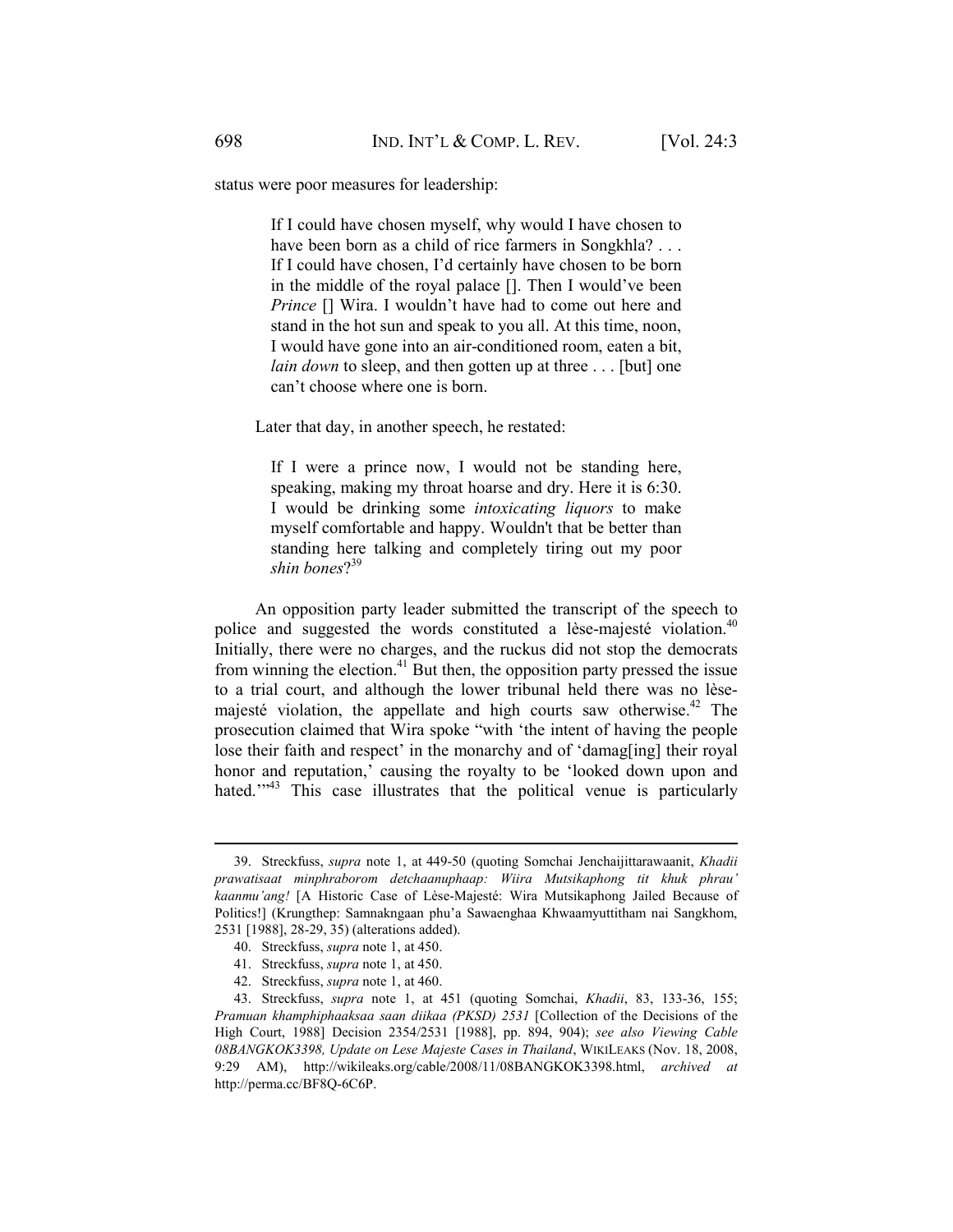status were poor measures for leadership:

If I could have chosen myself, why would I have chosen to have been born as a child of rice farmers in Songkhla? . . . If I could have chosen, I'd certainly have chosen to be born in the middle of the royal palace []. Then I would've been *Prince*  $\Box$  Wira. I wouldn't have had to come out here and stand in the hot sun and speak to you all. At this time, noon, I would have gone into an air-conditioned room, eaten a bit, *lain down* to sleep, and then gotten up at three . . . [but] one can't choose where one is born.

Later that day, in another speech, he restated:

If I were a prince now, I would not be standing here, speaking, making my throat hoarse and dry. Here it is 6:30. I would be drinking some *intoxicating liquors* to make myself comfortable and happy. Wouldn't that be better than standing here talking and completely tiring out my poor *shin bones*? 39

An opposition party leader submitted the transcript of the speech to police and suggested the words constituted a lèse-majesté violation.<sup>40</sup> Initially, there were no charges, and the ruckus did not stop the democrats from winning the election.<sup>41</sup> But then, the opposition party pressed the issue to a trial court, and although the lower tribunal held there was no lèsemajesté violation, the appellate and high courts saw otherwise. $42$  The prosecution claimed that Wira spoke "with 'the intent of having the people lose their faith and respect' in the monarchy and of 'damag[ing] their royal honor and reputation,' causing the royalty to be 'looked down upon and hated.<sup>"43</sup> This case illustrates that the political venue is particularly

 <sup>39.</sup> Streckfuss, *supra* note 1, at 449-50 (quoting Somchai Jenchaijittarawaanit, *Khadii prawatisaat minphraborom detchaanuphaap: Wiira Mutsikaphong tit khuk phrau' kaanmu'ang!* [A Historic Case of Lèse-Majesté: Wira Mutsikaphong Jailed Because of Politics!] (Krungthep: Samnakngaan phu'a Sawaenghaa Khwaamyuttitham nai Sangkhom, 2531 [1988], 28-29, 35) (alterations added).

 <sup>40.</sup> Streckfuss, *supra* note 1, at 450.

 <sup>41.</sup> Streckfuss, *supra* note 1, at 450.

 <sup>42.</sup> Streckfuss, *supra* note 1, at 460.

 <sup>43.</sup> Streckfuss, *supra* note 1, at 451 (quoting Somchai, *Khadii*, 83, 133-36, 155; *Pramuan khamphiphaaksaa saan diikaa (PKSD) 2531* [Collection of the Decisions of the High Court, 1988] Decision 2354/2531 [1988], pp. 894, 904); *see also Viewing Cable 08BANGKOK3398, Update on Lese Majeste Cases in Thailand*, WIKILEAKS (Nov. 18, 2008, 9:29 AM), http://wikileaks.org/cable/2008/11/08BANGKOK3398.html, *archived at*  http://perma.cc/BF8Q-6C6P.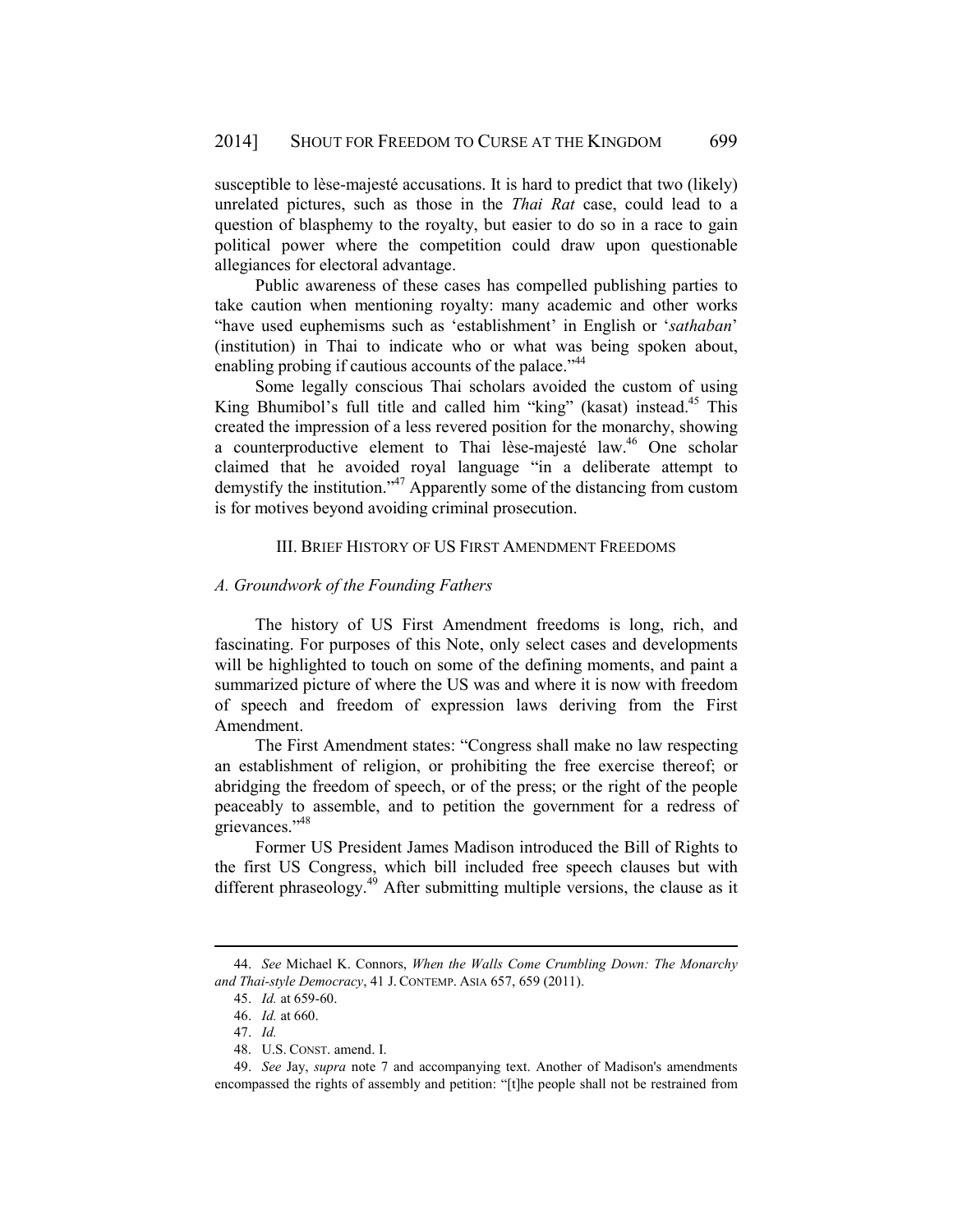susceptible to lèse-majesté accusations. It is hard to predict that two (likely) unrelated pictures, such as those in the *Thai Rat* case, could lead to a question of blasphemy to the royalty, but easier to do so in a race to gain political power where the competition could draw upon questionable allegiances for electoral advantage.

Public awareness of these cases has compelled publishing parties to take caution when mentioning royalty: many academic and other works "have used euphemisms such as 'establishment' in English or '*sathaban*' (institution) in Thai to indicate who or what was being spoken about, enabling probing if cautious accounts of the palace.<sup>"44</sup>

Some legally conscious Thai scholars avoided the custom of using King Bhumibol's full title and called him "king" (kasat) instead.<sup>45</sup> This created the impression of a less revered position for the monarchy, showing a counterproductive element to Thai lèse-majesté law.<sup>46</sup> One scholar claimed that he avoided royal language "in a deliberate attempt to demystify the institution."<sup>47</sup> Apparently some of the distancing from custom is for motives beyond avoiding criminal prosecution.

### III. BRIEF HISTORY OF US FIRST AMENDMENT FREEDOMS

#### *A. Groundwork of the Founding Fathers*

The history of US First Amendment freedoms is long, rich, and fascinating. For purposes of this Note, only select cases and developments will be highlighted to touch on some of the defining moments, and paint a summarized picture of where the US was and where it is now with freedom of speech and freedom of expression laws deriving from the First Amendment.

The First Amendment states: "Congress shall make no law respecting an establishment of religion, or prohibiting the free exercise thereof; or abridging the freedom of speech, or of the press; or the right of the people peaceably to assemble, and to petition the government for a redress of grievances."48

Former US President James Madison introduced the Bill of Rights to the first US Congress, which bill included free speech clauses but with different phraseology.<sup>49</sup> After submitting multiple versions, the clause as it

 <sup>44.</sup> *See* Michael K. Connors, *When the Walls Come Crumbling Down: The Monarchy and Thai-style Democracy*, 41 J. CONTEMP. ASIA 657, 659 (2011).

 <sup>45.</sup> *Id.* at 659-60.

 <sup>46.</sup> *Id.* at 660.

 <sup>47.</sup> *Id.*

 <sup>48.</sup> U.S. CONST. amend. I.

 <sup>49.</sup> *See* Jay, *supra* note 7 and accompanying text. Another of Madison's amendments encompassed the rights of assembly and petition: "[t]he people shall not be restrained from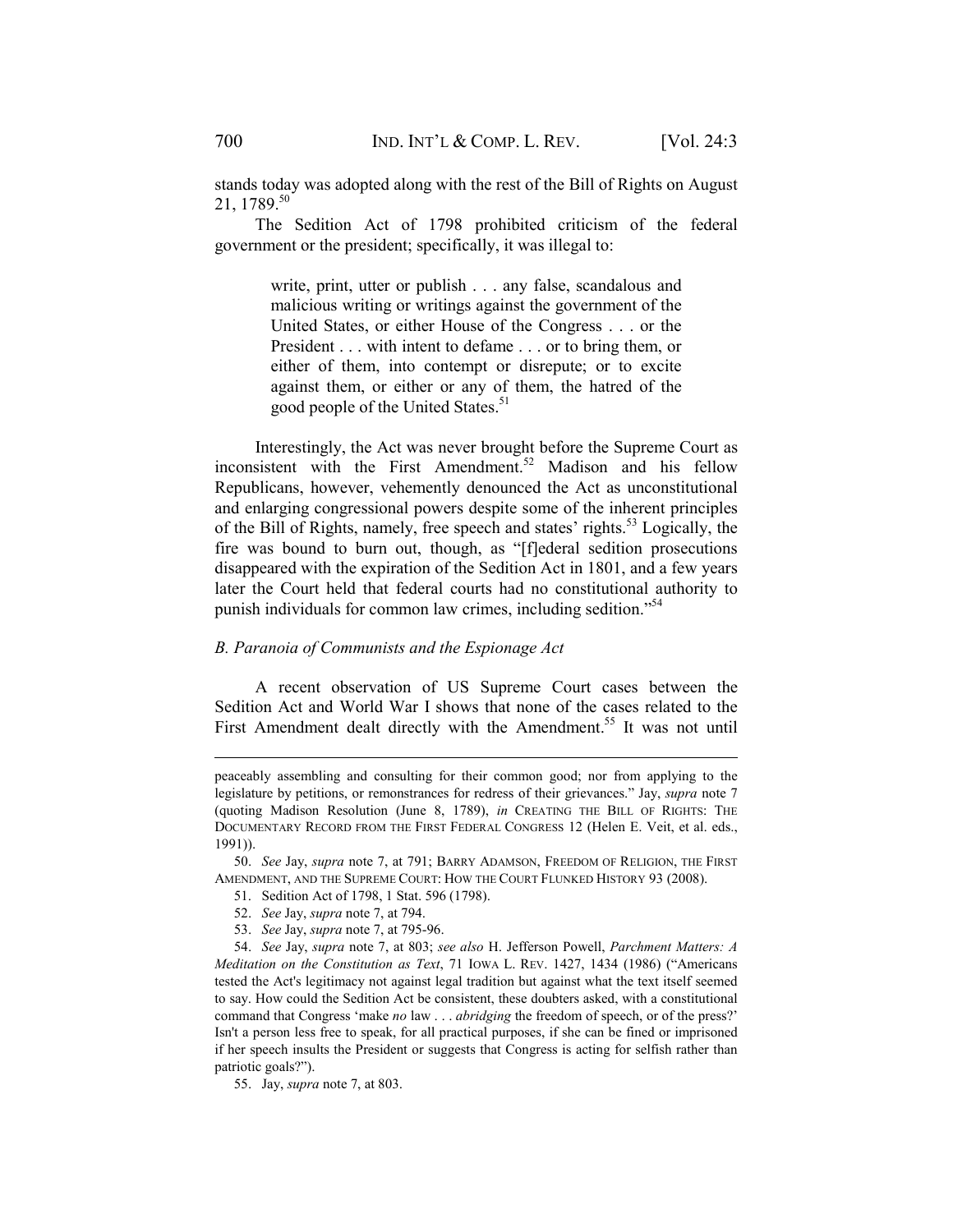stands today was adopted along with the rest of the Bill of Rights on August 21, 1789.50

The Sedition Act of 1798 prohibited criticism of the federal government or the president; specifically, it was illegal to:

> write, print, utter or publish . . . any false, scandalous and malicious writing or writings against the government of the United States, or either House of the Congress . . . or the President . . . with intent to defame . . . or to bring them, or either of them, into contempt or disrepute; or to excite against them, or either or any of them, the hatred of the good people of the United States.<sup>51</sup>

Interestingly, the Act was never brought before the Supreme Court as inconsistent with the First Amendment.<sup>52</sup> Madison and his fellow Republicans, however, vehemently denounced the Act as unconstitutional and enlarging congressional powers despite some of the inherent principles of the Bill of Rights, namely, free speech and states' rights.<sup>53</sup> Logically, the fire was bound to burn out, though, as "[f]ederal sedition prosecutions disappeared with the expiration of the Sedition Act in 1801, and a few years later the Court held that federal courts had no constitutional authority to punish individuals for common law crimes, including sedition."54

## *B. Paranoia of Communists and the Espionage Act*

A recent observation of US Supreme Court cases between the Sedition Act and World War I shows that none of the cases related to the First Amendment dealt directly with the Amendment.<sup>55</sup> It was not until

- 52. *See* Jay, *supra* note 7, at 794.
- 53. *See* Jay, *supra* note 7, at 795-96.

peaceably assembling and consulting for their common good; nor from applying to the legislature by petitions, or remonstrances for redress of their grievances." Jay, *supra* note 7 (quoting Madison Resolution (June 8, 1789), *in* CREATING THE BILL OF RIGHTS: THE DOCUMENTARY RECORD FROM THE FIRST FEDERAL CONGRESS 12 (Helen E. Veit, et al. eds., 1991)).

 <sup>50.</sup> *See* Jay, *supra* note 7, at 791; BARRY ADAMSON, FREEDOM OF RELIGION, THE FIRST AMENDMENT, AND THE SUPREME COURT: HOW THE COURT FLUNKED HISTORY 93 (2008).

 <sup>51.</sup> Sedition Act of 1798, 1 Stat. 596 (1798).

 <sup>54.</sup> *See* Jay, *supra* note 7, at 803; *see also* H. Jefferson Powell, *Parchment Matters: A Meditation on the Constitution as Text*, 71 IOWA L. REV. 1427, 1434 (1986) ("Americans tested the Act's legitimacy not against legal tradition but against what the text itself seemed to say. How could the Sedition Act be consistent, these doubters asked, with a constitutional command that Congress 'make *no* law . . . *abridging* the freedom of speech, or of the press?' Isn't a person less free to speak, for all practical purposes, if she can be fined or imprisoned if her speech insults the President or suggests that Congress is acting for selfish rather than patriotic goals?").

 <sup>55.</sup> Jay, *supra* note 7, at 803.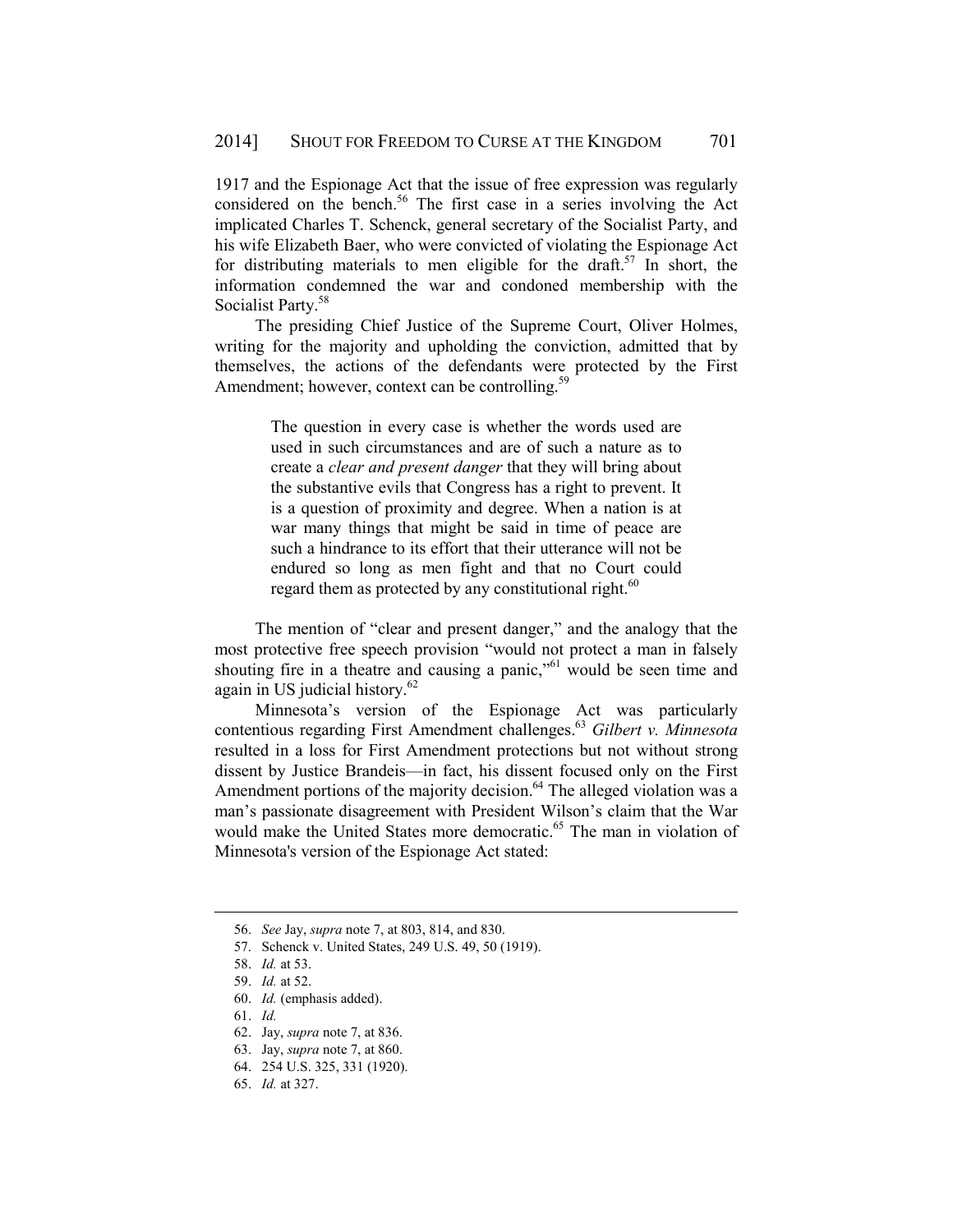1917 and the Espionage Act that the issue of free expression was regularly considered on the bench.<sup>56</sup> The first case in a series involving the Act implicated Charles T. Schenck, general secretary of the Socialist Party, and his wife Elizabeth Baer, who were convicted of violating the Espionage Act for distributing materials to men eligible for the draft.<sup>57</sup> In short, the information condemned the war and condoned membership with the Socialist Party.<sup>58</sup>

The presiding Chief Justice of the Supreme Court, Oliver Holmes, writing for the majority and upholding the conviction, admitted that by themselves, the actions of the defendants were protected by the First Amendment; however, context can be controlling.<sup>5</sup>

> The question in every case is whether the words used are used in such circumstances and are of such a nature as to create a *clear and present danger* that they will bring about the substantive evils that Congress has a right to prevent. It is a question of proximity and degree. When a nation is at war many things that might be said in time of peace are such a hindrance to its effort that their utterance will not be endured so long as men fight and that no Court could regard them as protected by any constitutional right. $60$

The mention of "clear and present danger," and the analogy that the most protective free speech provision "would not protect a man in falsely shouting fire in a theatre and causing a panic."<sup>61</sup> would be seen time and again in US judicial history.<sup>62</sup>

Minnesota's version of the Espionage Act was particularly contentious regarding First Amendment challenges.63 *Gilbert v. Minnesota* resulted in a loss for First Amendment protections but not without strong dissent by Justice Brandeis—in fact, his dissent focused only on the First Amendment portions of the majority decision. $64$  The alleged violation was a man's passionate disagreement with President Wilson's claim that the War would make the United States more democratic.<sup>65</sup> The man in violation of Minnesota's version of the Espionage Act stated:

 <sup>56.</sup> *See* Jay, *supra* note 7, at 803, 814, and 830.

 <sup>57.</sup> Schenck v. United States, 249 U.S. 49, 50 (1919).

 <sup>58.</sup> *Id.* at 53.

 <sup>59.</sup> *Id.* at 52.

 <sup>60.</sup> *Id.* (emphasis added).

 <sup>61.</sup> *Id.*

 <sup>62.</sup> Jay, *supra* note 7, at 836.

 <sup>63.</sup> Jay, *supra* note 7, at 860.

 <sup>64. 254</sup> U.S. 325, 331 (1920).

 <sup>65.</sup> *Id.* at 327.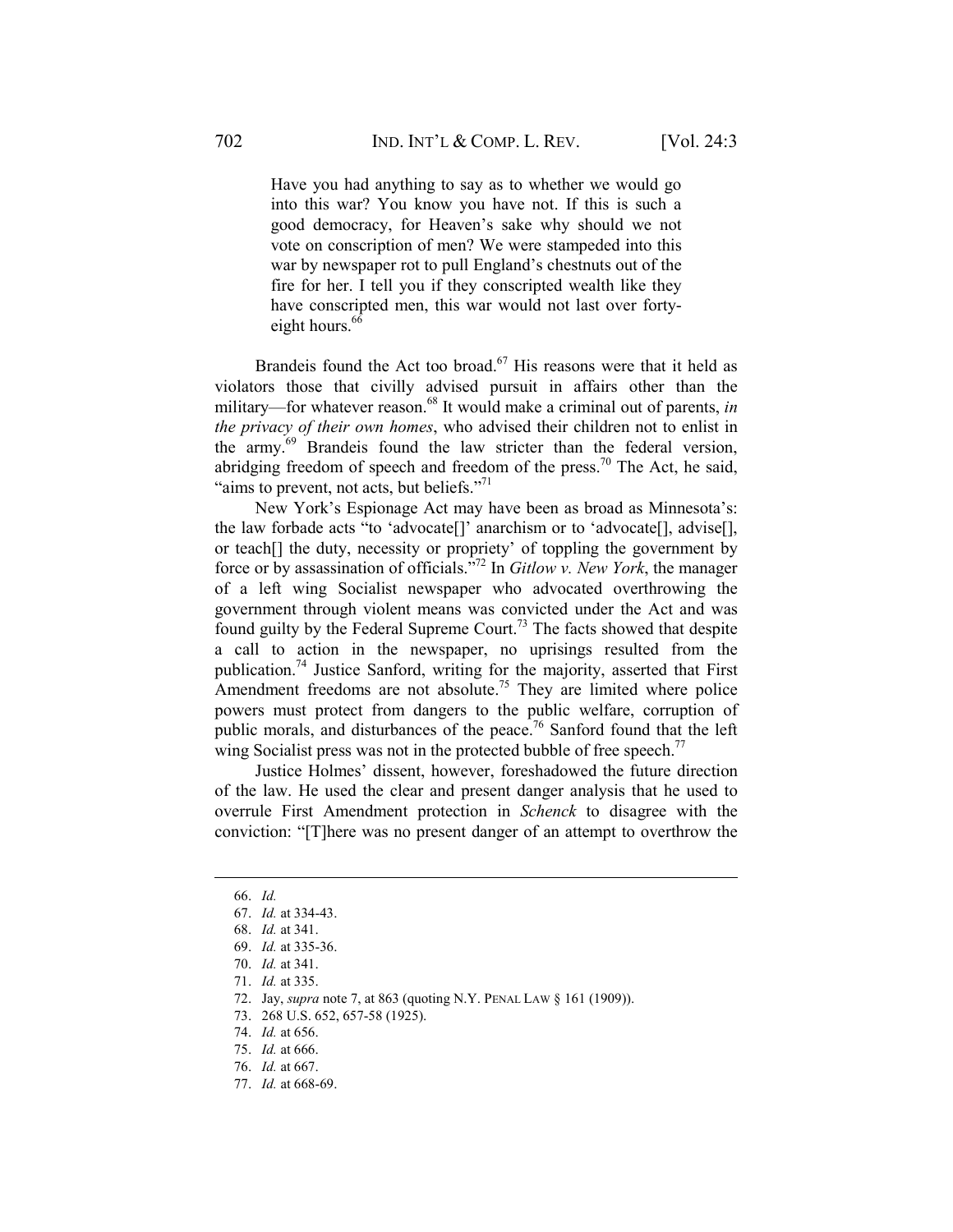Have you had anything to say as to whether we would go into this war? You know you have not. If this is such a good democracy, for Heaven's sake why should we not vote on conscription of men? We were stampeded into this war by newspaper rot to pull England's chestnuts out of the fire for her. I tell you if they conscripted wealth like they have conscripted men, this war would not last over fortyeight hours. $66$ 

Brandeis found the Act too broad.<sup>67</sup> His reasons were that it held as violators those that civilly advised pursuit in affairs other than the military—for whatever reason.<sup>68</sup> It would make a criminal out of parents, *in the privacy of their own homes*, who advised their children not to enlist in the army.69 Brandeis found the law stricter than the federal version, abridging freedom of speech and freedom of the press.<sup>70</sup> The Act, he said, "aims to prevent, not acts, but beliefs."<sup>71</sup>

New York's Espionage Act may have been as broad as Minnesota's: the law forbade acts "to 'advocate[]' anarchism or to 'advocate[], advise[], or teach[] the duty, necessity or propriety' of toppling the government by force or by assassination of officials."72 In *Gitlow v. New York*, the manager of a left wing Socialist newspaper who advocated overthrowing the government through violent means was convicted under the Act and was found guilty by the Federal Supreme Court.<sup>73</sup> The facts showed that despite a call to action in the newspaper, no uprisings resulted from the publication.74 Justice Sanford, writing for the majority, asserted that First Amendment freedoms are not absolute.<sup>75</sup> They are limited where police powers must protect from dangers to the public welfare, corruption of public morals, and disturbances of the peace.<sup>76</sup> Sanford found that the left wing Socialist press was not in the protected bubble of free speech.<sup>77</sup>

Justice Holmes' dissent, however, foreshadowed the future direction of the law. He used the clear and present danger analysis that he used to overrule First Amendment protection in *Schenck* to disagree with the conviction: "[T]here was no present danger of an attempt to overthrow the

 <sup>66.</sup> *Id.*

 <sup>67.</sup> *Id.* at 334-43.

 <sup>68.</sup> *Id.* at 341.

 <sup>69.</sup> *Id.* at 335-36.

 <sup>70.</sup> *Id.* at 341.

 <sup>71.</sup> *Id.* at 335.

 <sup>72.</sup> Jay, *supra* note 7, at 863 (quoting N.Y. PENAL LAW § 161 (1909)).

 <sup>73. 268</sup> U.S. 652, 657-58 (1925).

 <sup>74.</sup> *Id.* at 656.

 <sup>75.</sup> *Id.* at 666.

 <sup>76.</sup> *Id.* at 667.

 <sup>77.</sup> *Id.* at 668-69.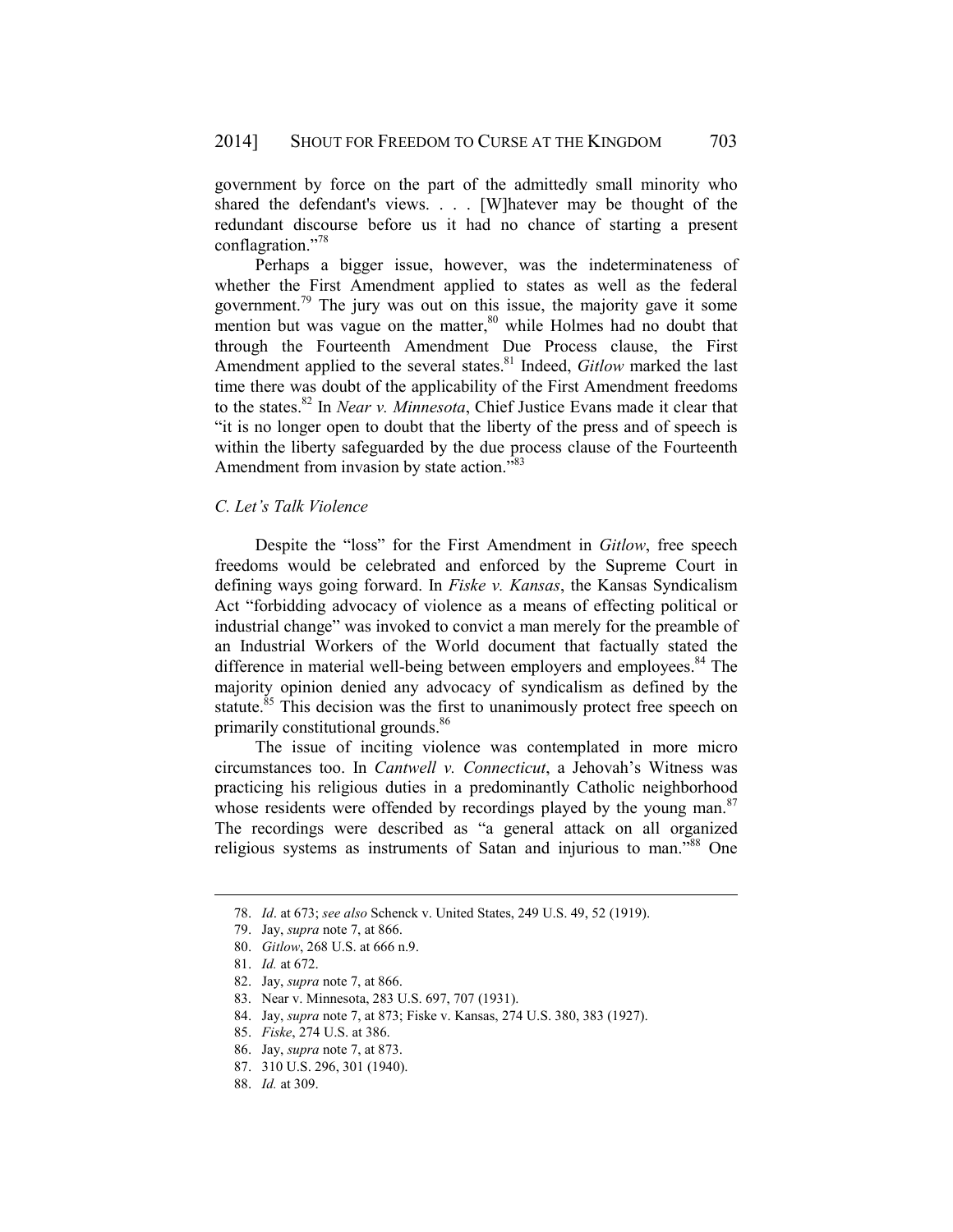government by force on the part of the admittedly small minority who shared the defendant's views. . . . [W]hatever may be thought of the redundant discourse before us it had no chance of starting a present conflagration."78

Perhaps a bigger issue, however, was the indeterminateness of whether the First Amendment applied to states as well as the federal government.<sup>79</sup> The jury was out on this issue, the majority gave it some mention but was vague on the matter, $80$  while Holmes had no doubt that through the Fourteenth Amendment Due Process clause, the First Amendment applied to the several states.<sup>81</sup> Indeed, *Gitlow* marked the last time there was doubt of the applicability of the First Amendment freedoms to the states.82 In *Near v. Minnesota*, Chief Justice Evans made it clear that "it is no longer open to doubt that the liberty of the press and of speech is within the liberty safeguarded by the due process clause of the Fourteenth Amendment from invasion by state action."<sup>83</sup>

# *C. Let's Talk Violence*

Despite the "loss" for the First Amendment in *Gitlow*, free speech freedoms would be celebrated and enforced by the Supreme Court in defining ways going forward. In *Fiske v. Kansas*, the Kansas Syndicalism Act "forbidding advocacy of violence as a means of effecting political or industrial change" was invoked to convict a man merely for the preamble of an Industrial Workers of the World document that factually stated the difference in material well-being between employers and employees.<sup>84</sup> The majority opinion denied any advocacy of syndicalism as defined by the statute.<sup>85</sup> This decision was the first to unanimously protect free speech on primarily constitutional grounds.<sup>86</sup>

The issue of inciting violence was contemplated in more micro circumstances too. In *Cantwell v. Connecticut*, a Jehovah's Witness was practicing his religious duties in a predominantly Catholic neighborhood whose residents were offended by recordings played by the young man.<sup>87</sup> The recordings were described as "a general attack on all organized religious systems as instruments of Satan and injurious to man.<sup>788</sup> One

- 86. Jay, *supra* note 7, at 873.
- 87. 310 U.S. 296, 301 (1940).
- 88. *Id.* at 309.

 <sup>78.</sup> *Id*. at 673; *see also* Schenck v. United States, 249 U.S. 49, 52 (1919).

 <sup>79.</sup> Jay, *supra* note 7, at 866.

 <sup>80.</sup> *Gitlow*, 268 U.S. at 666 n.9.

 <sup>81.</sup> *Id.* at 672.

 <sup>82.</sup> Jay, *supra* note 7, at 866.

 <sup>83.</sup> Near v. Minnesota, 283 U.S. 697, 707 (1931).

 <sup>84.</sup> Jay, *supra* note 7, at 873; Fiske v. Kansas, 274 U.S. 380, 383 (1927).

 <sup>85.</sup> *Fiske*, 274 U.S. at 386.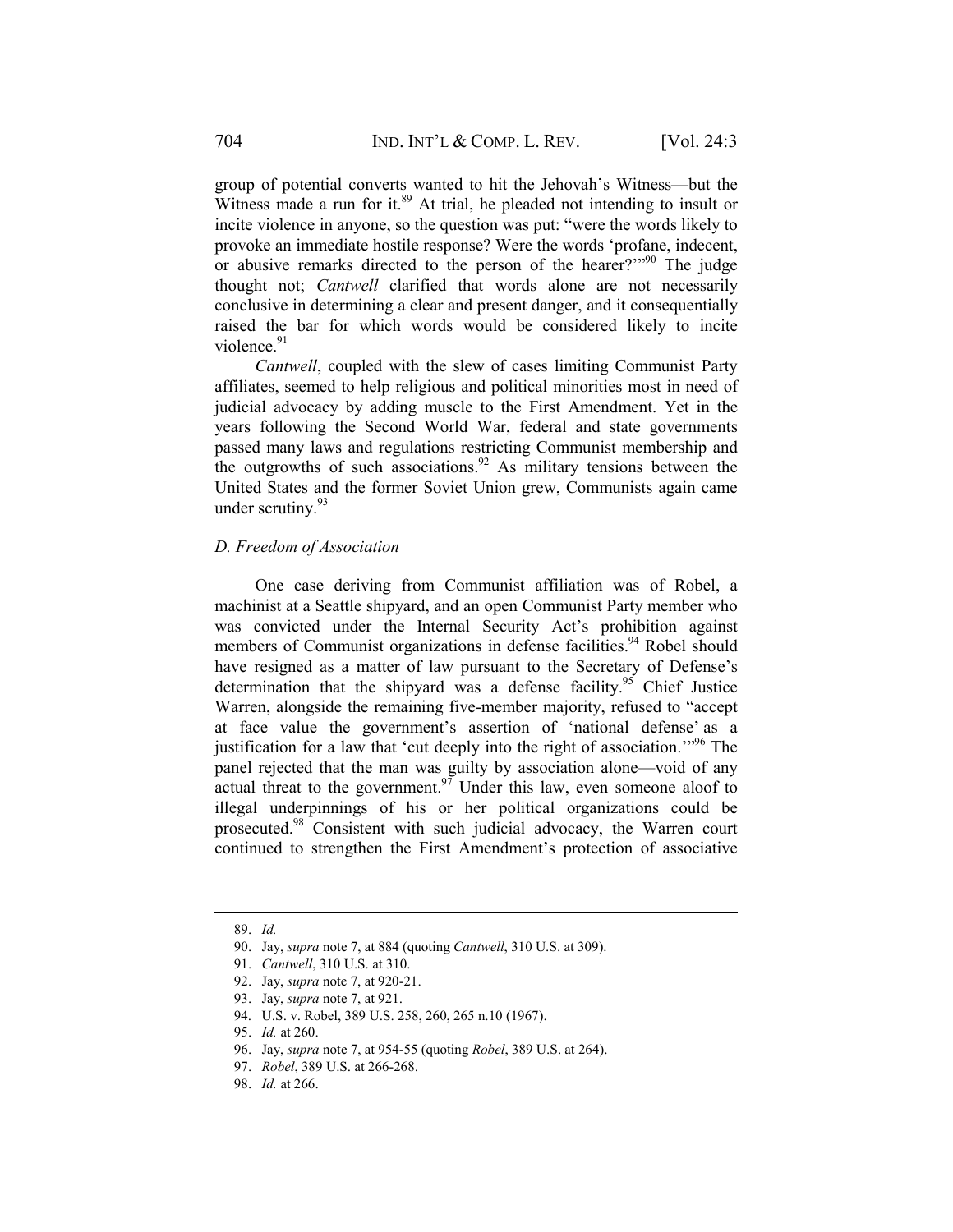group of potential converts wanted to hit the Jehovah's Witness—but the Witness made a run for it.<sup>89</sup> At trial, he pleaded not intending to insult or incite violence in anyone, so the question was put: "were the words likely to provoke an immediate hostile response? Were the words 'profane, indecent, or abusive remarks directed to the person of the hearer?"<sup>90</sup> The judge thought not; *Cantwell* clarified that words alone are not necessarily conclusive in determining a clear and present danger, and it consequentially raised the bar for which words would be considered likely to incite violence $91$ 

*Cantwell*, coupled with the slew of cases limiting Communist Party affiliates, seemed to help religious and political minorities most in need of judicial advocacy by adding muscle to the First Amendment. Yet in the years following the Second World War, federal and state governments passed many laws and regulations restricting Communist membership and the outgrowths of such associations.<sup>92</sup> As military tensions between the United States and the former Soviet Union grew, Communists again came under scrutiny.<sup>93</sup>

## *D. Freedom of Association*

One case deriving from Communist affiliation was of Robel, a machinist at a Seattle shipyard, and an open Communist Party member who was convicted under the Internal Security Act's prohibition against members of Communist organizations in defense facilities.<sup>94</sup> Robel should have resigned as a matter of law pursuant to the Secretary of Defense's determination that the shipyard was a defense facility.<sup>95</sup> Chief Justice Warren, alongside the remaining five-member majority, refused to "accept at face value the government's assertion of 'national defense' as a justification for a law that 'cut deeply into the right of association.'"96 The panel rejected that the man was guilty by association alone—void of any actual threat to the government.<sup>97</sup> Under this law, even someone aloof to illegal underpinnings of his or her political organizations could be prosecuted.98 Consistent with such judicial advocacy, the Warren court continued to strengthen the First Amendment's protection of associative

 <sup>89.</sup> *Id.*

 <sup>90.</sup> Jay, *supra* note 7, at 884 (quoting *Cantwell*, 310 U.S. at 309).

 <sup>91.</sup> *Cantwell*, 310 U.S. at 310.

 <sup>92.</sup> Jay, *supra* note 7, at 920-21.

 <sup>93.</sup> Jay, *supra* note 7, at 921.

 <sup>94.</sup> U.S. v. Robel, 389 U.S. 258, 260, 265 n.10 (1967).

 <sup>95.</sup> *Id.* at 260.

 <sup>96.</sup> Jay, *supra* note 7, at 954-55 (quoting *Robel*, 389 U.S. at 264).

 <sup>97.</sup> *Robel*, 389 U.S. at 266-268.

 <sup>98.</sup> *Id.* at 266.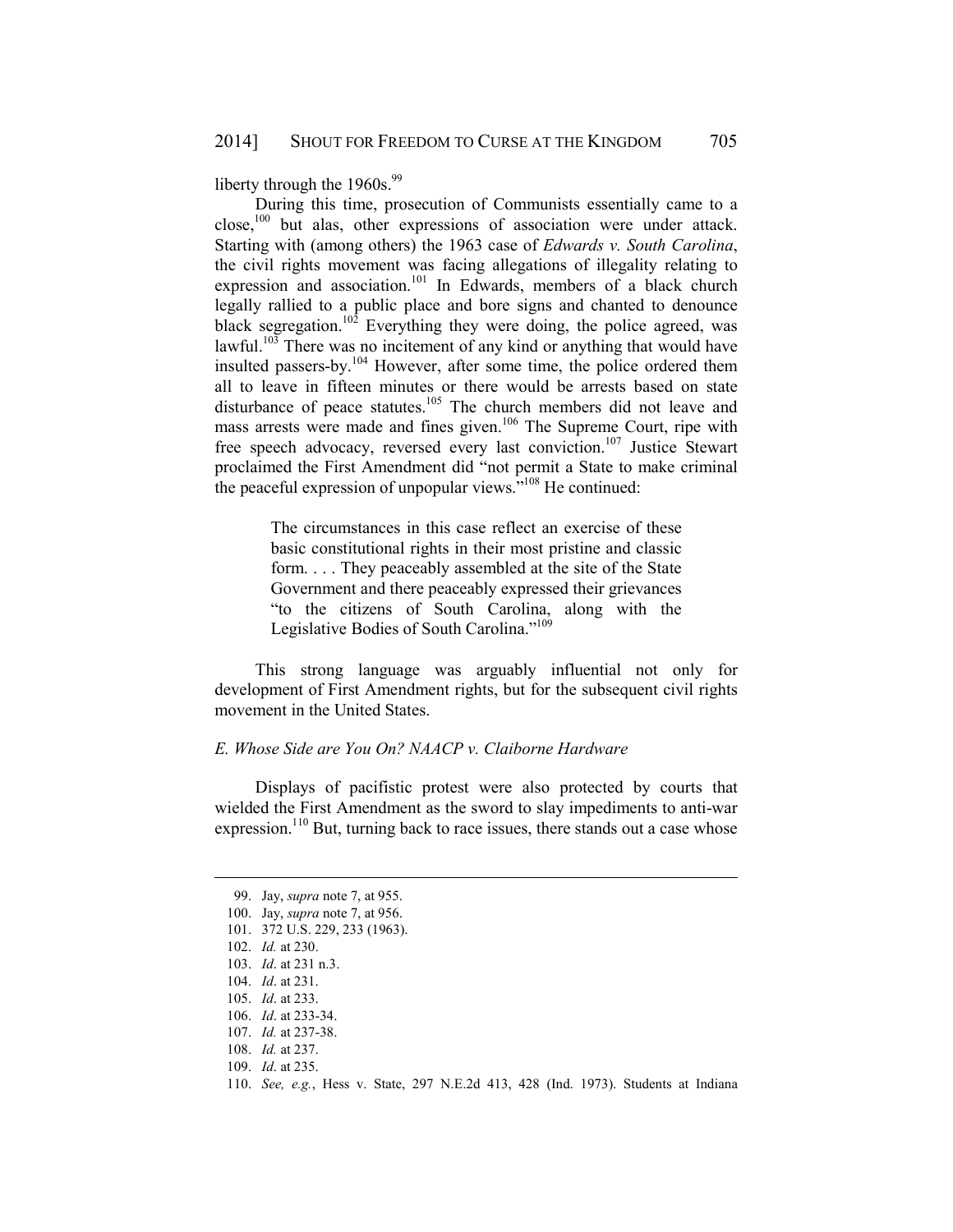liberty through the  $1960s.<sup>99</sup>$ 

During this time, prosecution of Communists essentially came to a close,100 but alas, other expressions of association were under attack. Starting with (among others) the 1963 case of *Edwards v. South Carolina*, the civil rights movement was facing allegations of illegality relating to expression and association.<sup>101</sup> In Edwards, members of a black church legally rallied to a public place and bore signs and chanted to denounce black segregation.<sup>102</sup> Everything they were doing, the police agreed, was lawful.<sup>103</sup> There was no incitement of any kind or anything that would have insulted passers-by.104 However, after some time, the police ordered them all to leave in fifteen minutes or there would be arrests based on state disturbance of peace statutes.<sup>105</sup> The church members did not leave and mass arrests were made and fines given.<sup>106</sup> The Supreme Court, ripe with free speech advocacy, reversed every last conviction.<sup>107</sup> Justice Stewart proclaimed the First Amendment did "not permit a State to make criminal the peaceful expression of unpopular views."<sup>108</sup> He continued:

> The circumstances in this case reflect an exercise of these basic constitutional rights in their most pristine and classic form. . . . They peaceably assembled at the site of the State Government and there peaceably expressed their grievances "to the citizens of South Carolina, along with the Legislative Bodies of South Carolina."<sup>109</sup>

This strong language was arguably influential not only for development of First Amendment rights, but for the subsequent civil rights movement in the United States.

# *E. Whose Side are You On? NAACP v. Claiborne Hardware*

Displays of pacifistic protest were also protected by courts that wielded the First Amendment as the sword to slay impediments to anti-war expression.<sup>110</sup> But, turning back to race issues, there stands out a case whose

 <sup>99.</sup> Jay, *supra* note 7, at 955.

 <sup>100.</sup> Jay, *supra* note 7, at 956.

 <sup>101. 372</sup> U.S. 229, 233 (1963).

 <sup>102.</sup> *Id.* at 230.

 <sup>103.</sup> *Id*. at 231 n.3.

 <sup>104.</sup> *Id*. at 231.

 <sup>105.</sup> *Id*. at 233.

 <sup>106.</sup> *Id*. at 233-34.

 <sup>107.</sup> *Id.* at 237-38.

 <sup>108.</sup> *Id.* at 237.

 <sup>109.</sup> *Id*. at 235.

 <sup>110.</sup> *See, e.g.*, Hess v. State, 297 N.E.2d 413, 428 (Ind. 1973). Students at Indiana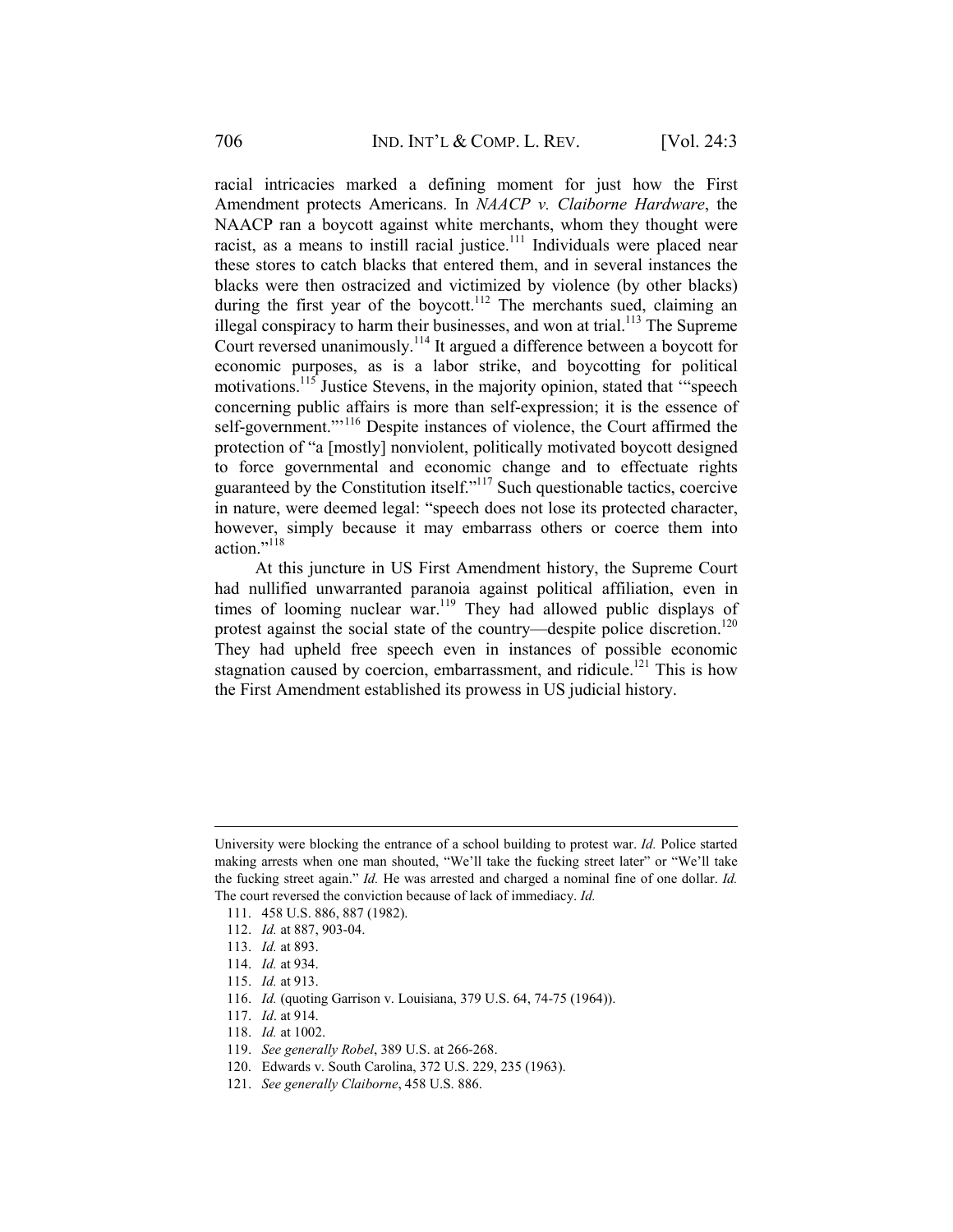racial intricacies marked a defining moment for just how the First Amendment protects Americans. In *NAACP v. Claiborne Hardware*, the NAACP ran a boycott against white merchants, whom they thought were racist, as a means to instill racial justice.<sup>111</sup> Individuals were placed near these stores to catch blacks that entered them, and in several instances the blacks were then ostracized and victimized by violence (by other blacks) during the first year of the boycott.<sup>112</sup> The merchants sued, claiming an illegal conspiracy to harm their businesses, and won at trial.<sup>113</sup> The Supreme Court reversed unanimously.114 It argued a difference between a boycott for economic purposes, as is a labor strike, and boycotting for political motivations.<sup>115</sup> Justice Stevens, in the majority opinion, stated that "speech" concerning public affairs is more than self-expression; it is the essence of self-government."<sup>116</sup> Despite instances of violence, the Court affirmed the protection of "a [mostly] nonviolent, politically motivated boycott designed to force governmental and economic change and to effectuate rights guaranteed by the Constitution itself."117 Such questionable tactics, coercive in nature, were deemed legal: "speech does not lose its protected character, however, simply because it may embarrass others or coerce them into action."<sup>118</sup>

At this juncture in US First Amendment history, the Supreme Court had nullified unwarranted paranoia against political affiliation, even in times of looming nuclear war.<sup>119</sup> They had allowed public displays of protest against the social state of the country—despite police discretion.<sup>120</sup> They had upheld free speech even in instances of possible economic stagnation caused by coercion, embarrassment, and ridicule.<sup>121</sup> This is how the First Amendment established its prowess in US judicial history.

1

117. *Id*. at 914.

- 119. *See generally Robel*, 389 U.S. at 266-268.
- 120. Edwards v. South Carolina, 372 U.S. 229, 235 (1963).
- 121. *See generally Claiborne*, 458 U.S. 886.

University were blocking the entrance of a school building to protest war. *Id.* Police started making arrests when one man shouted, "We'll take the fucking street later" or "We'll take the fucking street again." *Id.* He was arrested and charged a nominal fine of one dollar. *Id.*  The court reversed the conviction because of lack of immediacy. *Id.*

 <sup>111. 458</sup> U.S. 886, 887 (1982).

 <sup>112.</sup> *Id.* at 887, 903-04.

 <sup>113.</sup> *Id.* at 893.

 <sup>114.</sup> *Id.* at 934.

 <sup>115.</sup> *Id.* at 913.

 <sup>116.</sup> *Id.* (quoting Garrison v. Louisiana, 379 U.S. 64, 74-75 (1964)).

 <sup>118.</sup> *Id.* at 1002.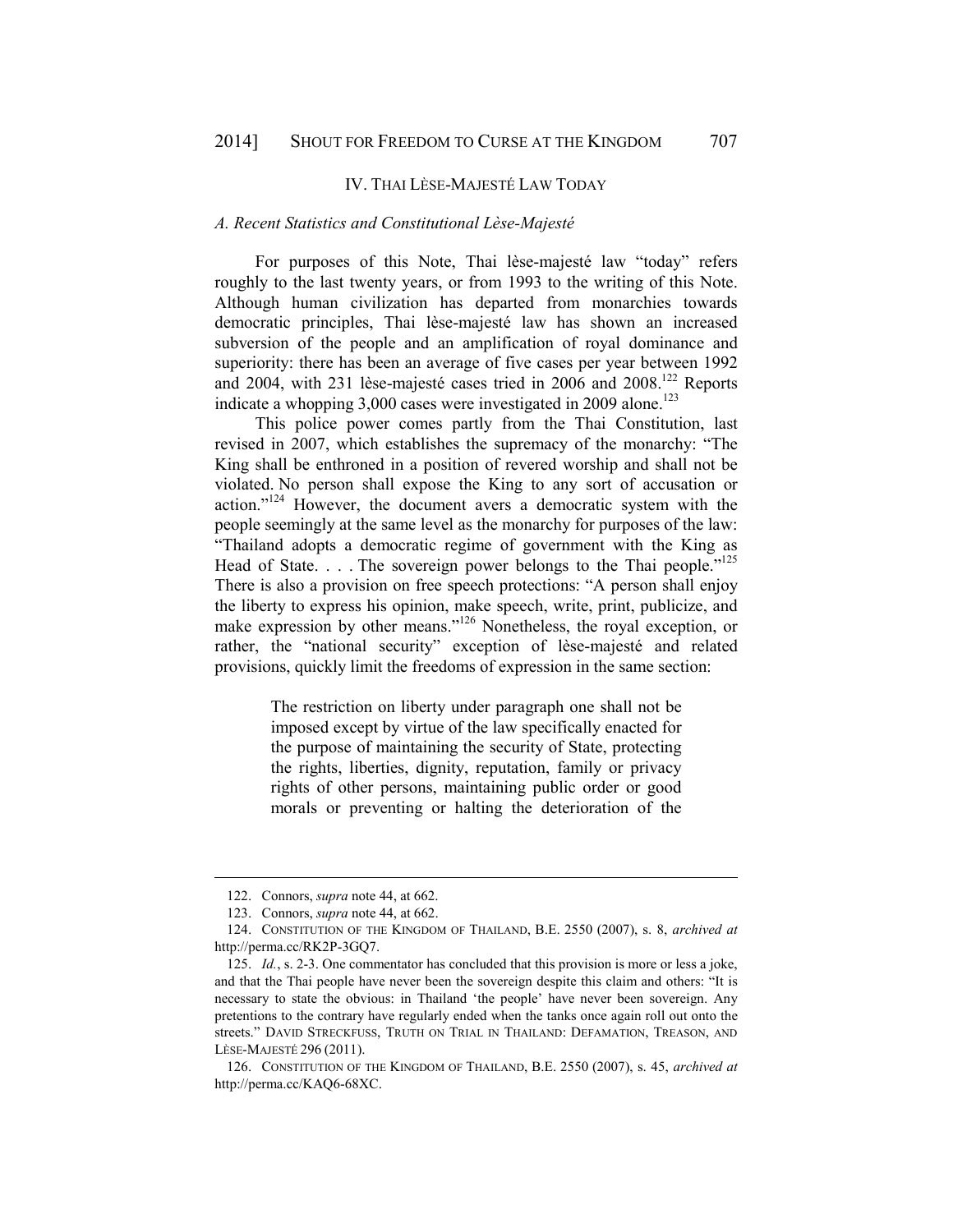#### IV. THAI LÈSE-MAJESTÉ LAW TODAY

### *A. Recent Statistics and Constitutional Lèse-Majesté*

For purposes of this Note, Thai lèse-majesté law "today" refers roughly to the last twenty years, or from 1993 to the writing of this Note. Although human civilization has departed from monarchies towards democratic principles, Thai lèse-majesté law has shown an increased subversion of the people and an amplification of royal dominance and superiority: there has been an average of five cases per year between 1992 and 2004, with 231 lèse-majesté cases tried in 2006 and 2008.122 Reports indicate a whopping 3,000 cases were investigated in 2009 alone.<sup>123</sup>

This police power comes partly from the Thai Constitution, last revised in 2007, which establishes the supremacy of the monarchy: "The King shall be enthroned in a position of revered worship and shall not be violated. No person shall expose the King to any sort of accusation or action."124 However, the document avers a democratic system with the people seemingly at the same level as the monarchy for purposes of the law: "Thailand adopts a democratic regime of government with the King as Head of State.  $\ldots$ . The sovereign power belongs to the Thai people.<sup> $125$ </sup> There is also a provision on free speech protections: "A person shall enjoy the liberty to express his opinion, make speech, write, print, publicize, and make expression by other means."<sup>126</sup> Nonetheless, the royal exception, or rather, the "national security" exception of lèse-majesté and related provisions, quickly limit the freedoms of expression in the same section:

> The restriction on liberty under paragraph one shall not be imposed except by virtue of the law specifically enacted for the purpose of maintaining the security of State, protecting the rights, liberties, dignity, reputation, family or privacy rights of other persons, maintaining public order or good morals or preventing or halting the deterioration of the

 <sup>122.</sup> Connors, *supra* note 44, at 662.

 <sup>123.</sup> Connors, *supra* note 44, at 662.

 <sup>124.</sup> CONSTITUTION OF THE KINGDOM OF THAILAND, B.E. 2550 (2007), s. 8, *archived at*  http://perma.cc/RK2P-3GQ7.

 <sup>125.</sup> *Id.*, s. 2-3. One commentator has concluded that this provision is more or less a joke, and that the Thai people have never been the sovereign despite this claim and others: "It is necessary to state the obvious: in Thailand 'the people' have never been sovereign. Any pretentions to the contrary have regularly ended when the tanks once again roll out onto the streets." DAVID STRECKFUSS, TRUTH ON TRIAL IN THAILAND: DEFAMATION, TREASON, AND LÈSE-MAJESTÉ 296 (2011).

 <sup>126.</sup> CONSTITUTION OF THE KINGDOM OF THAILAND, B.E. 2550 (2007), s. 45, *archived at*  http://perma.cc/KAQ6-68XC.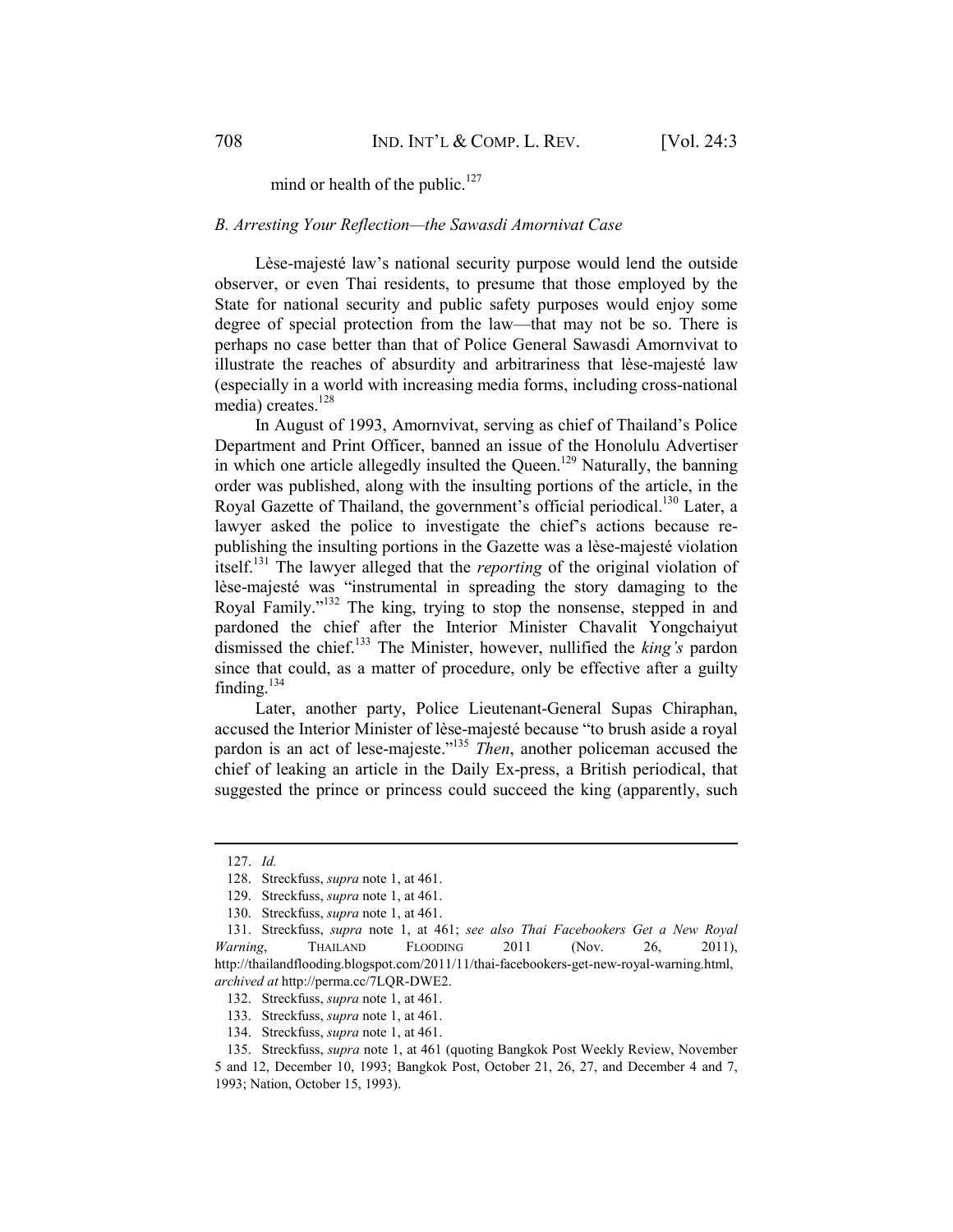mind or health of the public.<sup>127</sup>

### *B. Arresting Your Reflection—the Sawasdi Amornivat Case*

Lèse-majesté law's national security purpose would lend the outside observer, or even Thai residents, to presume that those employed by the State for national security and public safety purposes would enjoy some degree of special protection from the law—that may not be so. There is perhaps no case better than that of Police General Sawasdi Amornvivat to illustrate the reaches of absurdity and arbitrariness that lèse-majesté law (especially in a world with increasing media forms, including cross-national media) creates.<sup>128</sup>

In August of 1993, Amornvivat, serving as chief of Thailand's Police Department and Print Officer, banned an issue of the Honolulu Advertiser in which one article allegedly insulted the Queen.<sup>129</sup> Naturally, the banning order was published, along with the insulting portions of the article, in the Royal Gazette of Thailand, the government's official periodical.<sup>130</sup> Later, a lawyer asked the police to investigate the chief's actions because republishing the insulting portions in the Gazette was a lèse-majesté violation itself.131 The lawyer alleged that the *reporting* of the original violation of lèse-majesté was "instrumental in spreading the story damaging to the Royal Family."132 The king, trying to stop the nonsense, stepped in and pardoned the chief after the Interior Minister Chavalit Yongchaiyut dismissed the chief.133 The Minister, however, nullified the *king's* pardon since that could, as a matter of procedure, only be effective after a guilty finding. $134$ 

Later, another party, Police Lieutenant-General Supas Chiraphan, accused the Interior Minister of lèse-majesté because "to brush aside a royal pardon is an act of lese-majeste."<sup>135</sup> *Then*, another policeman accused the chief of leaking an article in the Daily Ex-press, a British periodical, that suggested the prince or princess could succeed the king (apparently, such

 <sup>127.</sup> *Id.*

 <sup>128.</sup> Streckfuss, *supra* note 1, at 461.

 <sup>129.</sup> Streckfuss, *supra* note 1, at 461.

 <sup>130.</sup> Streckfuss, *supra* note 1, at 461.

 <sup>131.</sup> Streckfuss, *supra* note 1, at 461; *see also Thai Facebookers Get a New Royal Warning*, THAILAND FLOODING 2011 (Nov. 26, 2011), http://thailandflooding.blogspot.com/2011/11/thai-facebookers-get-new-royal-warning.html, *archived at* http://perma.cc/7LQR-DWE2.

 <sup>132.</sup> Streckfuss, *supra* note 1, at 461.

 <sup>133.</sup> Streckfuss, *supra* note 1, at 461.

 <sup>134.</sup> Streckfuss, *supra* note 1, at 461.

 <sup>135.</sup> Streckfuss, *supra* note 1, at 461 (quoting Bangkok Post Weekly Review, November 5 and 12, December 10, 1993; Bangkok Post, October 21, 26, 27, and December 4 and 7, 1993; Nation, October 15, 1993).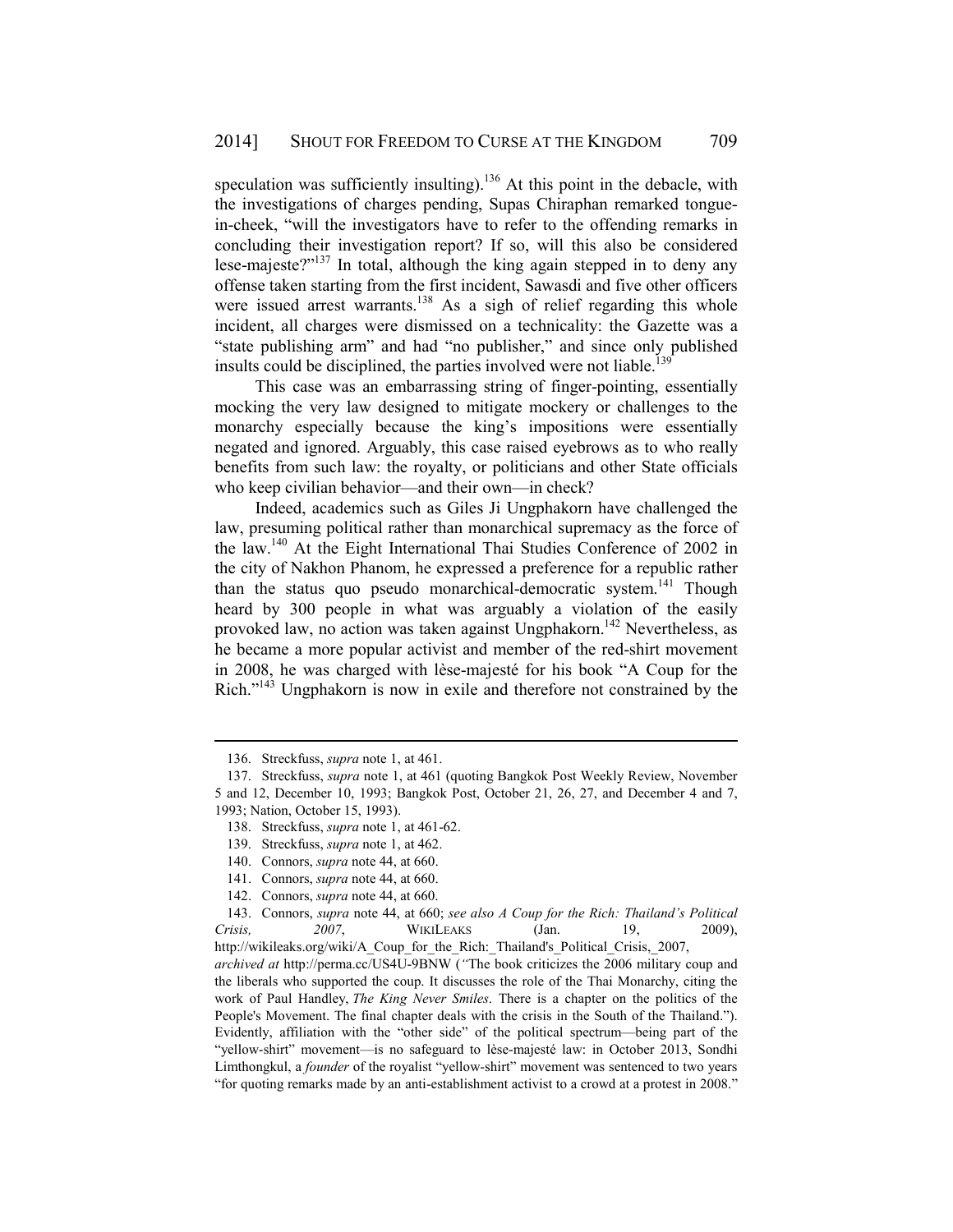speculation was sufficiently insulting).<sup>136</sup> At this point in the debacle, with the investigations of charges pending, Supas Chiraphan remarked tonguein-cheek, "will the investigators have to refer to the offending remarks in concluding their investigation report? If so, will this also be considered lese-majeste?"<sup>137</sup> In total, although the king again stepped in to deny any offense taken starting from the first incident, Sawasdi and five other officers were issued arrest warrants.<sup>138</sup> As a sigh of relief regarding this whole incident, all charges were dismissed on a technicality: the Gazette was a "state publishing arm" and had "no publisher," and since only published insults could be disciplined, the parties involved were not liable.<sup>139</sup>

This case was an embarrassing string of finger-pointing, essentially mocking the very law designed to mitigate mockery or challenges to the monarchy especially because the king's impositions were essentially negated and ignored. Arguably, this case raised eyebrows as to who really benefits from such law: the royalty, or politicians and other State officials who keep civilian behavior—and their own—in check?

Indeed, academics such as Giles Ji Ungphakorn have challenged the law, presuming political rather than monarchical supremacy as the force of the law.140 At the Eight International Thai Studies Conference of 2002 in the city of Nakhon Phanom, he expressed a preference for a republic rather than the status quo pseudo monarchical-democratic system.<sup>141</sup> Though heard by 300 people in what was arguably a violation of the easily provoked law, no action was taken against Ungphakorn.<sup>142</sup> Nevertheless, as he became a more popular activist and member of the red-shirt movement in 2008, he was charged with lèse-majesté for his book "A Coup for the Rich."143 Ungphakorn is now in exile and therefore not constrained by the

 <sup>136.</sup> Streckfuss, *supra* note 1, at 461.

 <sup>137.</sup> Streckfuss, *supra* note 1, at 461 (quoting Bangkok Post Weekly Review, November 5 and 12, December 10, 1993; Bangkok Post, October 21, 26, 27, and December 4 and 7, 1993; Nation, October 15, 1993).

 <sup>138.</sup> Streckfuss, *supra* note 1, at 461-62.

 <sup>139.</sup> Streckfuss, *supra* note 1, at 462.

 <sup>140.</sup> Connors, *supra* note 44, at 660.

 <sup>141.</sup> Connors, *supra* note 44, at 660.

 <sup>142.</sup> Connors, *supra* note 44, at 660.

 <sup>143.</sup> Connors, *supra* note 44, at 660; *see also A Coup for the Rich: Thailand's Political Crisis, 2007*, WIKILEAKS (Jan. 19, 2009), http://wikileaks.org/wiki/A\_Coup\_for\_the\_Rich:\_Thailand's\_Political\_Crisis,\_2007, *archived at* http://perma.cc/US4U-9BNW (*"*The book criticizes the 2006 military coup and the liberals who supported the coup. It discusses the role of the Thai Monarchy, citing the work of Paul Handley, *The King Never Smiles*. There is a chapter on the politics of the People's Movement. The final chapter deals with the crisis in the South of the Thailand."). Evidently, affiliation with the "other side" of the political spectrum—being part of the "yellow-shirt" movement—is no safeguard to lèse-majesté law: in October 2013, Sondhi Limthongkul, a *founder* of the royalist "yellow-shirt" movement was sentenced to two years "for quoting remarks made by an anti-establishment activist to a crowd at a protest in 2008."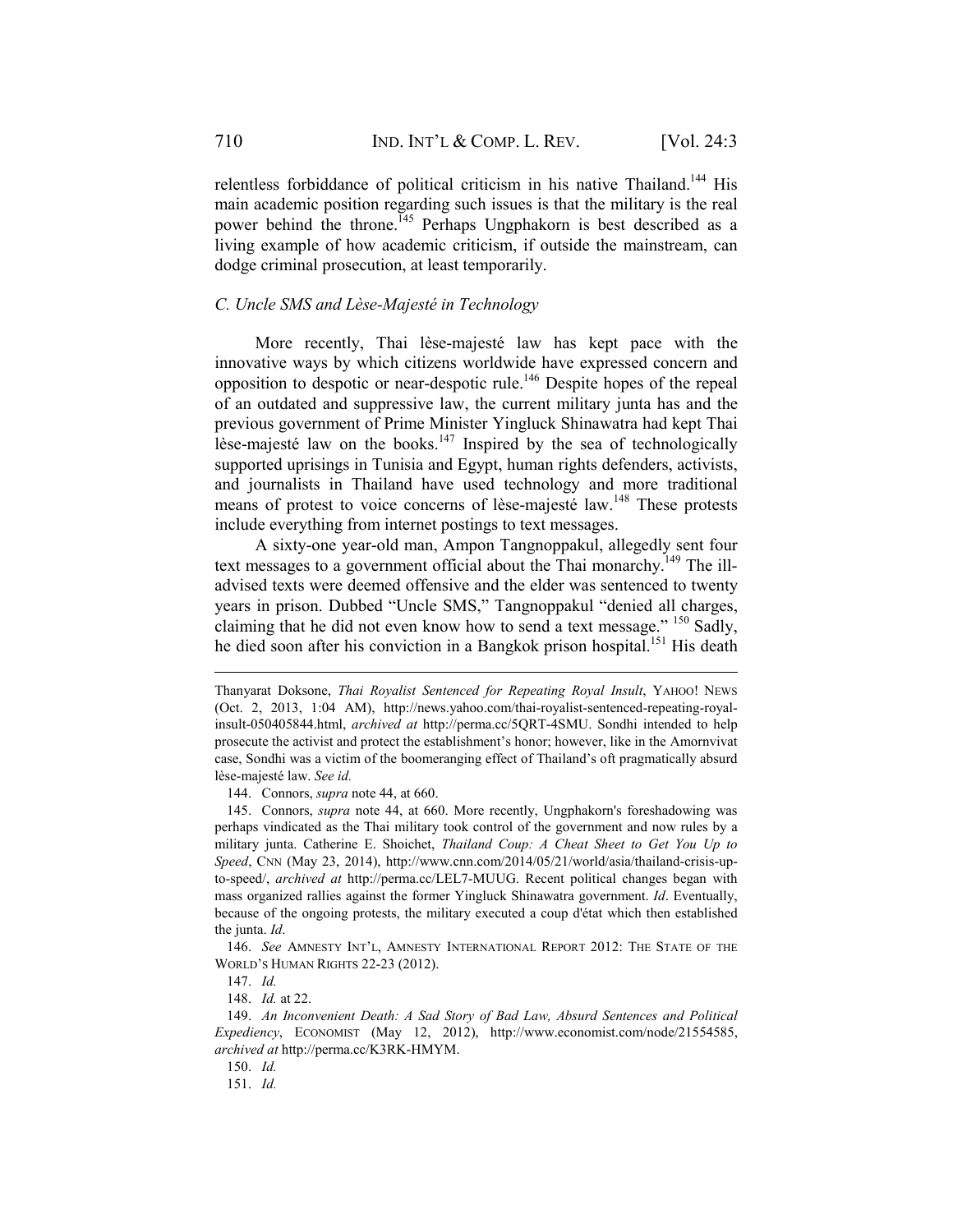relentless forbiddance of political criticism in his native Thailand.<sup>144</sup> His main academic position regarding such issues is that the military is the real power behind the throne.<sup>145</sup> Perhaps Ungphakorn is best described as a living example of how academic criticism, if outside the mainstream, can dodge criminal prosecution, at least temporarily.

# *C. Uncle SMS and Lèse-Majesté in Technology*

More recently, Thai lèse-majesté law has kept pace with the innovative ways by which citizens worldwide have expressed concern and opposition to despotic or near-despotic rule.146 Despite hopes of the repeal of an outdated and suppressive law, the current military junta has and the previous government of Prime Minister Yingluck Shinawatra had kept Thai lèse-majesté law on the books.<sup>147</sup> Inspired by the sea of technologically supported uprisings in Tunisia and Egypt, human rights defenders, activists, and journalists in Thailand have used technology and more traditional means of protest to voice concerns of lèse-majesté law.<sup>148</sup> These protests include everything from internet postings to text messages.

A sixty-one year-old man, Ampon Tangnoppakul, allegedly sent four text messages to a government official about the Thai monarchy.<sup>149</sup> The illadvised texts were deemed offensive and the elder was sentenced to twenty years in prison. Dubbed "Uncle SMS," Tangnoppakul "denied all charges, claiming that he did not even know how to send a text message." 150 Sadly, he died soon after his conviction in a Bangkok prison hospital.<sup>151</sup> His death

144. Connors, *supra* note 44, at 660.

 145. Connors, *supra* note 44, at 660. More recently, Ungphakorn's foreshadowing was perhaps vindicated as the Thai military took control of the government and now rules by a military junta. Catherine E. Shoichet, *Thailand Coup: A Cheat Sheet to Get You Up to Speed*, CNN (May 23, 2014), http://www.cnn.com/2014/05/21/world/asia/thailand-crisis-upto-speed/, *archived at* http://perma.cc/LEL7-MUUG. Recent political changes began with mass organized rallies against the former Yingluck Shinawatra government. *Id*. Eventually, because of the ongoing protests, the military executed a coup d'état which then established the junta. *Id*.

 146. *See* AMNESTY INT'L, AMNESTY INTERNATIONAL REPORT 2012: THE STATE OF THE WORLD'S HUMAN RIGHTS 22-23 (2012).

147. *Id.*

1

148. *Id.* at 22.

151. *Id.*

Thanyarat Doksone, *Thai Royalist Sentenced for Repeating Royal Insult*, YAHOO! NEWS (Oct. 2, 2013, 1:04 AM), http://news.yahoo.com/thai-royalist-sentenced-repeating-royalinsult-050405844.html, *archived at* http://perma.cc/5QRT-4SMU. Sondhi intended to help prosecute the activist and protect the establishment's honor; however, like in the Amornvivat case, Sondhi was a victim of the boomeranging effect of Thailand's oft pragmatically absurd lèse-majesté law. *See id.* 

 <sup>149.</sup> *An Inconvenient Death: A Sad Story of Bad Law, Absurd Sentences and Political Expediency*, ECONOMIST (May 12, 2012), http://www.economist.com/node/21554585, *archived at* http://perma.cc/K3RK-HMYM.

 <sup>150.</sup> *Id.*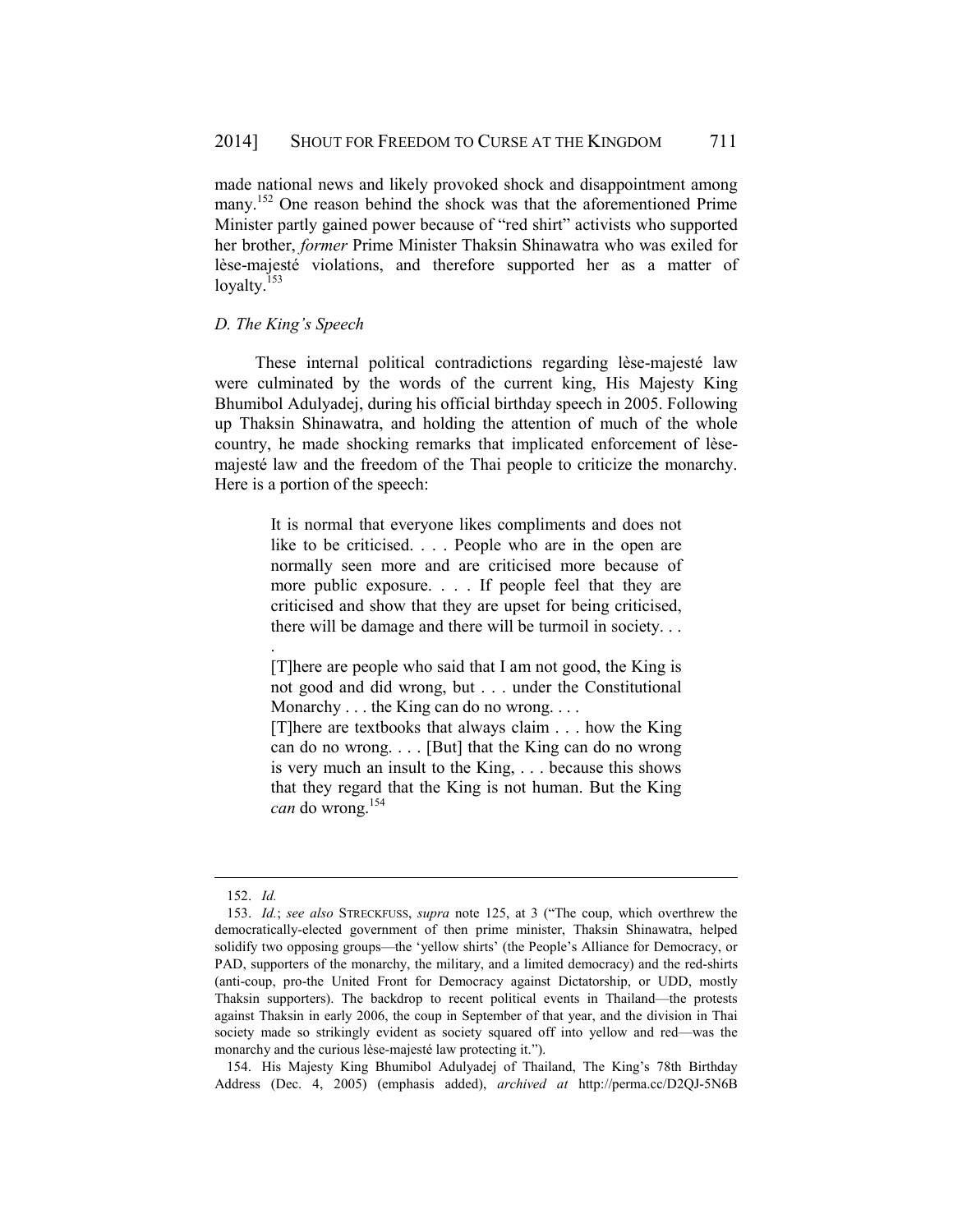made national news and likely provoked shock and disappointment among many.<sup>152</sup> One reason behind the shock was that the aforementioned Prime Minister partly gained power because of "red shirt" activists who supported her brother, *former* Prime Minister Thaksin Shinawatra who was exiled for lèse-majesté violations, and therefore supported her as a matter of lovalty. $153$ 

## *D. The King's Speech*

These internal political contradictions regarding lèse-majesté law were culminated by the words of the current king, His Majesty King Bhumibol Adulyadej, during his official birthday speech in 2005. Following up Thaksin Shinawatra, and holding the attention of much of the whole country, he made shocking remarks that implicated enforcement of lèsemajesté law and the freedom of the Thai people to criticize the monarchy. Here is a portion of the speech:

> It is normal that everyone likes compliments and does not like to be criticised. . . . People who are in the open are normally seen more and are criticised more because of more public exposure. . . . If people feel that they are criticised and show that they are upset for being criticised, there will be damage and there will be turmoil in society. . .

> [T]here are people who said that I am not good, the King is not good and did wrong, but . . . under the Constitutional Monarchy . . . the King can do no wrong. . . .

> [T]here are textbooks that always claim . . . how the King can do no wrong. . . . [But] that the King can do no wrong is very much an insult to the King, . . . because this shows that they regard that the King is not human. But the King *can* do wrong.154

1

.

 154. His Majesty King Bhumibol Adulyadej of Thailand, The King's 78th Birthday Address (Dec. 4, 2005) (emphasis added), *archived at* http://perma.cc/D2QJ-5N6B

 <sup>152.</sup> *Id.*

 <sup>153.</sup> *Id.*; *see also* STRECKFUSS, *supra* note 125, at 3 ("The coup, which overthrew the democratically-elected government of then prime minister, Thaksin Shinawatra, helped solidify two opposing groups—the 'yellow shirts' (the People's Alliance for Democracy, or PAD, supporters of the monarchy, the military, and a limited democracy) and the red-shirts (anti-coup, pro-the United Front for Democracy against Dictatorship, or UDD, mostly Thaksin supporters). The backdrop to recent political events in Thailand—the protests against Thaksin in early 2006, the coup in September of that year, and the division in Thai society made so strikingly evident as society squared off into yellow and red—was the monarchy and the curious lèse-majesté law protecting it.").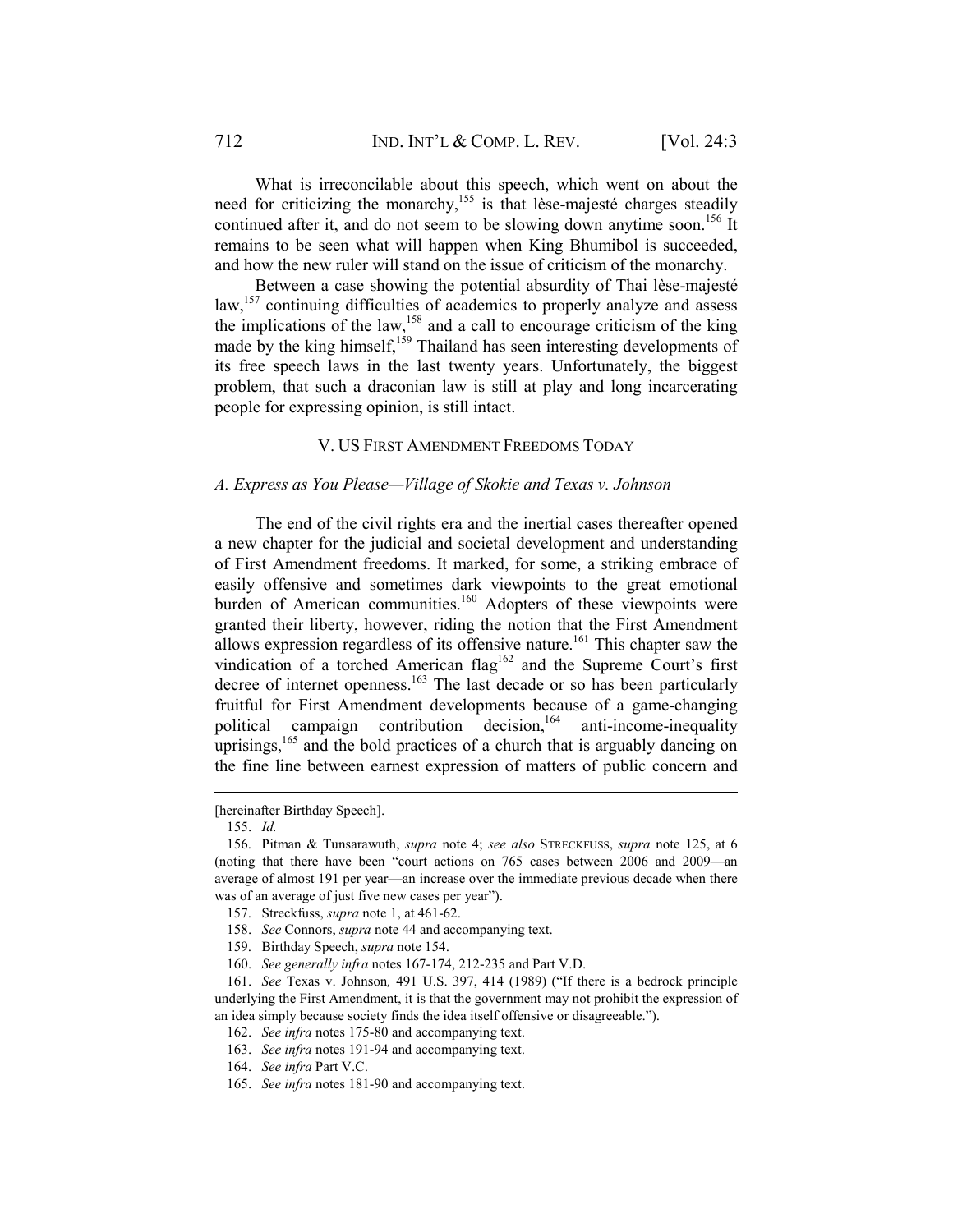What is irreconcilable about this speech, which went on about the need for criticizing the monarchy,<sup>155</sup> is that lèse-majesté charges steadily continued after it, and do not seem to be slowing down anytime soon.<sup>156</sup> It remains to be seen what will happen when King Bhumibol is succeeded, and how the new ruler will stand on the issue of criticism of the monarchy.

Between a case showing the potential absurdity of Thai lèse-majesté law,<sup>157</sup> continuing difficulties of academics to properly analyze and assess the implications of the law,<sup>158</sup> and a call to encourage criticism of the king made by the king himself,<sup>159</sup> Thailand has seen interesting developments of its free speech laws in the last twenty years. Unfortunately, the biggest problem, that such a draconian law is still at play and long incarcerating people for expressing opinion, is still intact.

## V. US FIRST AMENDMENT FREEDOMS TODAY

#### *A. Express as You Please—Village of Skokie and Texas v. Johnson*

The end of the civil rights era and the inertial cases thereafter opened a new chapter for the judicial and societal development and understanding of First Amendment freedoms. It marked, for some, a striking embrace of easily offensive and sometimes dark viewpoints to the great emotional burden of American communities.<sup>160</sup> Adopters of these viewpoints were granted their liberty, however, riding the notion that the First Amendment allows expression regardless of its offensive nature.<sup>161</sup> This chapter saw the vindication of a torched American flag<sup>162</sup> and the Supreme Court's first decree of internet openness.163 The last decade or so has been particularly fruitful for First Amendment developments because of a game-changing political campaign contribution decision,  $164$  anti-income-inequality uprisings, $165$  and the bold practices of a church that is arguably dancing on the fine line between earnest expression of matters of public concern and

<sup>[</sup>hereinafter Birthday Speech].

 <sup>155.</sup> *Id.*

 <sup>156.</sup> Pitman & Tunsarawuth, *supra* note 4; *see also* STRECKFUSS, *supra* note 125, at 6 (noting that there have been "court actions on 765 cases between 2006 and 2009—an average of almost 191 per year—an increase over the immediate previous decade when there was of an average of just five new cases per year").

 <sup>157.</sup> Streckfuss, *supra* note 1, at 461-62.

 <sup>158.</sup> *See* Connors, *supra* note 44 and accompanying text.

 <sup>159.</sup> Birthday Speech, *supra* note 154.

 <sup>160.</sup> *See generally infra* notes 167-174, 212-235 and Part V.D.

 <sup>161.</sup> *See* Texas v. Johnson*,* 491 U.S. 397, 414 (1989) ("If there is a bedrock principle underlying the First Amendment, it is that the government may not prohibit the expression of an idea simply because society finds the idea itself offensive or disagreeable.").

 <sup>162.</sup> *See infra* notes 175-80 and accompanying text.

 <sup>163.</sup> *See infra* notes 191-94 and accompanying text.

 <sup>164.</sup> *See infra* Part V.C.

 <sup>165.</sup> *See infra* notes 181-90 and accompanying text.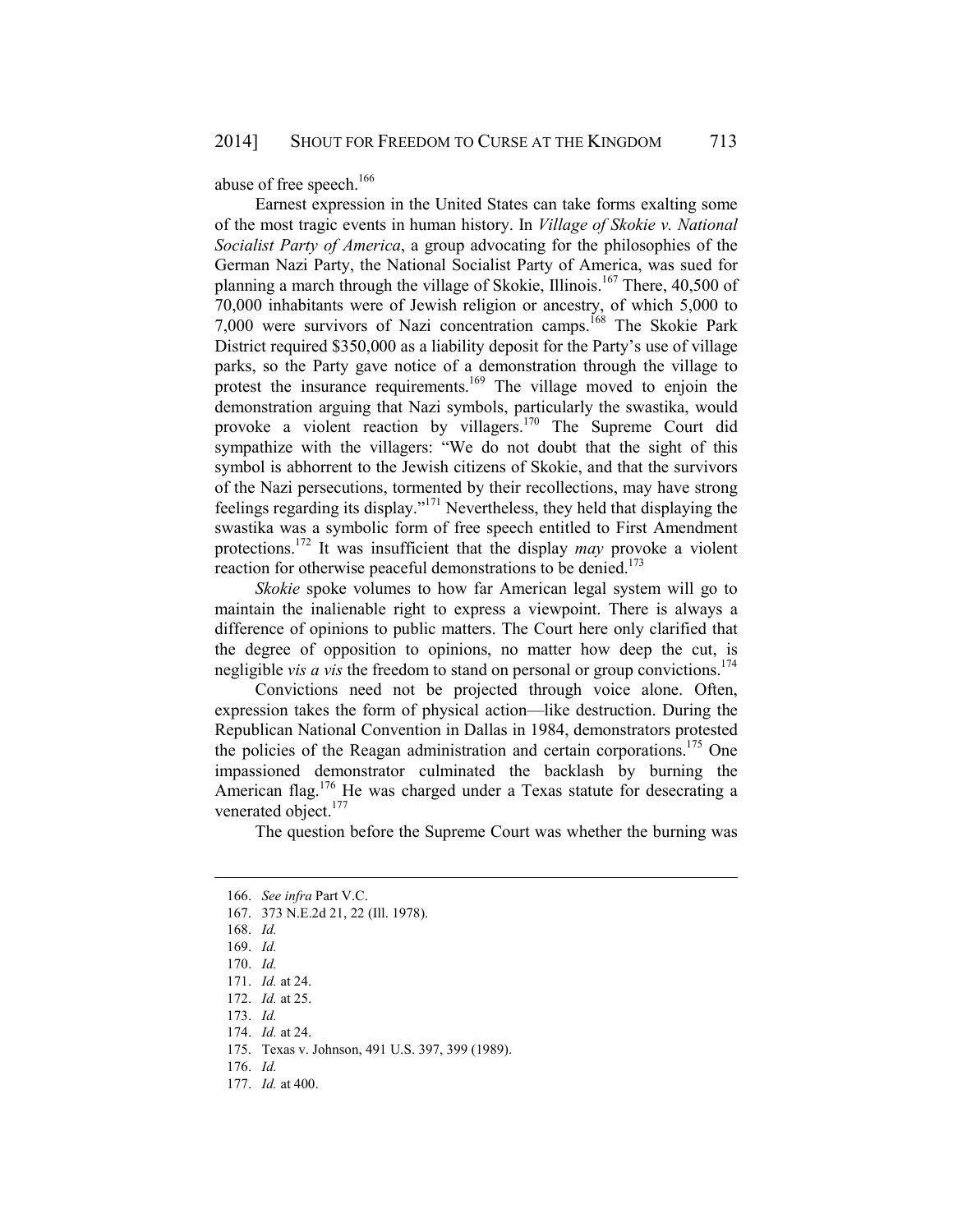abuse of free speech.<sup>166</sup>

Earnest expression in the United States can take forms exalting some of the most tragic events in human history. In *Village of Skokie v. National Socialist Party of America*, a group advocating for the philosophies of the German Nazi Party, the National Socialist Party of America, was sued for planning a march through the village of Skokie, Illinois.<sup>167</sup> There, 40,500 of 70,000 inhabitants were of Jewish religion or ancestry, of which 5,000 to 7,000 were survivors of Nazi concentration camps.168 The Skokie Park District required \$350,000 as a liability deposit for the Party's use of village parks, so the Party gave notice of a demonstration through the village to protest the insurance requirements.<sup>169</sup> The village moved to enjoin the demonstration arguing that Nazi symbols, particularly the swastika, would provoke a violent reaction by villagers.<sup>170</sup> The Supreme Court did sympathize with the villagers: "We do not doubt that the sight of this symbol is abhorrent to the Jewish citizens of Skokie, and that the survivors of the Nazi persecutions, tormented by their recollections, may have strong feelings regarding its display."171 Nevertheless, they held that displaying the swastika was a symbolic form of free speech entitled to First Amendment protections.172 It was insufficient that the display *may* provoke a violent reaction for otherwise peaceful demonstrations to be denied.<sup>173</sup>

*Skokie* spoke volumes to how far American legal system will go to maintain the inalienable right to express a viewpoint. There is always a difference of opinions to public matters. The Court here only clarified that the degree of opposition to opinions, no matter how deep the cut, is negligible *vis a vis* the freedom to stand on personal or group convictions.<sup>174</sup>

Convictions need not be projected through voice alone. Often, expression takes the form of physical action—like destruction. During the Republican National Convention in Dallas in 1984, demonstrators protested the policies of the Reagan administration and certain corporations.175 One impassioned demonstrator culminated the backlash by burning the American flag.<sup>176</sup> He was charged under a Texas statute for desecrating a venerated object.<sup>177</sup>

The question before the Supreme Court was whether the burning was

 <sup>166.</sup> *See infra* Part V.C.

 <sup>167. 373</sup> N.E.2d 21, 22 (Ill. 1978).

 <sup>168.</sup> *Id.*

 <sup>169.</sup> *Id.*

 <sup>170.</sup> *Id.*

 <sup>171.</sup> *Id.* at 24.

 <sup>172.</sup> *Id.* at 25.

 <sup>173.</sup> *Id.*

 <sup>174.</sup> *Id.* at 24.

 <sup>175.</sup> Texas v. Johnson, 491 U.S. 397, 399 (1989).

 <sup>176.</sup> *Id.*

 <sup>177.</sup> *Id.* at 400.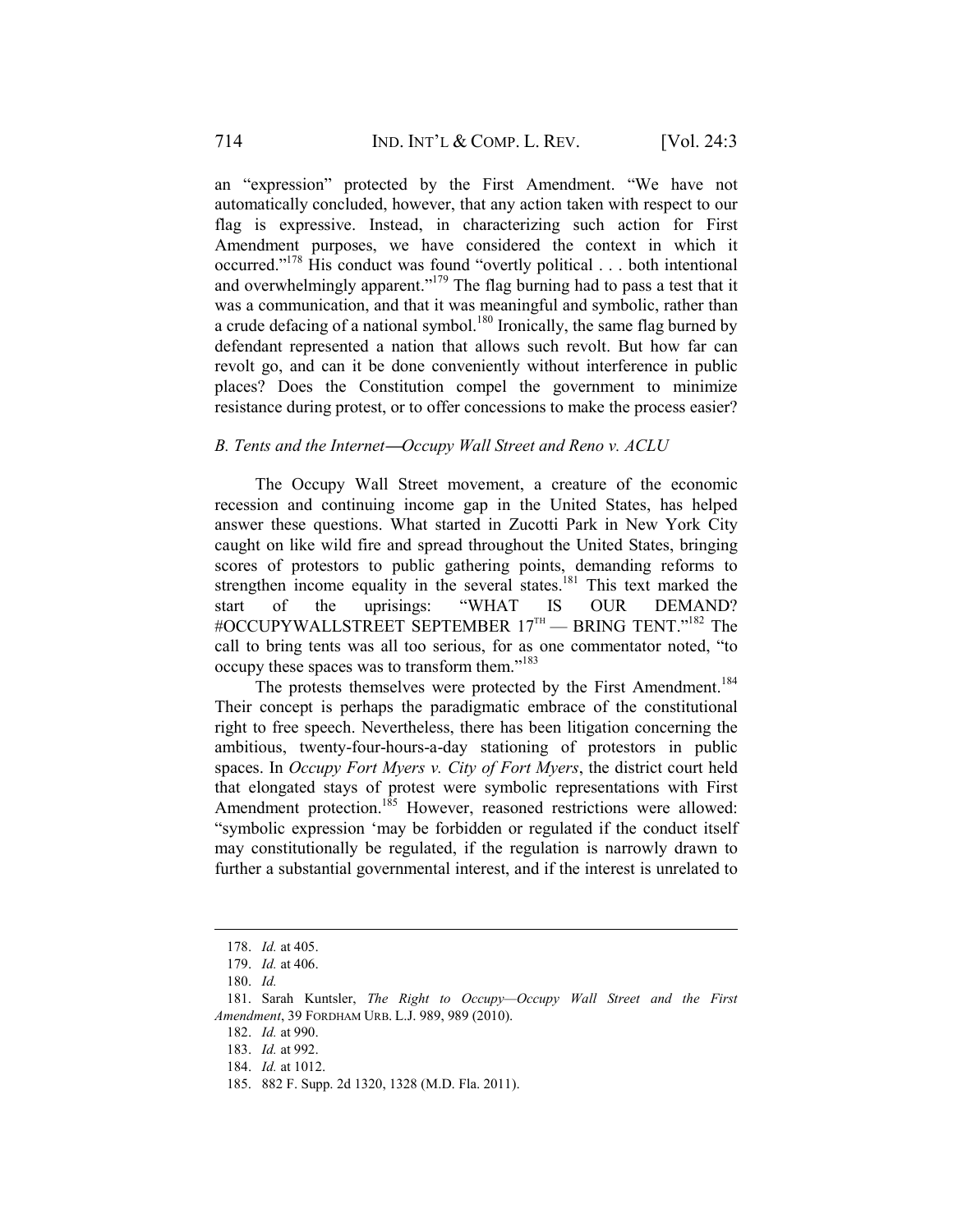an "expression" protected by the First Amendment. "We have not automatically concluded, however, that any action taken with respect to our flag is expressive. Instead, in characterizing such action for First Amendment purposes, we have considered the context in which it occurred."178 His conduct was found "overtly political . . . both intentional and overwhelmingly apparent."179 The flag burning had to pass a test that it was a communication, and that it was meaningful and symbolic, rather than a crude defacing of a national symbol.<sup>180</sup> Ironically, the same flag burned by defendant represented a nation that allows such revolt. But how far can revolt go, and can it be done conveniently without interference in public places? Does the Constitution compel the government to minimize resistance during protest, or to offer concessions to make the process easier?

### *B. Tents and the Internet***—***Occupy Wall Street and Reno v. ACLU*

The Occupy Wall Street movement, a creature of the economic recession and continuing income gap in the United States, has helped answer these questions. What started in Zucotti Park in New York City caught on like wild fire and spread throughout the United States, bringing scores of protestors to public gathering points, demanding reforms to strengthen income equality in the several states.<sup>181</sup> This text marked the start of the uprisings: "WHAT IS OUR DEMAND? #OCCUPYWALLSTREET SEPTEMBER 17TH — BRING TENT."182 The call to bring tents was all too serious, for as one commentator noted, "to occupy these spaces was to transform them."183

The protests themselves were protected by the First Amendment.<sup>184</sup> Their concept is perhaps the paradigmatic embrace of the constitutional right to free speech. Nevertheless, there has been litigation concerning the ambitious, twenty-four-hours-a-day stationing of protestors in public spaces. In *Occupy Fort Myers v. City of Fort Myers*, the district court held that elongated stays of protest were symbolic representations with First Amendment protection.<sup>185</sup> However, reasoned restrictions were allowed: "symbolic expression 'may be forbidden or regulated if the conduct itself may constitutionally be regulated, if the regulation is narrowly drawn to further a substantial governmental interest, and if the interest is unrelated to

 <sup>178.</sup> *Id.* at 405.

 <sup>179.</sup> *Id.* at 406.

 <sup>180.</sup> *Id.*

 <sup>181.</sup> Sarah Kuntsler, *The Right to Occupy—Occupy Wall Street and the First Amendment*, 39 FORDHAM URB. L.J. 989, 989 (2010).

 <sup>182.</sup> *Id.* at 990.

 <sup>183.</sup> *Id.* at 992.

 <sup>184.</sup> *Id.* at 1012.

 <sup>185. 882</sup> F. Supp. 2d 1320, 1328 (M.D. Fla. 2011).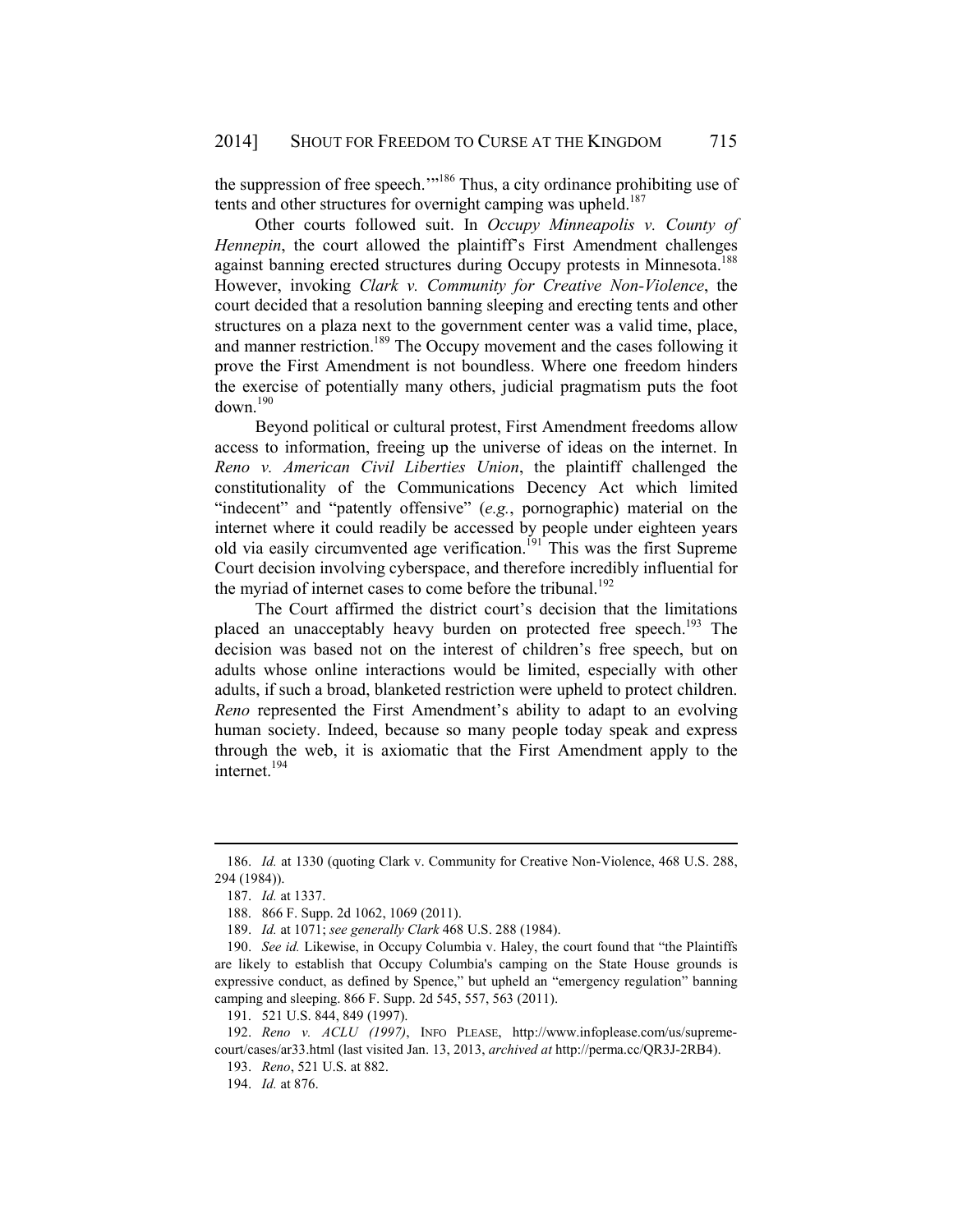the suppression of free speech.'"186 Thus, a city ordinance prohibiting use of tents and other structures for overnight camping was upheld.<sup>187</sup>

Other courts followed suit. In *Occupy Minneapolis v. County of Hennepin*, the court allowed the plaintiff's First Amendment challenges against banning erected structures during Occupy protests in Minnesota.<sup>188</sup> However, invoking *Clark v. Community for Creative Non-Violence*, the court decided that a resolution banning sleeping and erecting tents and other structures on a plaza next to the government center was a valid time, place, and manner restriction.<sup>189</sup> The Occupy movement and the cases following it prove the First Amendment is not boundless. Where one freedom hinders the exercise of potentially many others, judicial pragmatism puts the foot  $down<sup>190</sup>$ 

Beyond political or cultural protest, First Amendment freedoms allow access to information, freeing up the universe of ideas on the internet. In *Reno v. American Civil Liberties Union*, the plaintiff challenged the constitutionality of the Communications Decency Act which limited "indecent" and "patently offensive" (*e.g.*, pornographic) material on the internet where it could readily be accessed by people under eighteen years old via easily circumvented age verification.<sup>[91</sup>] This was the first Supreme Court decision involving cyberspace, and therefore incredibly influential for the myriad of internet cases to come before the tribunal.<sup>192</sup>

The Court affirmed the district court's decision that the limitations placed an unacceptably heavy burden on protected free speech.<sup>193</sup> The decision was based not on the interest of children's free speech, but on adults whose online interactions would be limited, especially with other adults, if such a broad, blanketed restriction were upheld to protect children. *Reno* represented the First Amendment's ability to adapt to an evolving human society. Indeed, because so many people today speak and express through the web, it is axiomatic that the First Amendment apply to the internet.<sup>194</sup>

 <sup>186.</sup> *Id.* at 1330 (quoting Clark v. Community for Creative Non-Violence, 468 U.S. 288, 294 (1984)).

 <sup>187.</sup> *Id.* at 1337.

 <sup>188. 866</sup> F. Supp. 2d 1062, 1069 (2011).

 <sup>189.</sup> *Id.* at 1071; *see generally Clark* 468 U.S. 288 (1984).

 <sup>190.</sup> *See id.* Likewise, in Occupy Columbia v. Haley, the court found that "the Plaintiffs are likely to establish that Occupy Columbia's camping on the State House grounds is expressive conduct, as defined by Spence," but upheld an "emergency regulation" banning camping and sleeping. 866 F. Supp. 2d 545, 557, 563 (2011).

 <sup>191. 521</sup> U.S. 844, 849 (1997).

 <sup>192.</sup> *Reno v. ACLU (1997)*, INFO PLEASE, http://www.infoplease.com/us/supremecourt/cases/ar33.html (last visited Jan. 13, 2013, *archived at* http://perma.cc/QR3J-2RB4).

 <sup>193.</sup> *Reno*, 521 U.S. at 882.

 <sup>194.</sup> *Id.* at 876.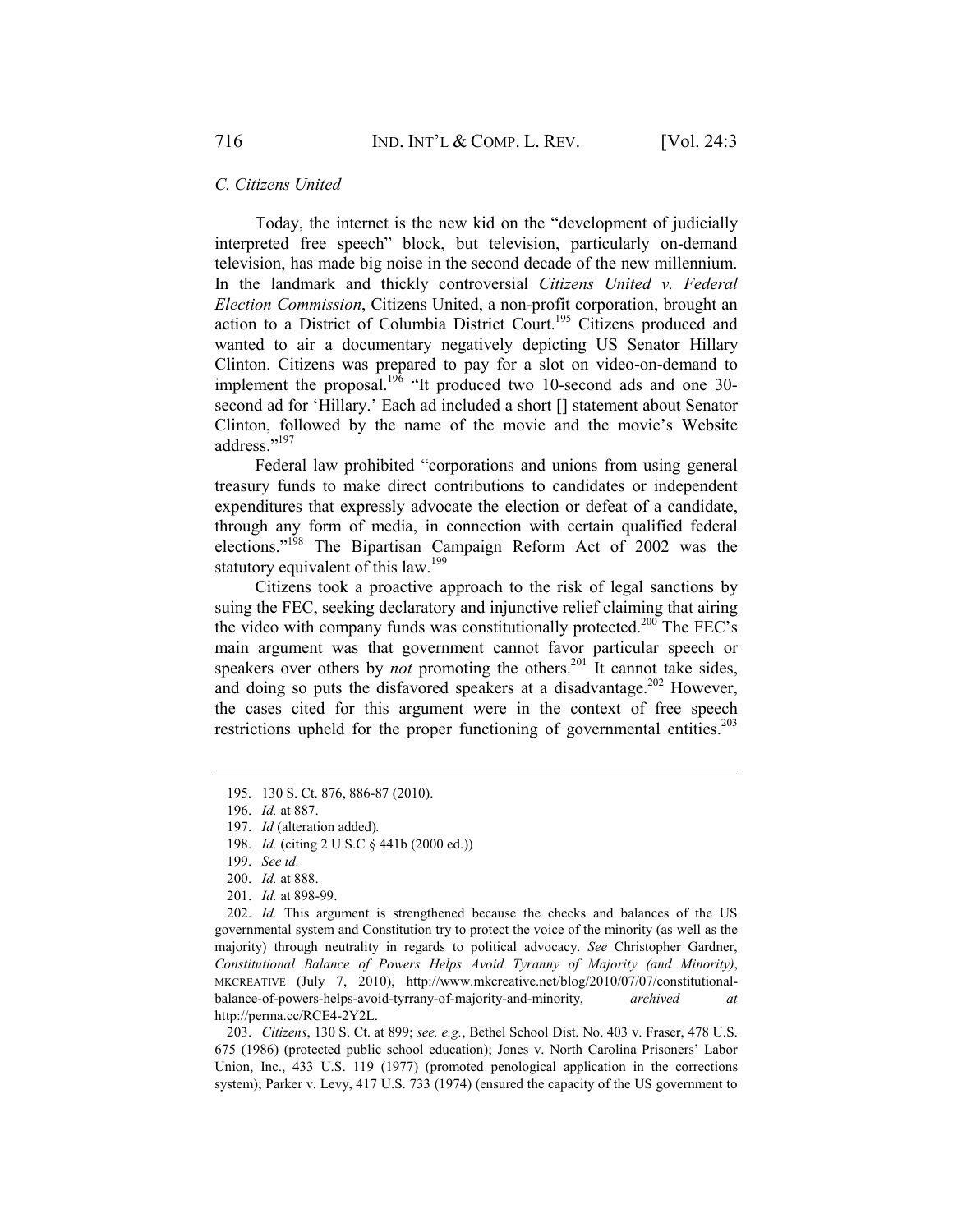#### *C. Citizens United*

Today, the internet is the new kid on the "development of judicially interpreted free speech" block, but television, particularly on-demand television, has made big noise in the second decade of the new millennium. In the landmark and thickly controversial *Citizens United v. Federal Election Commission*, Citizens United, a non-profit corporation, brought an action to a District of Columbia District Court.<sup>195</sup> Citizens produced and wanted to air a documentary negatively depicting US Senator Hillary Clinton. Citizens was prepared to pay for a slot on video-on-demand to implement the proposal.<sup>196</sup> "It produced two 10-second ads and one 30second ad for 'Hillary.' Each ad included a short [] statement about Senator Clinton, followed by the name of the movie and the movie's Website address."197

Federal law prohibited "corporations and unions from using general treasury funds to make direct contributions to candidates or independent expenditures that expressly advocate the election or defeat of a candidate, through any form of media, in connection with certain qualified federal elections."198 The Bipartisan Campaign Reform Act of 2002 was the statutory equivalent of this law.<sup>199</sup>

Citizens took a proactive approach to the risk of legal sanctions by suing the FEC, seeking declaratory and injunctive relief claiming that airing the video with company funds was constitutionally protected.<sup>200</sup> The FEC's main argument was that government cannot favor particular speech or speakers over others by *not* promoting the others.<sup>201</sup> It cannot take sides, and doing so puts the disfavored speakers at a disadvantage.<sup>202</sup> However, the cases cited for this argument were in the context of free speech restrictions upheld for the proper functioning of governmental entities.<sup>203</sup>

1

 202. *Id.* This argument is strengthened because the checks and balances of the US governmental system and Constitution try to protect the voice of the minority (as well as the majority) through neutrality in regards to political advocacy. *See* Christopher Gardner, *Constitutional Balance of Powers Helps Avoid Tyranny of Majority (and Minority)*, MKCREATIVE (July 7, 2010), http://www.mkcreative.net/blog/2010/07/07/constitutionalbalance-of-powers-helps-avoid-tyrrany-of-majority-and-minority, *archived at*  http://perma.cc/RCE4-2Y2L.

 203. *Citizens*, 130 S. Ct. at 899; *see, e.g.*, Bethel School Dist. No. 403 v. Fraser, 478 U.S. 675 (1986) (protected public school education); Jones v. North Carolina Prisoners' Labor Union, Inc., 433 U.S. 119 (1977) (promoted penological application in the corrections system); Parker v. Levy, 417 U.S. 733 (1974) (ensured the capacity of the US government to

 <sup>195. 130</sup> S. Ct. 876, 886-87 (2010).

 <sup>196.</sup> *Id.* at 887.

 <sup>197.</sup> *Id* (alteration added)*.*

 <sup>198.</sup> *Id.* (citing 2 U.S.C § 441b (2000 ed.))

 <sup>199.</sup> *See id.*

 <sup>200.</sup> *Id.* at 888.

 <sup>201.</sup> *Id.* at 898-99.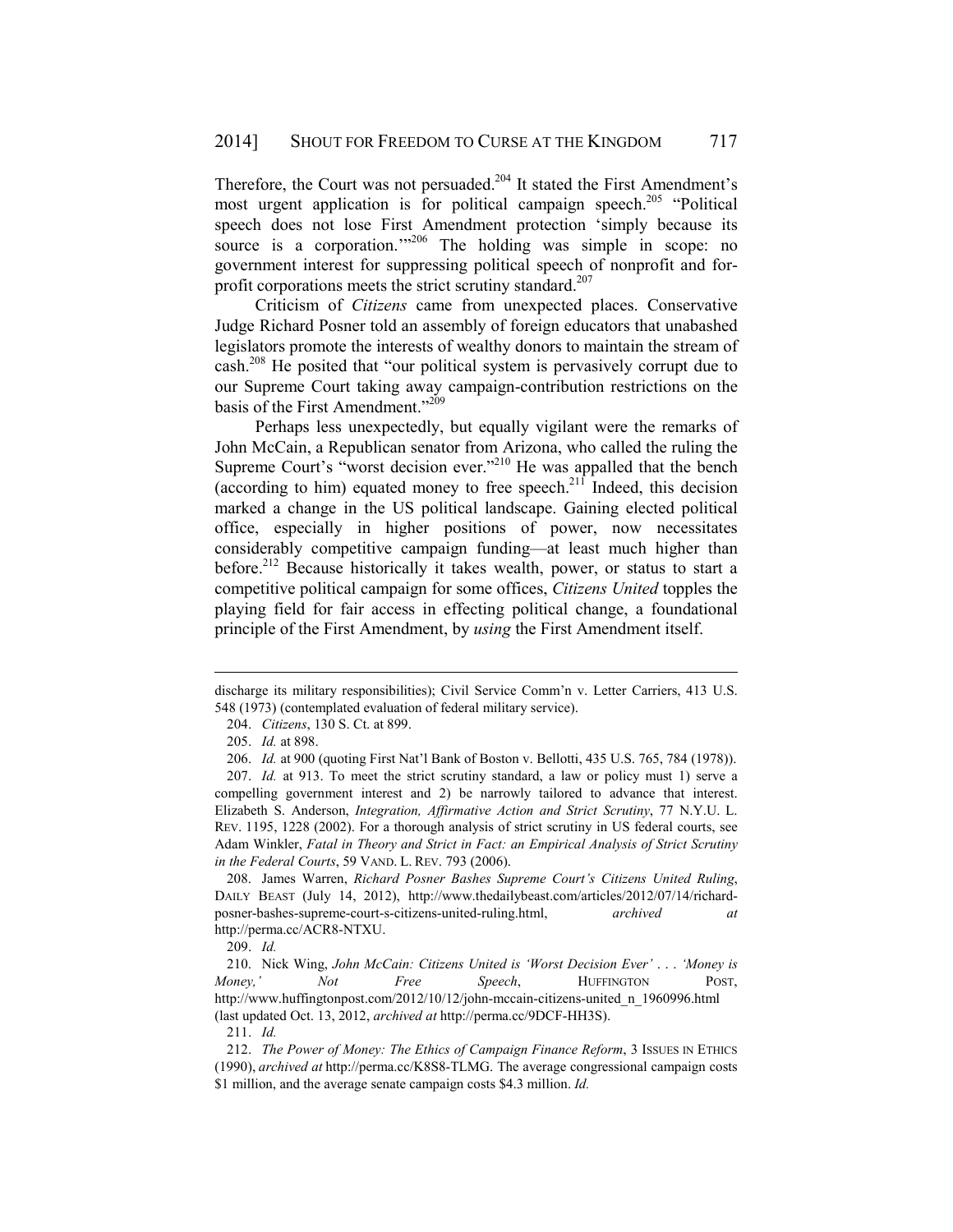Therefore, the Court was not persuaded.<sup>204</sup> It stated the First Amendment's most urgent application is for political campaign speech.<sup>205</sup> "Political speech does not lose First Amendment protection 'simply because its source is a corporation."<sup>206</sup> The holding was simple in scope: no government interest for suppressing political speech of nonprofit and forprofit corporations meets the strict scrutiny standard.<sup>207</sup>

Criticism of *Citizens* came from unexpected places. Conservative Judge Richard Posner told an assembly of foreign educators that unabashed legislators promote the interests of wealthy donors to maintain the stream of cash.208 He posited that "our political system is pervasively corrupt due to our Supreme Court taking away campaign-contribution restrictions on the basis of the First Amendment."<sup>209</sup>

Perhaps less unexpectedly, but equally vigilant were the remarks of John McCain, a Republican senator from Arizona, who called the ruling the Supreme Court's "worst decision ever."<sup>210</sup> He was appalled that the bench (according to him) equated money to free speech.<sup>211</sup> Indeed, this decision marked a change in the US political landscape. Gaining elected political office, especially in higher positions of power, now necessitates considerably competitive campaign funding—at least much higher than before.<sup>212</sup> Because historically it takes wealth, power, or status to start a competitive political campaign for some offices, *Citizens United* topples the playing field for fair access in effecting political change, a foundational principle of the First Amendment, by *using* the First Amendment itself.

1

 208. James Warren, *Richard Posner Bashes Supreme Court's Citizens United Ruling*, DAILY BEAST (July 14, 2012), http://www.thedailybeast.com/articles/2012/07/14/richardposner-bashes-supreme-court-s-citizens-united-ruling.html, *archived at*  http://perma.cc/ACR8-NTXU.

209. *Id.*

211. *Id.*

discharge its military responsibilities); Civil Service Comm'n v. Letter Carriers, 413 U.S. 548 (1973) (contemplated evaluation of federal military service).

 <sup>204.</sup> *Citizens*, 130 S. Ct. at 899.

 <sup>205.</sup> *Id.* at 898.

 <sup>206.</sup> *Id.* at 900 (quoting First Nat'l Bank of Boston v. Bellotti, 435 U.S. 765, 784 (1978)).

 <sup>207.</sup> *Id.* at 913. To meet the strict scrutiny standard, a law or policy must 1) serve a compelling government interest and 2) be narrowly tailored to advance that interest. Elizabeth S. Anderson, *Integration, Affirmative Action and Strict Scrutiny*, 77 N.Y.U. L. REV. 1195, 1228 (2002). For a thorough analysis of strict scrutiny in US federal courts, see Adam Winkler, *Fatal in Theory and Strict in Fact: an Empirical Analysis of Strict Scrutiny in the Federal Courts*, 59 VAND. L. REV. 793 (2006).

 <sup>210.</sup> Nick Wing, *John McCain: Citizens United is 'Worst Decision Ever'* . . . *'Money is Money,' Not Free Speech*, HUFFINGTON POST, http://www.huffingtonpost.com/2012/10/12/john-mccain-citizens-united\_n\_1960996.html (last updated Oct. 13, 2012, *archived at* http://perma.cc/9DCF-HH3S).

 <sup>212.</sup> *The Power of Money: The Ethics of Campaign Finance Reform*, 3 ISSUES IN ETHICS (1990), *archived at* http://perma.cc/K8S8-TLMG. The average congressional campaign costs \$1 million, and the average senate campaign costs \$4.3 million. *Id.*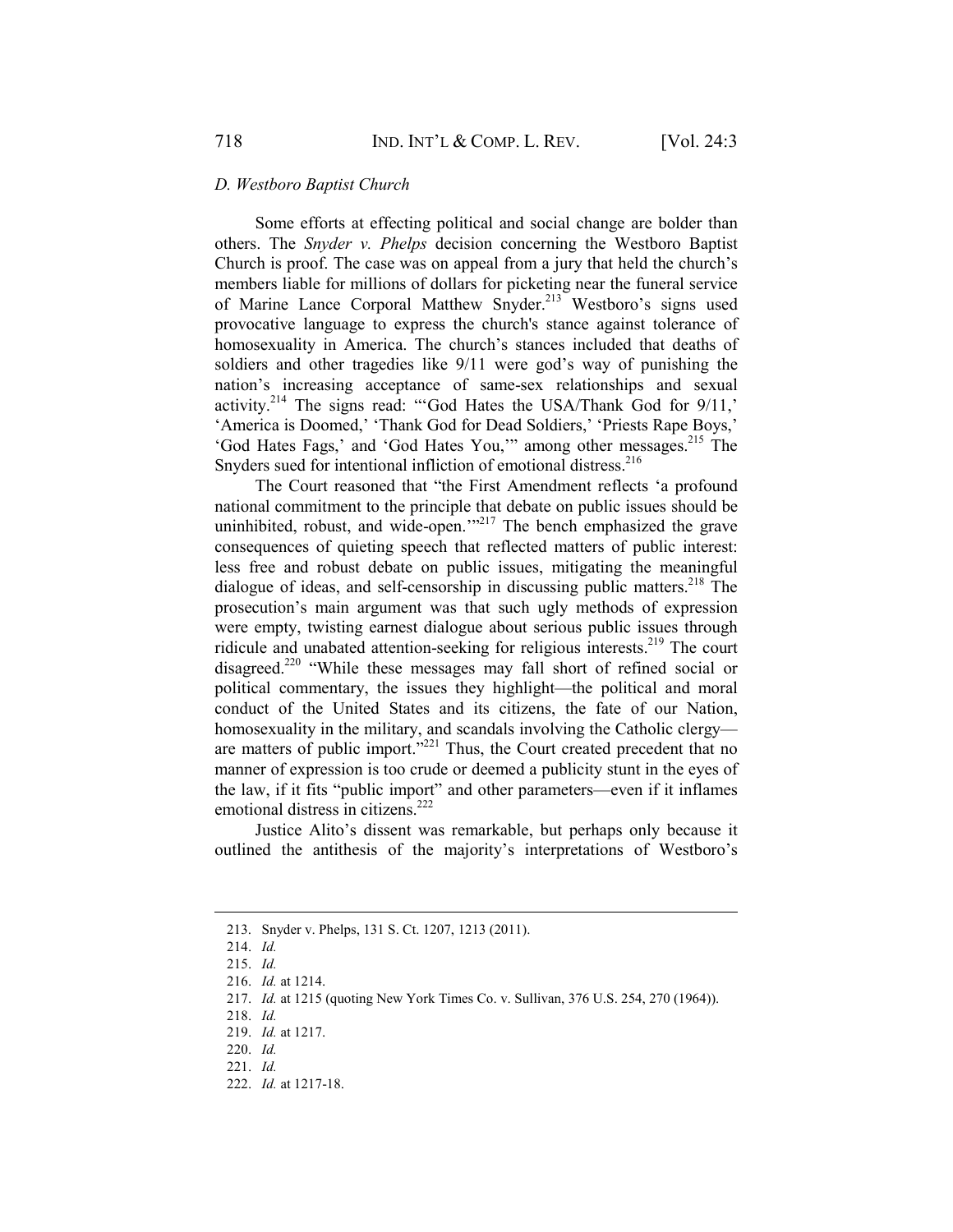### *D. Westboro Baptist Church*

Some efforts at effecting political and social change are bolder than others. The *Snyder v. Phelps* decision concerning the Westboro Baptist Church is proof. The case was on appeal from a jury that held the church's members liable for millions of dollars for picketing near the funeral service of Marine Lance Corporal Matthew Snyder.<sup>213</sup> Westboro's signs used provocative language to express the church's stance against tolerance of homosexuality in America. The church's stances included that deaths of soldiers and other tragedies like 9/11 were god's way of punishing the nation's increasing acceptance of same-sex relationships and sexual activity.214 The signs read: "'God Hates the USA/Thank God for 9/11,' 'America is Doomed,' 'Thank God for Dead Soldiers,' 'Priests Rape Boys,' 'God Hates Fags,' and 'God Hates You," among other messages.<sup>215</sup> The Snyders sued for intentional infliction of emotional distress.<sup>216</sup>

The Court reasoned that "the First Amendment reflects 'a profound national commitment to the principle that debate on public issues should be uninhibited, robust, and wide-open.'"<sup>217</sup> The bench emphasized the grave consequences of quieting speech that reflected matters of public interest: less free and robust debate on public issues, mitigating the meaningful dialogue of ideas, and self-censorship in discussing public matters.<sup>218</sup> The prosecution's main argument was that such ugly methods of expression were empty, twisting earnest dialogue about serious public issues through ridicule and unabated attention-seeking for religious interests.<sup>219</sup> The court disagreed.220 "While these messages may fall short of refined social or political commentary, the issues they highlight—the political and moral conduct of the United States and its citizens, the fate of our Nation, homosexuality in the military, and scandals involving the Catholic clergy are matters of public import."<sup>221</sup> Thus, the Court created precedent that no manner of expression is too crude or deemed a publicity stunt in the eyes of the law, if it fits "public import" and other parameters—even if it inflames emotional distress in citizens.<sup>222</sup>

Justice Alito's dissent was remarkable, but perhaps only because it outlined the antithesis of the majority's interpretations of Westboro's

 <sup>213.</sup> Snyder v. Phelps, 131 S. Ct. 1207, 1213 (2011).

 <sup>214.</sup> *Id.*

 <sup>215.</sup> *Id.*

 <sup>216.</sup> *Id.* at 1214.

 <sup>217.</sup> *Id.* at 1215 (quoting New York Times Co. v. Sullivan, 376 U.S. 254, 270 (1964)).

 <sup>218.</sup> *Id.*

 <sup>219.</sup> *Id.* at 1217.

 <sup>220.</sup> *Id.*

 <sup>221.</sup> *Id.*

 <sup>222.</sup> *Id.* at 1217-18.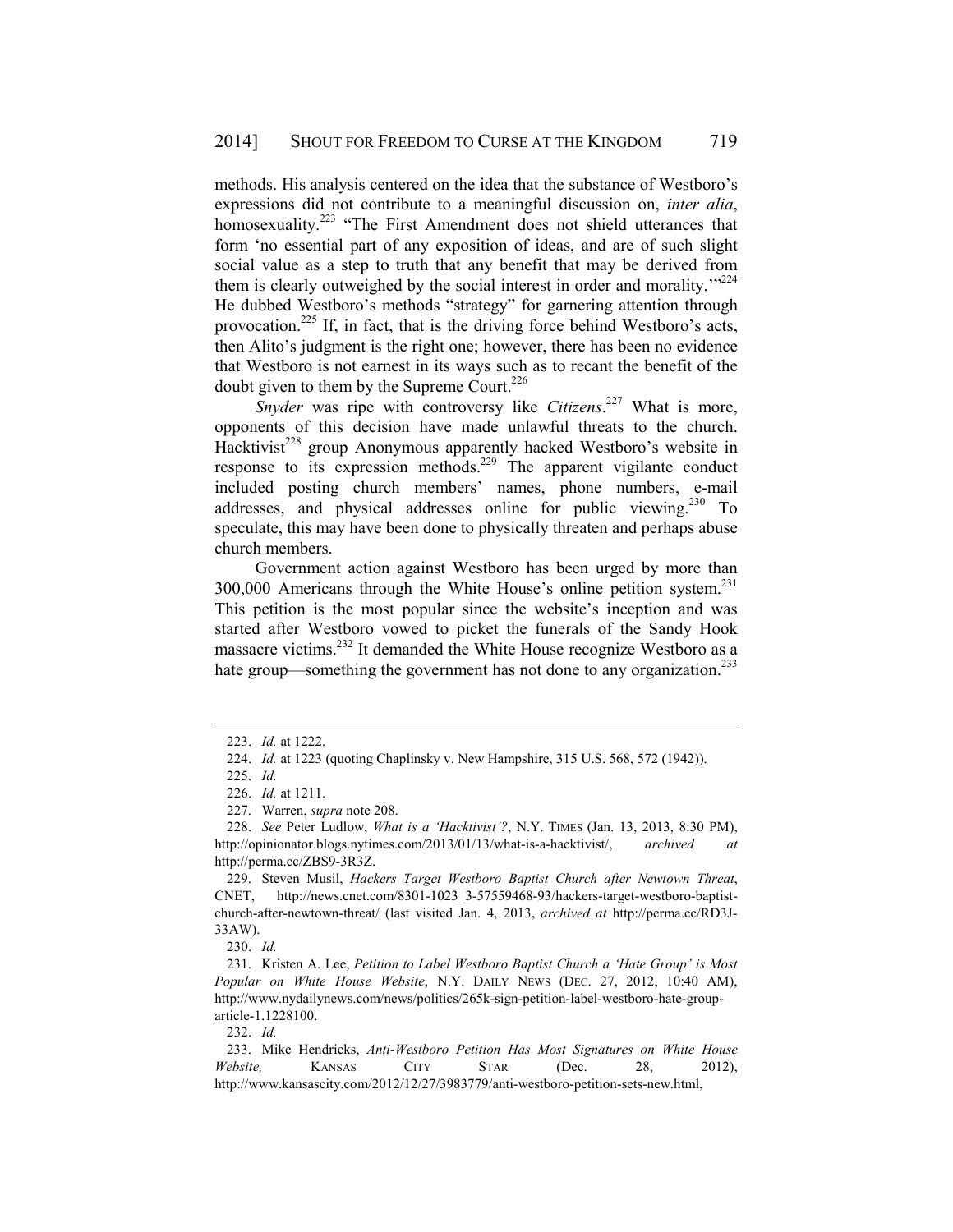methods. His analysis centered on the idea that the substance of Westboro's expressions did not contribute to a meaningful discussion on, *inter alia*, homosexuality.<sup>223</sup> "The First Amendment does not shield utterances that form 'no essential part of any exposition of ideas, and are of such slight social value as a step to truth that any benefit that may be derived from them is clearly outweighed by the social interest in order and morality.<sup>"224</sup> He dubbed Westboro's methods "strategy" for garnering attention through provocation.<sup>225</sup> If, in fact, that is the driving force behind Westboro's acts, then Alito's judgment is the right one; however, there has been no evidence that Westboro is not earnest in its ways such as to recant the benefit of the doubt given to them by the Supreme Court.<sup>226</sup>

*Snyder* was ripe with controversy like *Citizens*. 227 What is more, opponents of this decision have made unlawful threats to the church. Hacktivist<sup>228</sup> group Anonymous apparently hacked Westboro's website in response to its expression methods.229 The apparent vigilante conduct included posting church members' names, phone numbers, e-mail addresses, and physical addresses online for public viewing.230 To speculate, this may have been done to physically threaten and perhaps abuse church members.

Government action against Westboro has been urged by more than 300,000 Americans through the White House's online petition system.<sup>231</sup> This petition is the most popular since the website's inception and was started after Westboro vowed to picket the funerals of the Sandy Hook massacre victims.232 It demanded the White House recognize Westboro as a hate group—something the government has not done to any organization.<sup>233</sup>

 <sup>223.</sup> *Id.* at 1222.

 <sup>224.</sup> *Id.* at 1223 (quoting Chaplinsky v. New Hampshire, 315 U.S. 568, 572 (1942)).

 <sup>225.</sup> *Id.*

 <sup>226.</sup> *Id.* at 1211.

 <sup>227.</sup> Warren, *supra* note 208.

 <sup>228.</sup> *See* Peter Ludlow, *What is a 'Hacktivist'?*, N.Y. TIMES (Jan. 13, 2013, 8:30 PM), http://opinionator.blogs.nytimes.com/2013/01/13/what-is-a-hacktivist/, *archived at*  http://perma.cc/ZBS9-3R3Z.

 <sup>229.</sup> Steven Musil, *Hackers Target Westboro Baptist Church after Newtown Threat*, CNET, http://news.cnet.com/8301-1023\_3-57559468-93/hackers-target-westboro-baptistchurch-after-newtown-threat/ (last visited Jan. 4, 2013, *archived at* http://perma.cc/RD3J-33AW).

 <sup>230.</sup> *Id.*

 <sup>231.</sup> Kristen A. Lee, *Petition to Label Westboro Baptist Church a 'Hate Group' is Most Popular on White House Website*, N.Y. DAILY NEWS (DEC. 27, 2012, 10:40 AM), http://www.nydailynews.com/news/politics/265k-sign-petition-label-westboro-hate-grouparticle-1.1228100.

 <sup>232.</sup> *Id.*

 <sup>233.</sup> Mike Hendricks, *Anti-Westboro Petition Has Most Signatures on White House Website,* KANSAS CITY STAR (Dec. 28, 2012), http://www.kansascity.com/2012/12/27/3983779/anti-westboro-petition-sets-new.html,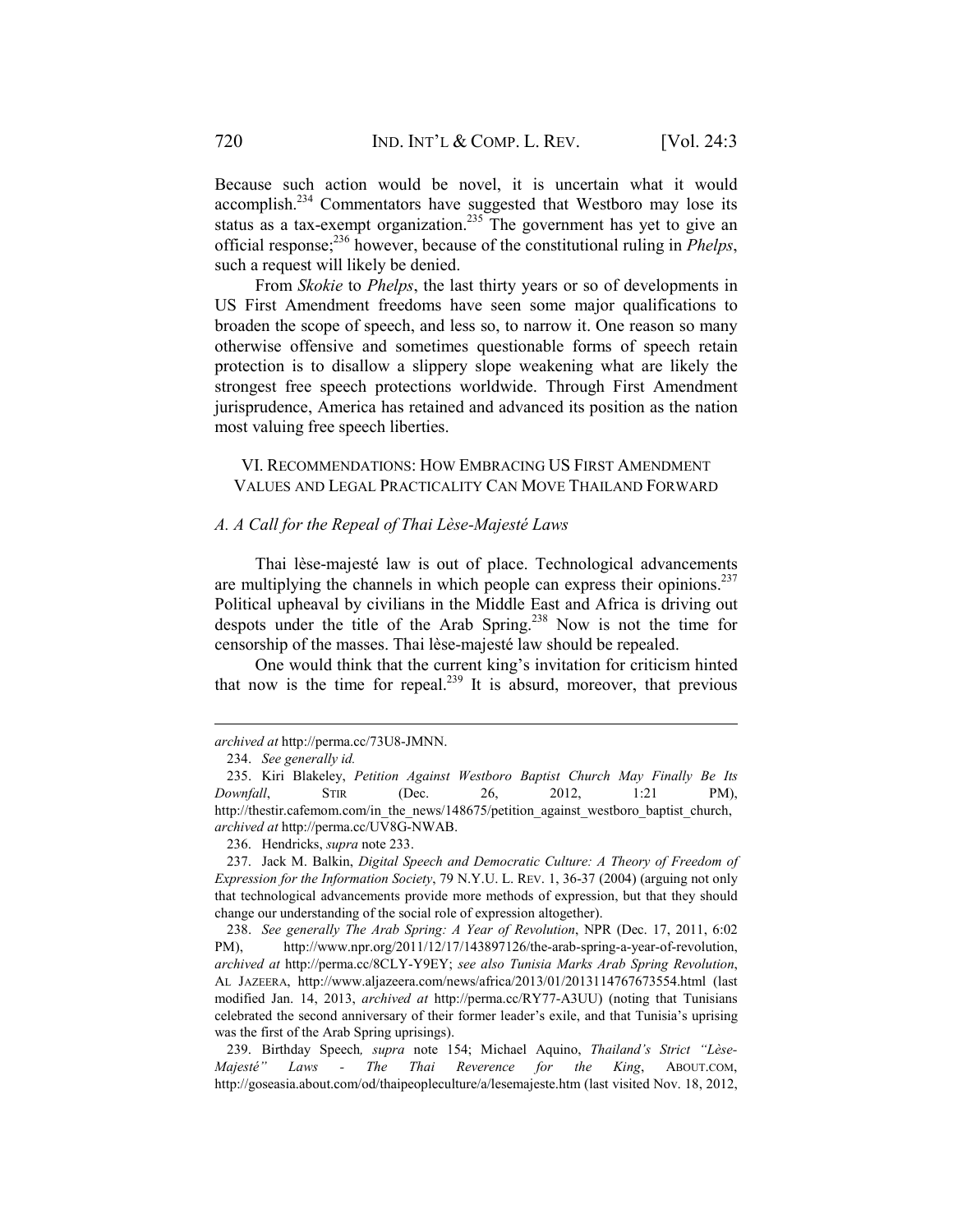Because such action would be novel, it is uncertain what it would accomplish.234 Commentators have suggested that Westboro may lose its status as a tax-exempt organization.<sup>235</sup> The government has yet to give an official response;236 however, because of the constitutional ruling in *Phelps*, such a request will likely be denied.

From *Skokie* to *Phelps*, the last thirty years or so of developments in US First Amendment freedoms have seen some major qualifications to broaden the scope of speech, and less so, to narrow it. One reason so many otherwise offensive and sometimes questionable forms of speech retain protection is to disallow a slippery slope weakening what are likely the strongest free speech protections worldwide. Through First Amendment jurisprudence, America has retained and advanced its position as the nation most valuing free speech liberties.

VI. RECOMMENDATIONS: HOW EMBRACING US FIRST AMENDMENT VALUES AND LEGAL PRACTICALITY CAN MOVE THAILAND FORWARD

# *A. A Call for the Repeal of Thai Lèse-Majesté Laws*

Thai lèse-majesté law is out of place. Technological advancements are multiplying the channels in which people can express their opinions. $^{237}$ Political upheaval by civilians in the Middle East and Africa is driving out despots under the title of the Arab Spring.<sup>238</sup> Now is not the time for censorship of the masses. Thai lèse-majesté law should be repealed.

One would think that the current king's invitation for criticism hinted that now is the time for repeal.<sup>239</sup> It is absurd, moreover, that previous

1

 239. Birthday Speech*, supra* note 154; Michael Aquino, *Thailand's Strict "Lèse-Majesté" Laws - The Thai Reverence for the King*, ABOUT.COM, http://goseasia.about.com/od/thaipeopleculture/a/lesemajeste.htm (last visited Nov. 18, 2012,

*archived at* http://perma.cc/73U8-JMNN.

 <sup>234.</sup> *See generally id.*

 <sup>235.</sup> Kiri Blakeley, *Petition Against Westboro Baptist Church May Finally Be Its Downfall*, STIR (Dec. 26, 2012, 1:21 PM), http://thestir.cafemom.com/in\_the\_news/148675/petition\_against\_westboro\_baptist\_church, *archived at* http://perma.cc/UV8G-NWAB.

 <sup>236.</sup> Hendricks, *supra* note 233.

 <sup>237.</sup> Jack M. Balkin, *Digital Speech and Democratic Culture: A Theory of Freedom of Expression for the Information Society*, 79 N.Y.U. L. REV. 1, 36-37 (2004) (arguing not only that technological advancements provide more methods of expression, but that they should change our understanding of the social role of expression altogether).

 <sup>238.</sup> *See generally The Arab Spring: A Year of Revolution*, NPR (Dec. 17, 2011, 6:02 PM), http://www.npr.org/2011/12/17/143897126/the-arab-spring-a-year-of-revolution, *archived at* http://perma.cc/8CLY-Y9EY; *see also Tunisia Marks Arab Spring Revolution*, AL JAZEERA, http://www.aljazeera.com/news/africa/2013/01/2013114767673554.html (last modified Jan. 14, 2013, *archived at* http://perma.cc/RY77-A3UU) (noting that Tunisians celebrated the second anniversary of their former leader's exile, and that Tunisia's uprising was the first of the Arab Spring uprisings).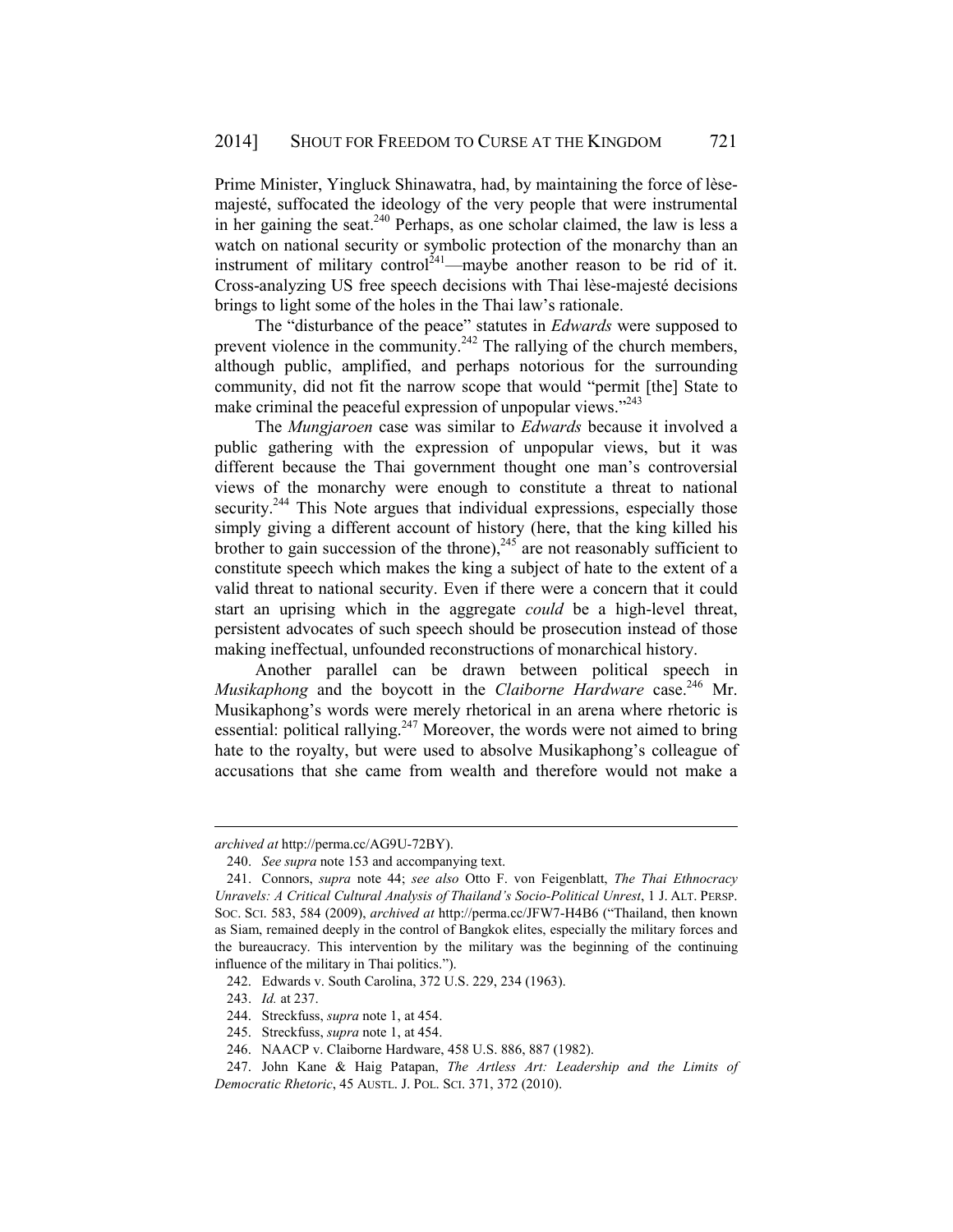Prime Minister, Yingluck Shinawatra, had, by maintaining the force of lèsemajesté, suffocated the ideology of the very people that were instrumental in her gaining the seat.<sup>240</sup> Perhaps, as one scholar claimed, the law is less a watch on national security or symbolic protection of the monarchy than an instrument of military control<sup> $241$ </sup>—maybe another reason to be rid of it. Cross-analyzing US free speech decisions with Thai lèse-majesté decisions brings to light some of the holes in the Thai law's rationale.

The "disturbance of the peace" statutes in *Edwards* were supposed to prevent violence in the community.<sup>242</sup> The rallying of the church members, although public, amplified, and perhaps notorious for the surrounding community, did not fit the narrow scope that would "permit [the] State to make criminal the peaceful expression of unpopular views. $^{243}$ 

The *Mungjaroen* case was similar to *Edwards* because it involved a public gathering with the expression of unpopular views, but it was different because the Thai government thought one man's controversial views of the monarchy were enough to constitute a threat to national security.<sup>244</sup> This Note argues that individual expressions, especially those simply giving a different account of history (here, that the king killed his brother to gain succession of the throne),  $245$  are not reasonably sufficient to constitute speech which makes the king a subject of hate to the extent of a valid threat to national security. Even if there were a concern that it could start an uprising which in the aggregate *could* be a high-level threat, persistent advocates of such speech should be prosecution instead of those making ineffectual, unfounded reconstructions of monarchical history.

Another parallel can be drawn between political speech in *Musikaphong* and the boycott in the *Claiborne Hardware* case.<sup>246</sup> Mr. Musikaphong's words were merely rhetorical in an arena where rhetoric is essential: political rallying.<sup>247</sup> Moreover, the words were not aimed to bring hate to the royalty, but were used to absolve Musikaphong's colleague of accusations that she came from wealth and therefore would not make a

*archived at* http://perma.cc/AG9U-72BY).

 <sup>240.</sup> *See supra* note 153 and accompanying text.

 <sup>241.</sup> Connors, *supra* note 44; *see also* Otto F. von Feigenblatt, *The Thai Ethnocracy Unravels: A Critical Cultural Analysis of Thailand's Socio-Political Unrest*, 1 J. ALT. PERSP. SOC. SCI. 583, 584 (2009), *archived at* http://perma.cc/JFW7-H4B6 ("Thailand, then known as Siam, remained deeply in the control of Bangkok elites, especially the military forces and the bureaucracy. This intervention by the military was the beginning of the continuing influence of the military in Thai politics.").

 <sup>242.</sup> Edwards v. South Carolina, 372 U.S. 229, 234 (1963).

 <sup>243.</sup> *Id.* at 237.

 <sup>244.</sup> Streckfuss, *supra* note 1, at 454.

 <sup>245.</sup> Streckfuss, *supra* note 1, at 454.

 <sup>246.</sup> NAACP v. Claiborne Hardware, 458 U.S. 886, 887 (1982).

 <sup>247.</sup> John Kane & Haig Patapan, *The Artless Art: Leadership and the Limits of Democratic Rhetoric*, 45 AUSTL. J. POL. SCI. 371, 372 (2010).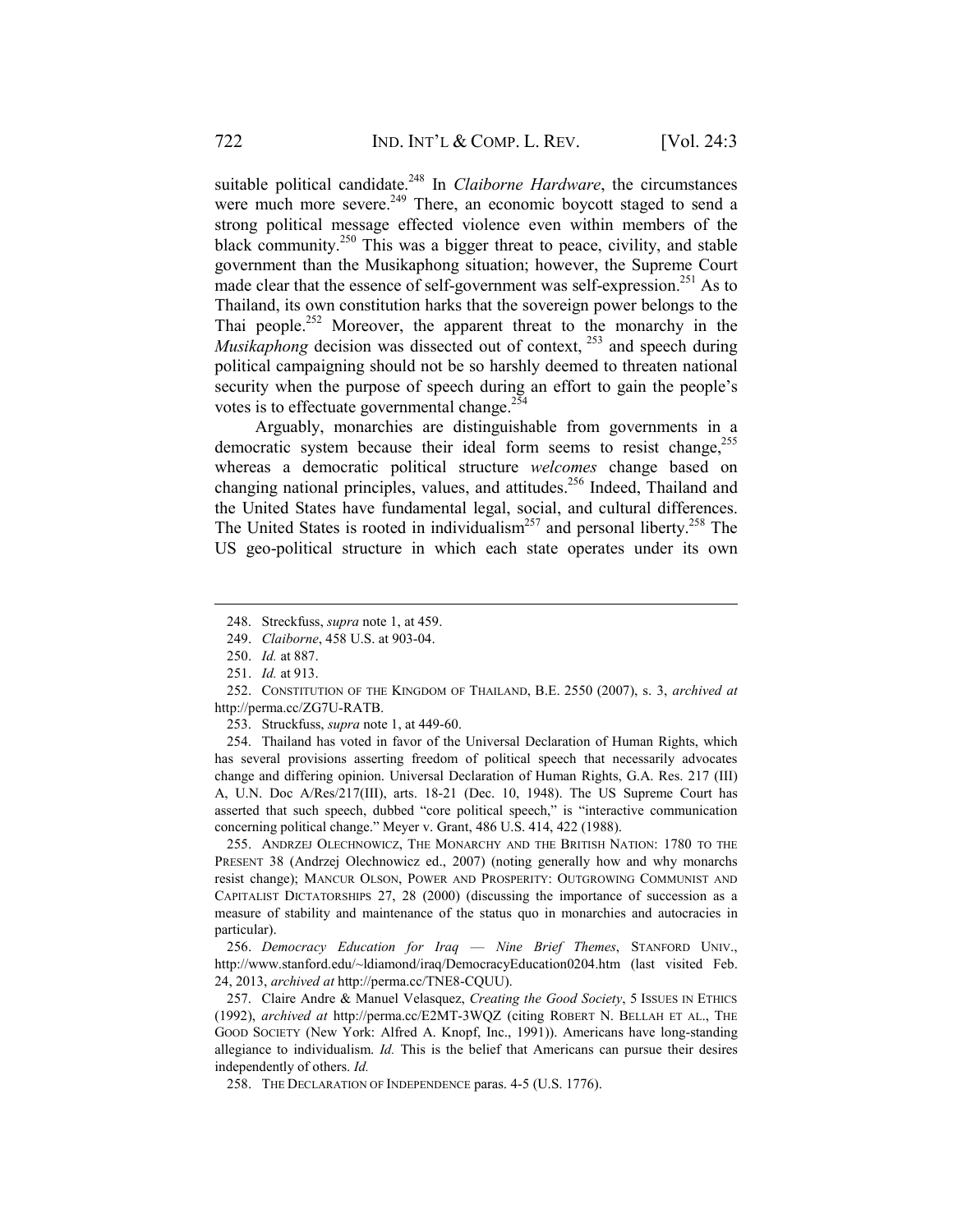suitable political candidate.<sup>248</sup> In *Claiborne Hardware*, the circumstances were much more severe.<sup>249</sup> There, an economic boycott staged to send a strong political message effected violence even within members of the black community.<sup>250</sup> This was a bigger threat to peace, civility, and stable government than the Musikaphong situation; however, the Supreme Court made clear that the essence of self-government was self-expression.<sup>251</sup> As to Thailand, its own constitution harks that the sovereign power belongs to the Thai people.<sup>252</sup> Moreover, the apparent threat to the monarchy in the *Musikaphong* decision was dissected out of context, <sup>253</sup> and speech during political campaigning should not be so harshly deemed to threaten national security when the purpose of speech during an effort to gain the people's votes is to effectuate governmental change.<sup>254</sup>

Arguably, monarchies are distinguishable from governments in a democratic system because their ideal form seems to resist change,<sup>255</sup> whereas a democratic political structure *welcomes* change based on changing national principles, values, and attitudes.<sup>256</sup> Indeed, Thailand and the United States have fundamental legal, social, and cultural differences. The United States is rooted in individualism<sup>257</sup> and personal liberty.<sup>258</sup> The US geo-political structure in which each state operates under its own

1

253. Struckfuss, *supra* note 1, at 449-60.

 254. Thailand has voted in favor of the Universal Declaration of Human Rights, which has several provisions asserting freedom of political speech that necessarily advocates change and differing opinion. Universal Declaration of Human Rights, G.A. Res. 217 (III) A, U.N. Doc A/Res/217(III), arts. 18-21 (Dec. 10, 1948). The US Supreme Court has asserted that such speech, dubbed "core political speech," is "interactive communication concerning political change." Meyer v. Grant, 486 U.S. 414, 422 (1988).

 255. ANDRZEJ OLECHNOWICZ, THE MONARCHY AND THE BRITISH NATION: 1780 TO THE PRESENT 38 (Andrzej Olechnowicz ed., 2007) (noting generally how and why monarchs resist change); MANCUR OLSON, POWER AND PROSPERITY: OUTGROWING COMMUNIST AND CAPITALIST DICTATORSHIPS 27, 28 (2000) (discussing the importance of succession as a measure of stability and maintenance of the status quo in monarchies and autocracies in particular).

 256. *Democracy Education for Iraq* — *Nine Brief Themes*, STANFORD UNIV., http://www.stanford.edu/~ldiamond/iraq/DemocracyEducation0204.htm (last visited Feb. 24, 2013, *archived at* http://perma.cc/TNE8-CQUU).

 257. Claire Andre & Manuel Velasquez, *Creating the Good Society*, 5 ISSUES IN ETHICS (1992), *archived at* http://perma.cc/E2MT-3WQZ (citing ROBERT N. BELLAH ET AL., THE GOOD SOCIETY (New York: Alfred A. Knopf, Inc., 1991)). Americans have long-standing allegiance to individualism. *Id.* This is the belief that Americans can pursue their desires independently of others. *Id.*

258. THE DECLARATION OF INDEPENDENCE paras. 4-5 (U.S. 1776).

 <sup>248.</sup> Streckfuss, *supra* note 1, at 459.

 <sup>249.</sup> *Claiborne*, 458 U.S. at 903-04.

 <sup>250.</sup> *Id.* at 887.

 <sup>251.</sup> *Id.* at 913.

 <sup>252.</sup> CONSTITUTION OF THE KINGDOM OF THAILAND, B.E. 2550 (2007), s. 3, *archived at*  http://perma.cc/ZG7U-RATB.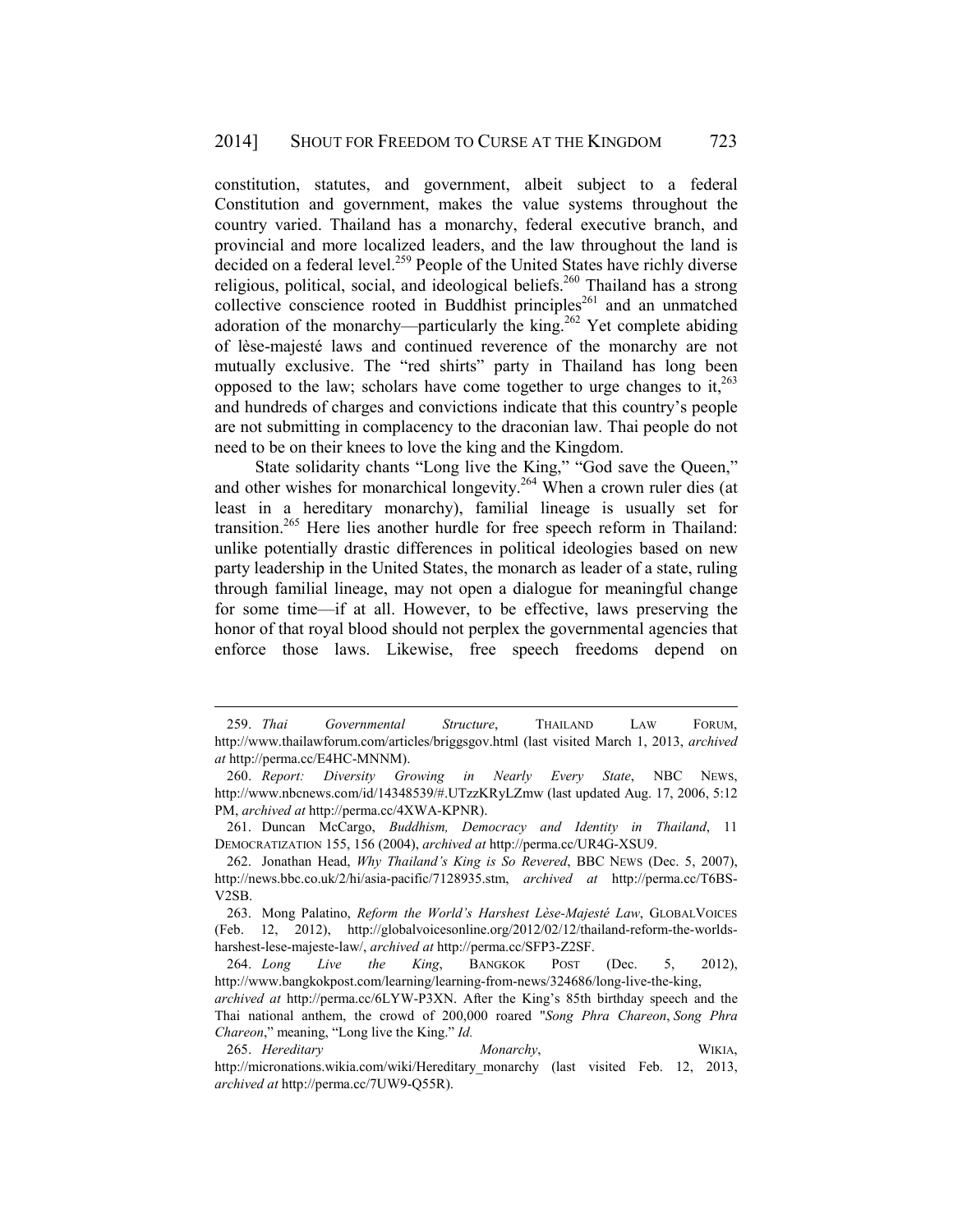constitution, statutes, and government, albeit subject to a federal Constitution and government, makes the value systems throughout the country varied. Thailand has a monarchy, federal executive branch, and provincial and more localized leaders, and the law throughout the land is decided on a federal level.<sup>259</sup> People of the United States have richly diverse religious, political, social, and ideological beliefs.<sup>260</sup> Thailand has a strong collective conscience rooted in Buddhist principles<sup>261</sup> and an unmatched adoration of the monarchy—particularly the king.<sup>262</sup> Yet complete abiding of lèse-majesté laws and continued reverence of the monarchy are not mutually exclusive. The "red shirts" party in Thailand has long been opposed to the law; scholars have come together to urge changes to it.<sup>263</sup> and hundreds of charges and convictions indicate that this country's people are not submitting in complacency to the draconian law. Thai people do not need to be on their knees to love the king and the Kingdom.

State solidarity chants "Long live the King," "God save the Queen," and other wishes for monarchical longevity.<sup>264</sup> When a crown ruler dies (at least in a hereditary monarchy), familial lineage is usually set for transition.<sup>265</sup> Here lies another hurdle for free speech reform in Thailand: unlike potentially drastic differences in political ideologies based on new party leadership in the United States, the monarch as leader of a state, ruling through familial lineage, may not open a dialogue for meaningful change for some time—if at all. However, to be effective, laws preserving the honor of that royal blood should not perplex the governmental agencies that enforce those laws. Likewise, free speech freedoms depend on

 <sup>259.</sup> *Thai Governmental Structure*, THAILAND LAW FORUM, http://www.thailawforum.com/articles/briggsgov.html (last visited March 1, 2013, *archived at* http://perma.cc/E4HC-MNNM).

 <sup>260.</sup> *Report: Diversity Growing in Nearly Every State*, NBC NEWS, http://www.nbcnews.com/id/14348539/#.UTzzKRyLZmw (last updated Aug. 17, 2006, 5:12 PM, *archived at* http://perma.cc/4XWA-KPNR).

 <sup>261.</sup> Duncan McCargo, *Buddhism, Democracy and Identity in Thailand*, 11 DEMOCRATIZATION 155, 156 (2004), *archived at* http://perma.cc/UR4G-XSU9.

 <sup>262.</sup> Jonathan Head, *Why Thailand's King is So Revered*, BBC NEWS (Dec. 5, 2007), http://news.bbc.co.uk/2/hi/asia-pacific/7128935.stm, *archived at* http://perma.cc/T6BS-V2SB.

 <sup>263.</sup> Mong Palatino, *Reform the World's Harshest Lèse-Majesté Law*, GLOBALVOICES (Feb. 12, 2012), http://globalvoicesonline.org/2012/02/12/thailand-reform-the-worldsharshest-lese-majeste-law/, *archived at* http://perma.cc/SFP3-Z2SF.

 <sup>264.</sup> *Long Live the King*, BANGKOK POST (Dec. 5, 2012), http://www.bangkokpost.com/learning/learning-from-news/324686/long-live-the-king,

*archived at* http://perma.cc/6LYW-P3XN. After the King's 85th birthday speech and the Thai national anthem, the crowd of 200,000 roared "*Song Phra Chareon*, *Song Phra Chareon*," meaning, "Long live the King." *Id.*

 <sup>265.</sup> *Hereditary Monarchy*, WIKIA, http://micronations.wikia.com/wiki/Hereditary\_monarchy\_(last visited Feb. 12, 2013, *archived at* http://perma.cc/7UW9-Q55R).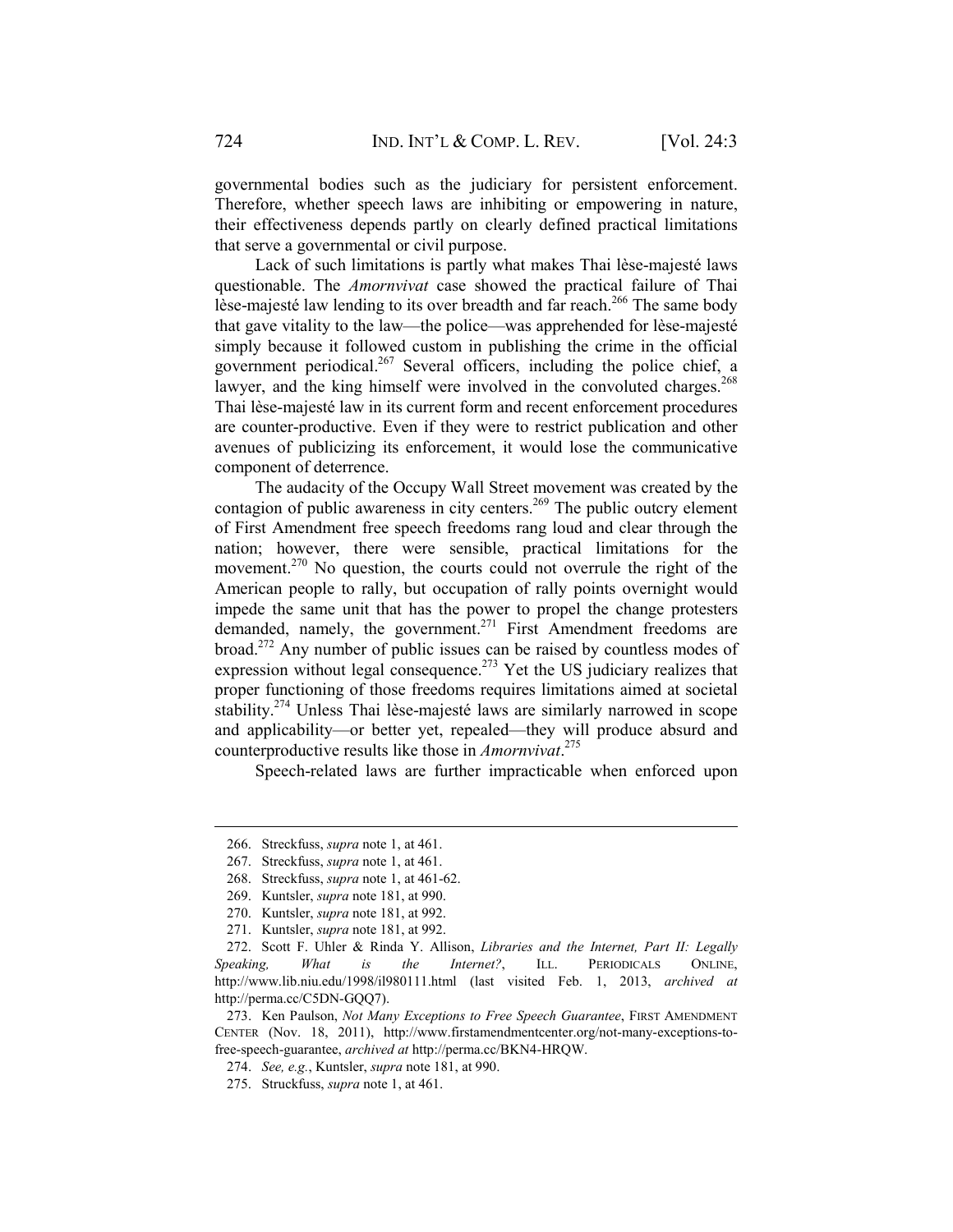governmental bodies such as the judiciary for persistent enforcement. Therefore, whether speech laws are inhibiting or empowering in nature, their effectiveness depends partly on clearly defined practical limitations that serve a governmental or civil purpose.

Lack of such limitations is partly what makes Thai lèse-majesté laws questionable. The *Amornvivat* case showed the practical failure of Thai lèse-majesté law lending to its over breadth and far reach.<sup>266</sup> The same body that gave vitality to the law—the police—was apprehended for lèse-majesté simply because it followed custom in publishing the crime in the official government periodical.<sup>267</sup> Several officers, including the police chief, a lawyer, and the king himself were involved in the convoluted charges.<sup>268</sup> Thai lèse-majesté law in its current form and recent enforcement procedures are counter-productive. Even if they were to restrict publication and other avenues of publicizing its enforcement, it would lose the communicative component of deterrence.

The audacity of the Occupy Wall Street movement was created by the contagion of public awareness in city centers.<sup>269</sup> The public outcry element of First Amendment free speech freedoms rang loud and clear through the nation; however, there were sensible, practical limitations for the movement.<sup>270</sup> No question, the courts could not overrule the right of the American people to rally, but occupation of rally points overnight would impede the same unit that has the power to propel the change protesters demanded, namely, the government.<sup>271</sup> First Amendment freedoms are broad.272 Any number of public issues can be raised by countless modes of expression without legal consequence.<sup> $273$ </sup> Yet the US judiciary realizes that proper functioning of those freedoms requires limitations aimed at societal stability.274 Unless Thai lèse-majesté laws are similarly narrowed in scope and applicability—or better yet, repealed—they will produce absurd and counterproductive results like those in *Amornvivat*. 275

Speech-related laws are further impracticable when enforced upon

 <sup>266.</sup> Streckfuss, *supra* note 1, at 461.

 <sup>267.</sup> Streckfuss, *supra* note 1, at 461.

 <sup>268.</sup> Streckfuss, *supra* note 1, at 461-62.

 <sup>269.</sup> Kuntsler, *supra* note 181, at 990.

 <sup>270.</sup> Kuntsler, *supra* note 181, at 992.

 <sup>271.</sup> Kuntsler, *supra* note 181, at 992.

 <sup>272.</sup> Scott F. Uhler & Rinda Y. Allison, *Libraries and the Internet, Part II: Legally Speaking, What is the Internet?*, ILL. PERIODICALS ONLINE, http://www.lib.niu.edu/1998/il980111.html (last visited Feb. 1, 2013, *archived at*  http://perma.cc/C5DN-GQQ7).

 <sup>273.</sup> Ken Paulson, *Not Many Exceptions to Free Speech Guarantee*, FIRST AMENDMENT CENTER (Nov. 18, 2011), http://www.firstamendmentcenter.org/not-many-exceptions-tofree-speech-guarantee, *archived at* http://perma.cc/BKN4-HRQW.

 <sup>274.</sup> *See, e.g.*, Kuntsler, *supra* note 181, at 990.

 <sup>275.</sup> Struckfuss, *supra* note 1, at 461.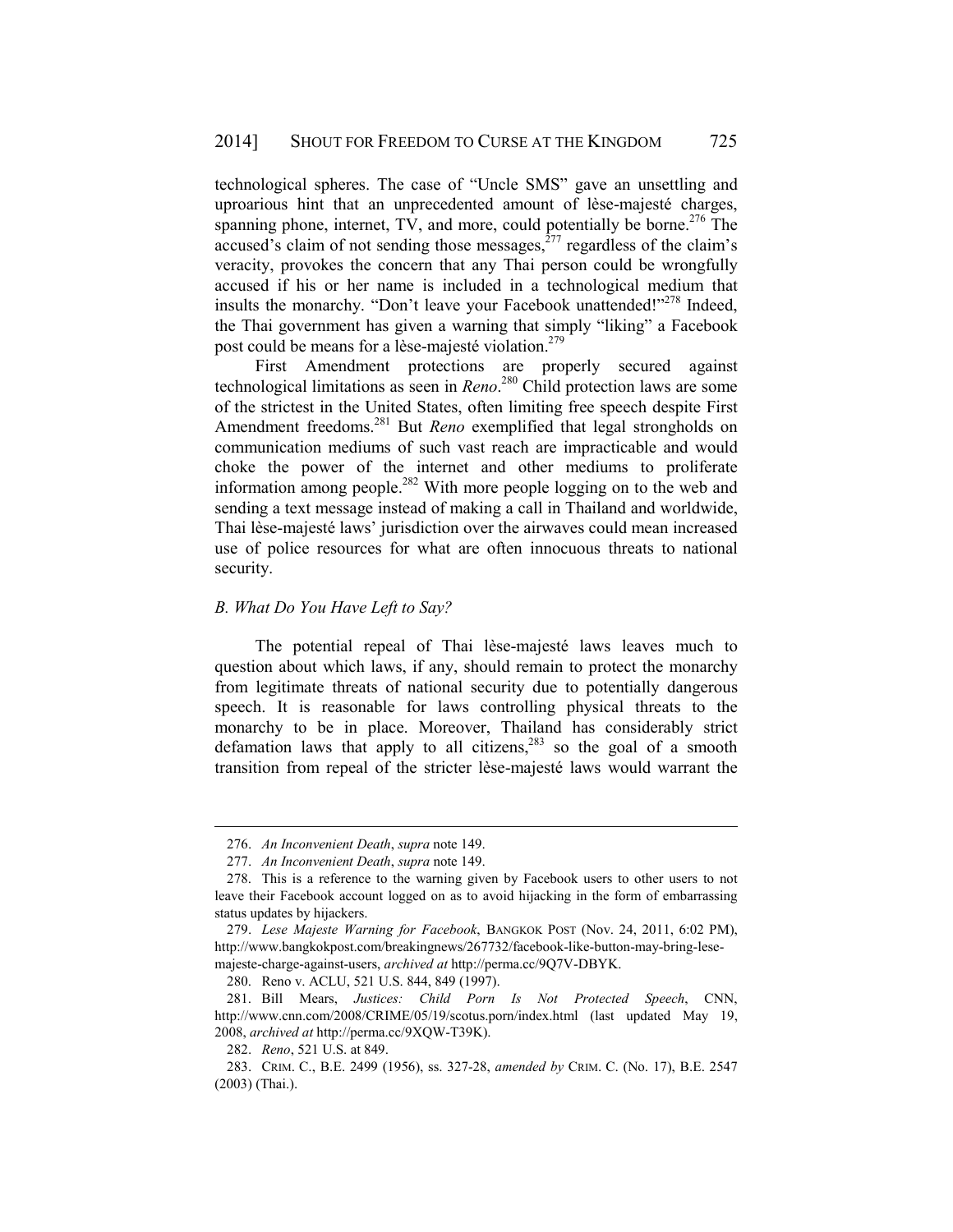technological spheres. The case of "Uncle SMS" gave an unsettling and uproarious hint that an unprecedented amount of lèse-majesté charges, spanning phone, internet,  $TV$ , and more, could potentially be borne.<sup>276</sup> The accused's claim of not sending those messages, $^{277}$  regardless of the claim's veracity, provokes the concern that any Thai person could be wrongfully accused if his or her name is included in a technological medium that insults the monarchy. "Don't leave your Facebook unattended!"<sup>278</sup> Indeed, the Thai government has given a warning that simply "liking" a Facebook post could be means for a lèse-majesté violation.<sup>279</sup>

First Amendment protections are properly secured against technological limitations as seen in *Reno*. 280 Child protection laws are some of the strictest in the United States, often limiting free speech despite First Amendment freedoms.281 But *Reno* exemplified that legal strongholds on communication mediums of such vast reach are impracticable and would choke the power of the internet and other mediums to proliferate information among people.<sup>282</sup> With more people logging on to the web and sending a text message instead of making a call in Thailand and worldwide, Thai lèse-majesté laws' jurisdiction over the airwaves could mean increased use of police resources for what are often innocuous threats to national security.

# *B. What Do You Have Left to Say?*

The potential repeal of Thai lèse-majesté laws leaves much to question about which laws, if any, should remain to protect the monarchy from legitimate threats of national security due to potentially dangerous speech. It is reasonable for laws controlling physical threats to the monarchy to be in place. Moreover, Thailand has considerably strict defamation laws that apply to all citizens, $283$  so the goal of a smooth transition from repeal of the stricter lèse-majesté laws would warrant the

 <sup>276.</sup> *An Inconvenient Death*, *supra* note 149.

 <sup>277.</sup> *An Inconvenient Death*, *supra* note 149.

 <sup>278.</sup> This is a reference to the warning given by Facebook users to other users to not leave their Facebook account logged on as to avoid hijacking in the form of embarrassing status updates by hijackers.

 <sup>279.</sup> *Lese Majeste Warning for Facebook*, BANGKOK POST (Nov. 24, 2011, 6:02 PM), http://www.bangkokpost.com/breakingnews/267732/facebook-like-button-may-bring-lesemajeste-charge-against-users, *archived at* http://perma.cc/9Q7V-DBYK.

 <sup>280.</sup> Reno v. ACLU, 521 U.S. 844, 849 (1997).

 <sup>281.</sup> Bill Mears, *Justices: Child Porn Is Not Protected Speech*, CNN, http://www.cnn.com/2008/CRIME/05/19/scotus.porn/index.html (last updated May 19, 2008, *archived at* http://perma.cc/9XQW-T39K).

 <sup>282.</sup> *Reno*, 521 U.S. at 849.

 <sup>283.</sup> CRIM. C., B.E. 2499 (1956), ss. 327-28, *amended by* CRIM. C. (No. 17), B.E. 2547 (2003) (Thai.).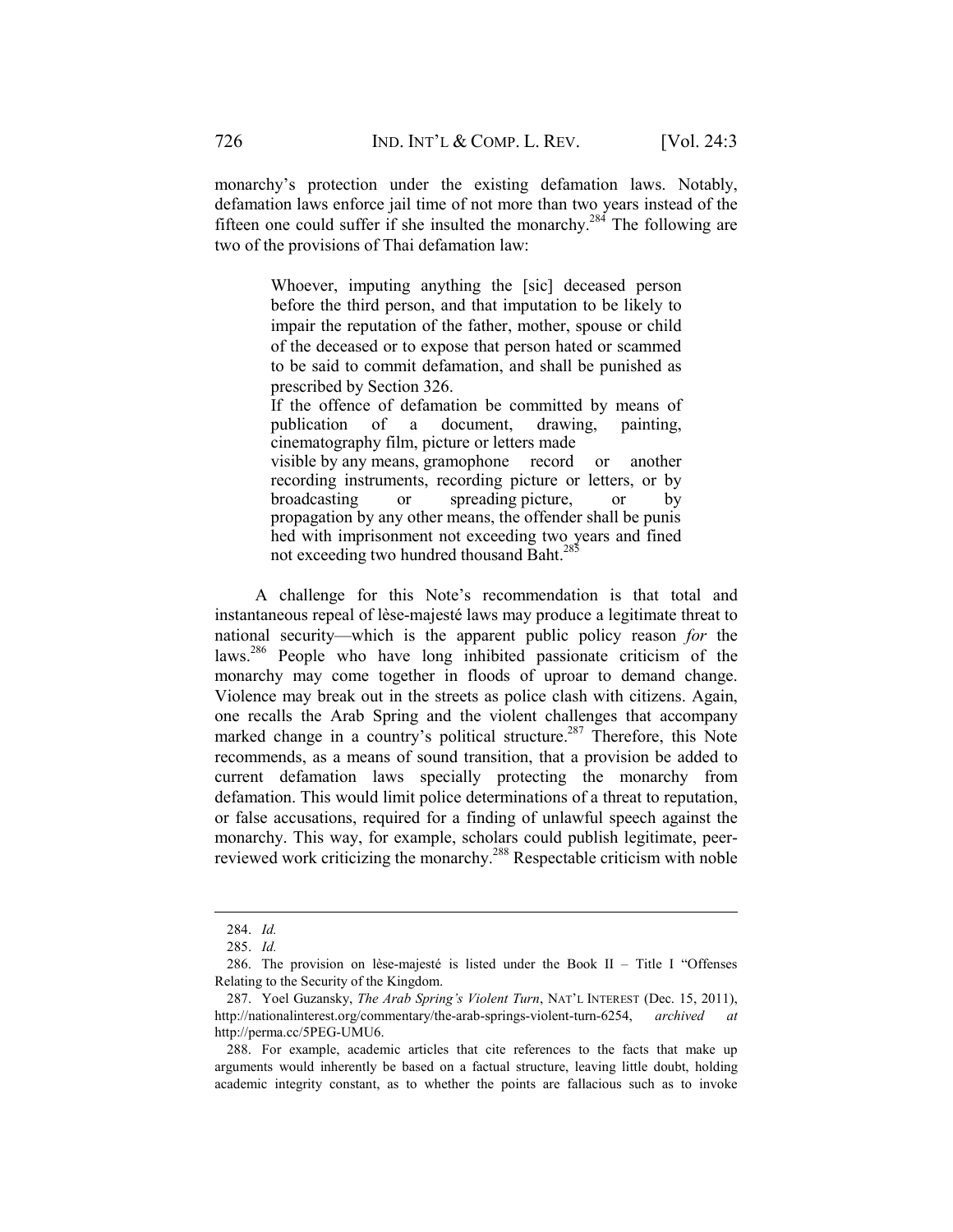monarchy's protection under the existing defamation laws. Notably, defamation laws enforce jail time of not more than two years instead of the fifteen one could suffer if she insulted the monarchy.<sup>284</sup> The following are two of the provisions of Thai defamation law:

> Whoever, imputing anything the [sic] deceased person before the third person, and that imputation to be likely to impair the reputation of the father, mother, spouse or child of the deceased or to expose that person hated or scammed to be said to commit defamation, and shall be punished as prescribed by Section 326.

> If the offence of defamation be committed by means of publication of a document, drawing, painting, cinematography film, picture or letters made visible by any means, gramophone record or another recording instruments, recording picture or letters, or by broadcasting or spreading picture, or by propagation by any other means, the offender shall be punis hed with imprisonment not exceeding two years and fined not exceeding two hundred thousand Baht.<sup>285</sup>

A challenge for this Note's recommendation is that total and instantaneous repeal of lèse-majesté laws may produce a legitimate threat to national security—which is the apparent public policy reason *for* the laws.286 People who have long inhibited passionate criticism of the monarchy may come together in floods of uproar to demand change. Violence may break out in the streets as police clash with citizens. Again, one recalls the Arab Spring and the violent challenges that accompany marked change in a country's political structure.<sup>287</sup> Therefore, this Note recommends, as a means of sound transition, that a provision be added to current defamation laws specially protecting the monarchy from defamation. This would limit police determinations of a threat to reputation, or false accusations, required for a finding of unlawful speech against the monarchy. This way, for example, scholars could publish legitimate, peerreviewed work criticizing the monarchy.288 Respectable criticism with noble

 <sup>284.</sup> *Id.*

 <sup>285.</sup> *Id.*

 <sup>286.</sup> The provision on lèse-majesté is listed under the Book II – Title I "Offenses Relating to the Security of the Kingdom.

 <sup>287.</sup> Yoel Guzansky, *The Arab Spring's Violent Turn*, NAT'L INTEREST (Dec. 15, 2011), http://nationalinterest.org/commentary/the-arab-springs-violent-turn-6254, *archived at*  http://perma.cc/5PEG-UMU6.

 <sup>288.</sup> For example, academic articles that cite references to the facts that make up arguments would inherently be based on a factual structure, leaving little doubt, holding academic integrity constant, as to whether the points are fallacious such as to invoke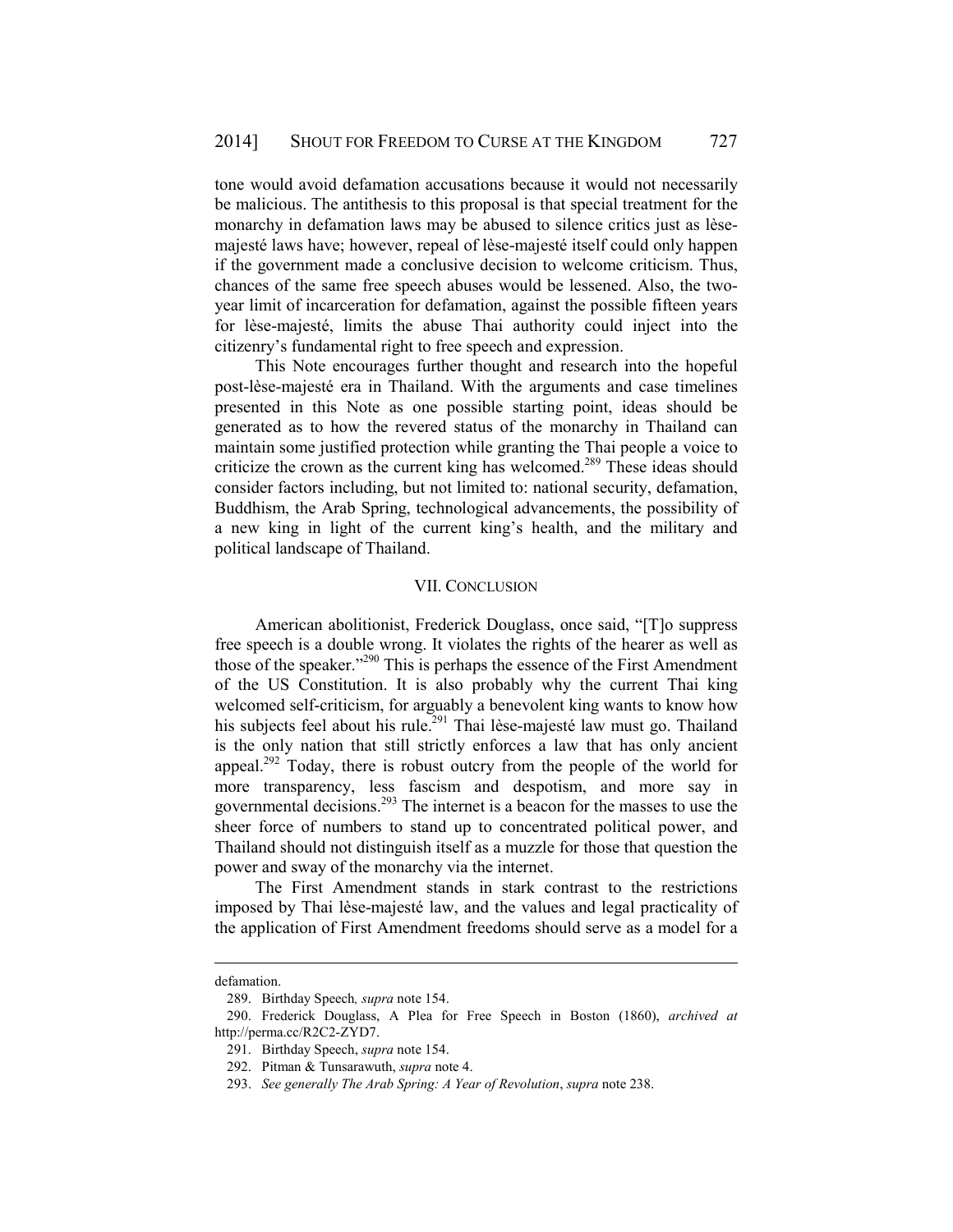tone would avoid defamation accusations because it would not necessarily be malicious. The antithesis to this proposal is that special treatment for the monarchy in defamation laws may be abused to silence critics just as lèsemajesté laws have; however, repeal of lèse-majesté itself could only happen if the government made a conclusive decision to welcome criticism. Thus, chances of the same free speech abuses would be lessened. Also, the twoyear limit of incarceration for defamation, against the possible fifteen years for lèse-majesté, limits the abuse Thai authority could inject into the citizenry's fundamental right to free speech and expression.

This Note encourages further thought and research into the hopeful post-lèse-majesté era in Thailand. With the arguments and case timelines presented in this Note as one possible starting point, ideas should be generated as to how the revered status of the monarchy in Thailand can maintain some justified protection while granting the Thai people a voice to criticize the crown as the current king has welcomed.<sup>289</sup> These ideas should consider factors including, but not limited to: national security, defamation, Buddhism, the Arab Spring, technological advancements, the possibility of a new king in light of the current king's health, and the military and political landscape of Thailand.

#### VII. CONCLUSION

American abolitionist, Frederick Douglass, once said, "[T]o suppress free speech is a double wrong. It violates the rights of the hearer as well as those of the speaker."290 This is perhaps the essence of the First Amendment of the US Constitution. It is also probably why the current Thai king welcomed self-criticism, for arguably a benevolent king wants to know how his subjects feel about his rule.<sup>291</sup> Thai lèse-majesté law must go. Thailand is the only nation that still strictly enforces a law that has only ancient appeal.<sup>292</sup> Today, there is robust outcry from the people of the world for more transparency, less fascism and despotism, and more say in governmental decisions.293 The internet is a beacon for the masses to use the sheer force of numbers to stand up to concentrated political power, and Thailand should not distinguish itself as a muzzle for those that question the power and sway of the monarchy via the internet.

The First Amendment stands in stark contrast to the restrictions imposed by Thai lèse-majesté law, and the values and legal practicality of the application of First Amendment freedoms should serve as a model for a

defamation.

 <sup>289.</sup> Birthday Speech*, supra* note 154.

 <sup>290.</sup> Frederick Douglass, A Plea for Free Speech in Boston (1860), *archived at*  http://perma.cc/R2C2-ZYD7.

 <sup>291.</sup> Birthday Speech, *supra* note 154.

 <sup>292.</sup> Pitman & Tunsarawuth, *supra* note 4.

 <sup>293.</sup> *See generally The Arab Spring: A Year of Revolution*, *supra* note 238.